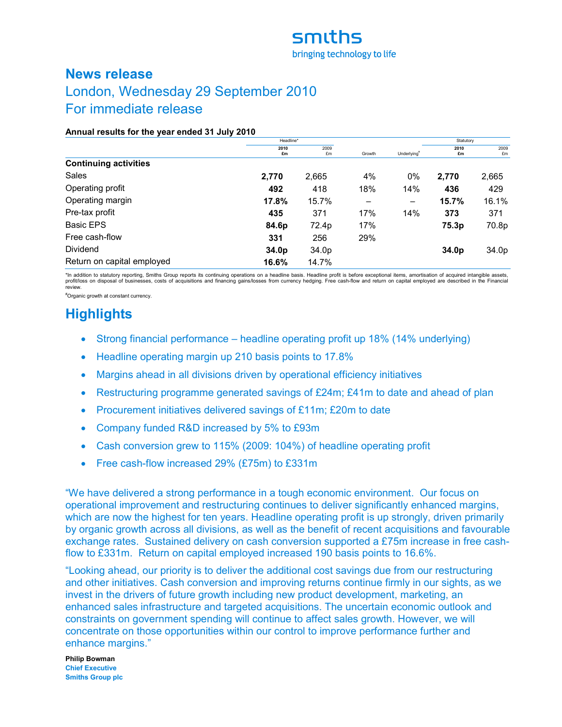## **News release**  London, Wednesday 29 September 2010 For immediate release

## **Annual results for the year ended 31 July 2010**

|                              | Headline*         |            |        |             | Statutory         |            |
|------------------------------|-------------------|------------|--------|-------------|-------------------|------------|
|                              | 2010<br>£m        | 2009<br>£m | Growth | Underlying* | 2010<br>£m        | 2009<br>£m |
| <b>Continuing activities</b> |                   |            |        |             |                   |            |
| Sales                        | 2,770             | 2,665      | 4%     | 0%          | 2,770             | 2,665      |
| Operating profit             | 492               | 418        | 18%    | 14%         | 436               | 429        |
| Operating margin             | 17.8%             | 15.7%      |        | -           | 15.7%             | 16.1%      |
| Pre-tax profit               | 435               | 371        | 17%    | 14%         | 373               | 371        |
| <b>Basic EPS</b>             | 84.6p             | 72.4p      | 17%    |             | 75.3p             | 70.8p      |
| Free cash-flow               | 331               | 256        | 29%    |             |                   |            |
| Dividend                     | 34.0 <sub>p</sub> | 34.0p      |        |             | 34.0 <sub>p</sub> | 34.0p      |
| Return on capital employed   | 16.6%             | 14.7%      |        |             |                   |            |

\*In addition to statutory reporting, Smiths Group reports its continuing operations on a headline basis. Headline profit is before exceptional items, amortisation of acquired intangible assets, profit/loss on disposal of businesses, costs of acquisitions and financing gains/losses from currency hedging. Free cash-flow and return on capital employed are described in the Financial review.

#Organic growth at constant currency.

## **Highlights**

- Strong financial performance headline operating profit up 18% (14% underlying)
- Headline operating margin up 210 basis points to 17.8%
- Margins ahead in all divisions driven by operational efficiency initiatives
- Restructuring programme generated savings of £24m; £41m to date and ahead of plan
- Procurement initiatives delivered savings of £11m; £20m to date
- Company funded R&D increased by 5% to £93m
- Cash conversion grew to 115% (2009: 104%) of headline operating profit
- Free cash-flow increased 29% (£75m) to £331m

"We have delivered a strong performance in a tough economic environment. Our focus on operational improvement and restructuring continues to deliver significantly enhanced margins, which are now the highest for ten years. Headline operating profit is up strongly, driven primarily by organic growth across all divisions, as well as the benefit of recent acquisitions and favourable exchange rates. Sustained delivery on cash conversion supported a £75m increase in free cashflow to £331m. Return on capital employed increased 190 basis points to 16.6%.

"Looking ahead, our priority is to deliver the additional cost savings due from our restructuring and other initiatives. Cash conversion and improving returns continue firmly in our sights, as we invest in the drivers of future growth including new product development, marketing, an enhanced sales infrastructure and targeted acquisitions. The uncertain economic outlook and constraints on government spending will continue to affect sales growth. However, we will concentrate on those opportunities within our control to improve performance further and enhance margins."

**Philip Bowman Chief Executive Smiths Group plc**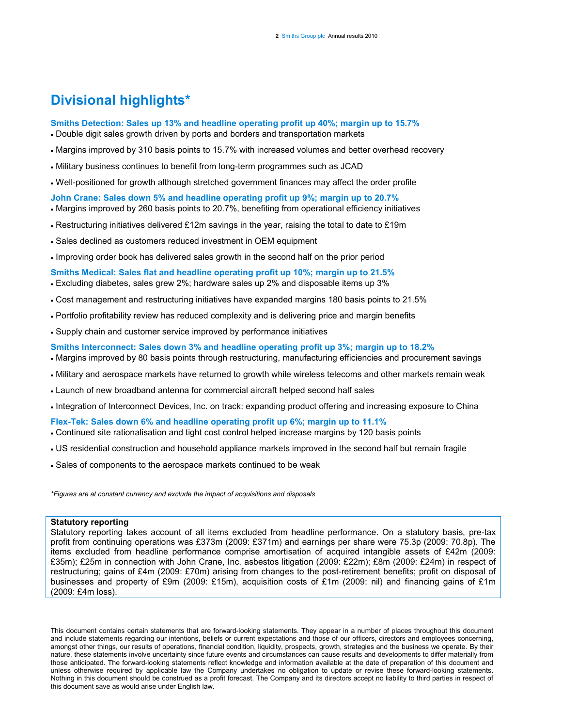## **Divisional highlights\***

## **Smiths Detection: Sales up 13% and headline operating profit up 40%; margin up to 15.7%**

- Double digit sales growth driven by ports and borders and transportation markets
- Margins improved by 310 basis points to 15.7% with increased volumes and better overhead recovery
- Military business continues to benefit from long-term programmes such as JCAD
- Well-positioned for growth although stretched government finances may affect the order profile
- **John Crane: Sales down 5% and headline operating profit up 9%; margin up to 20.7%**  • Margins improved by 260 basis points to 20.7%, benefiting from operational efficiency initiatives
- Restructuring initiatives delivered £12m savings in the year, raising the total to date to £19m
- Sales declined as customers reduced investment in OEM equipment
- Improving order book has delivered sales growth in the second half on the prior period
- **Smiths Medical: Sales flat and headline operating profit up 10%; margin up to 21.5%**
- Excluding diabetes, sales grew 2%; hardware sales up 2% and disposable items up 3%
- Cost management and restructuring initiatives have expanded margins 180 basis points to 21.5%
- Portfolio profitability review has reduced complexity and is delivering price and margin benefits
- Supply chain and customer service improved by performance initiatives
- **Smiths Interconnect: Sales down 3% and headline operating profit up 3%; margin up to 18.2%**
- Margins improved by 80 basis points through restructuring, manufacturing efficiencies and procurement savings
- Military and aerospace markets have returned to growth while wireless telecoms and other markets remain weak
- Launch of new broadband antenna for commercial aircraft helped second half sales
- Integration of Interconnect Devices, Inc. on track: expanding product offering and increasing exposure to China
- **Flex-Tek: Sales down 6% and headline operating profit up 6%; margin up to 11.1%**
- Continued site rationalisation and tight cost control helped increase margins by 120 basis points
- US residential construction and household appliance markets improved in the second half but remain fragile
- Sales of components to the aerospace markets continued to be weak

*\*Figures are at constant currency and exclude the impact of acquisitions and disposals* 

## **Statutory reporting**

Statutory reporting takes account of all items excluded from headline performance. On a statutory basis, pre-tax profit from continuing operations was £373m (2009: £371m) and earnings per share were 75.3p (2009: 70.8p). The items excluded from headline performance comprise amortisation of acquired intangible assets of £42m (2009: £35m); £25m in connection with John Crane, Inc. asbestos litigation (2009: £22m); £8m (2009: £24m) in respect of restructuring; gains of £4m (2009: £70m) arising from changes to the post-retirement benefits; profit on disposal of businesses and property of £9m (2009: £15m), acquisition costs of £1m (2009: nil) and financing gains of £1m (2009: £4m loss).

This document contains certain statements that are forward-looking statements. They appear in a number of places throughout this document and include statements regarding our intentions, beliefs or current expectations and those of our officers, directors and employees concerning, amongst other things, our results of operations, financial condition, liquidity, prospects, growth, strategies and the business we operate. By their nature, these statements involve uncertainty since future events and circumstances can cause results and developments to differ materially from those anticipated. The forward-looking statements reflect knowledge and information available at the date of preparation of this document and unless otherwise required by applicable law the Company undertakes no obligation to update or revise these forward-looking statements. Nothing in this document should be construed as a profit forecast. The Company and its directors accept no liability to third parties in respect of this document save as would arise under English law.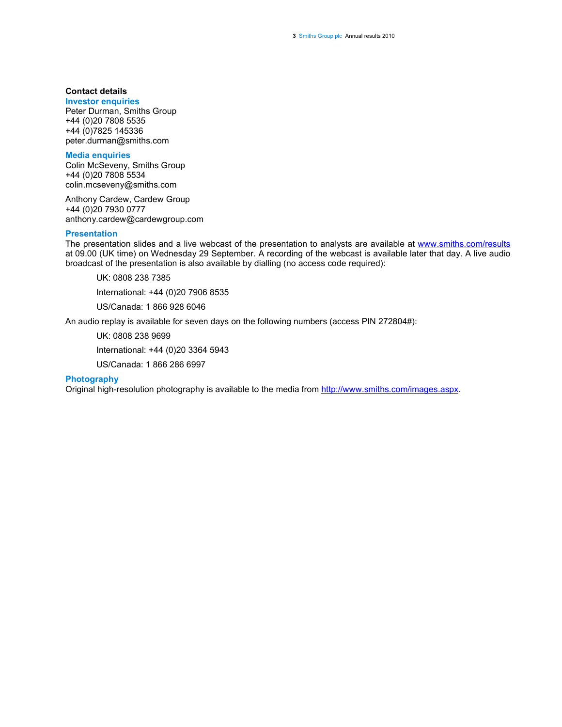## **Contact details**

**Investor enquiries**  Peter Durman, Smiths Group +44 (0)20 7808 5535 +44 (0)7825 145336

peter.durman@smiths.com

## **Media enquiries**

Colin McSeveny, Smiths Group +44 (0)20 7808 5534 colin.mcseveny@smiths.com

Anthony Cardew, Cardew Group +44 (0)20 7930 0777 anthony.cardew@cardewgroup.com

## **Presentation**

The presentation slides and a live webcast of the presentation to analysts are available at www.smiths.com/results at 09.00 (UK time) on Wednesday 29 September. A recording of the webcast is available later that day. A live audio broadcast of the presentation is also available by dialling (no access code required):

UK: 0808 238 7385

International: +44 (0)20 7906 8535

US/Canada: 1 866 928 6046

An audio replay is available for seven days on the following numbers (access PIN 272804#):

UK: 0808 238 9699

International: +44 (0)20 3364 5943

US/Canada: 1 866 286 6997

## **Photography**

Original high-resolution photography is available to the media from http://www.smiths.com/images.aspx.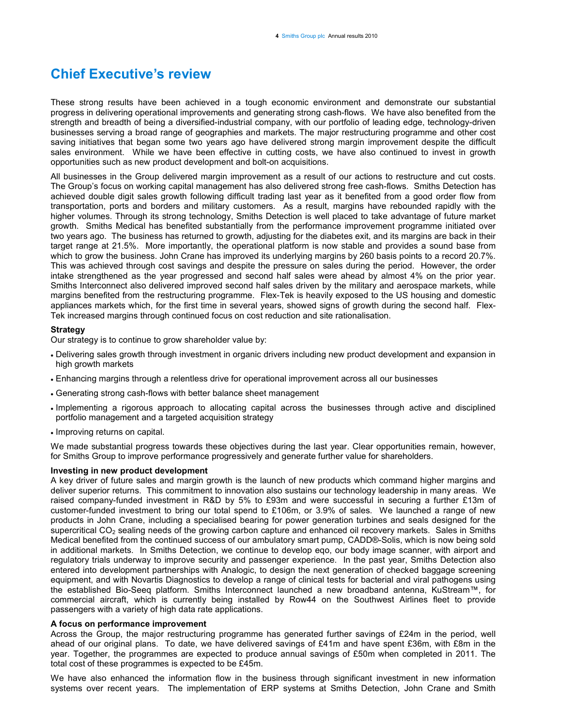## **Chief Executive's review**

These strong results have been achieved in a tough economic environment and demonstrate our substantial progress in delivering operational improvements and generating strong cash-flows. We have also benefited from the strength and breadth of being a diversified-industrial company, with our portfolio of leading edge, technology-driven businesses serving a broad range of geographies and markets. The major restructuring programme and other cost saving initiatives that began some two years ago have delivered strong margin improvement despite the difficult sales environment. While we have been effective in cutting costs, we have also continued to invest in growth opportunities such as new product development and bolt-on acquisitions.

All businesses in the Group delivered margin improvement as a result of our actions to restructure and cut costs. The Group's focus on working capital management has also delivered strong free cash-flows. Smiths Detection has achieved double digit sales growth following difficult trading last year as it benefited from a good order flow from transportation, ports and borders and military customers. As a result, margins have rebounded rapidly with the higher volumes. Through its strong technology, Smiths Detection is well placed to take advantage of future market growth. Smiths Medical has benefited substantially from the performance improvement programme initiated over two years ago. The business has returned to growth, adjusting for the diabetes exit, and its margins are back in their target range at 21.5%. More importantly, the operational platform is now stable and provides a sound base from which to grow the business. John Crane has improved its underlying margins by 260 basis points to a record 20.7%. This was achieved through cost savings and despite the pressure on sales during the period. However, the order intake strengthened as the year progressed and second half sales were ahead by almost 4% on the prior year. Smiths Interconnect also delivered improved second half sales driven by the military and aerospace markets, while margins benefited from the restructuring programme. Flex-Tek is heavily exposed to the US housing and domestic appliances markets which, for the first time in several years, showed signs of growth during the second half. Flex-Tek increased margins through continued focus on cost reduction and site rationalisation.

## **Strategy**

Our strategy is to continue to grow shareholder value by:

- Delivering sales growth through investment in organic drivers including new product development and expansion in high growth markets
- Enhancing margins through a relentless drive for operational improvement across all our businesses
- Generating strong cash-flows with better balance sheet management
- Implementing a rigorous approach to allocating capital across the businesses through active and disciplined portfolio management and a targeted acquisition strategy
- Improving returns on capital.

We made substantial progress towards these objectives during the last year. Clear opportunities remain, however, for Smiths Group to improve performance progressively and generate further value for shareholders.

## **Investing in new product development**

A key driver of future sales and margin growth is the launch of new products which command higher margins and deliver superior returns. This commitment to innovation also sustains our technology leadership in many areas. We raised company-funded investment in R&D by 5% to £93m and were successful in securing a further £13m of customer-funded investment to bring our total spend to £106m, or 3.9% of sales. We launched a range of new products in John Crane, including a specialised bearing for power generation turbines and seals designed for the supercritical CO<sub>2</sub> sealing needs of the growing carbon capture and enhanced oil recovery markets. Sales in Smiths Medical benefited from the continued success of our ambulatory smart pump, CADD®-Solis, which is now being sold in additional markets. In Smiths Detection, we continue to develop eqo, our body image scanner, with airport and regulatory trials underway to improve security and passenger experience. In the past year, Smiths Detection also entered into development partnerships with Analogic, to design the next generation of checked baggage screening equipment, and with Novartis Diagnostics to develop a range of clinical tests for bacterial and viral pathogens using the established Bio-Seeq platform. Smiths Interconnect launched a new broadband antenna, KuStream™, for commercial aircraft, which is currently being installed by Row44 on the Southwest Airlines fleet to provide passengers with a variety of high data rate applications.

## **A focus on performance improvement**

Across the Group, the major restructuring programme has generated further savings of £24m in the period, well ahead of our original plans. To date, we have delivered savings of £41m and have spent £36m, with £8m in the year. Together, the programmes are expected to produce annual savings of £50m when completed in 2011. The total cost of these programmes is expected to be £45m.

We have also enhanced the information flow in the business through significant investment in new information systems over recent years. The implementation of ERP systems at Smiths Detection, John Crane and Smith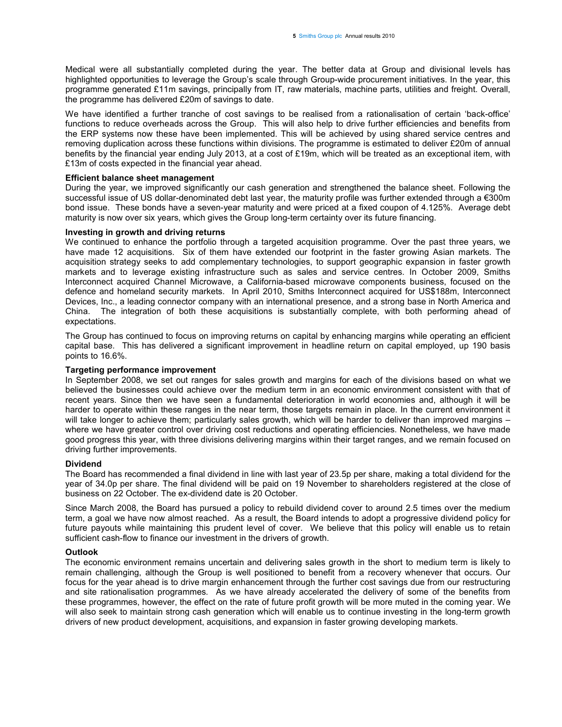Medical were all substantially completed during the year. The better data at Group and divisional levels has highlighted opportunities to leverage the Group's scale through Group-wide procurement initiatives. In the year, this programme generated £11m savings, principally from IT, raw materials, machine parts, utilities and freight. Overall, the programme has delivered £20m of savings to date.

We have identified a further tranche of cost savings to be realised from a rationalisation of certain 'back-office' functions to reduce overheads across the Group. This will also help to drive further efficiencies and benefits from the ERP systems now these have been implemented. This will be achieved by using shared service centres and removing duplication across these functions within divisions. The programme is estimated to deliver £20m of annual benefits by the financial year ending July 2013, at a cost of £19m, which will be treated as an exceptional item, with £13m of costs expected in the financial year ahead.

## **Efficient balance sheet management**

During the year, we improved significantly our cash generation and strengthened the balance sheet. Following the successful issue of US dollar-denominated debt last year, the maturity profile was further extended through a €300m bond issue. These bonds have a seven-year maturity and were priced at a fixed coupon of 4.125%. Average debt maturity is now over six years, which gives the Group long-term certainty over its future financing.

## **Investing in growth and driving returns**

We continued to enhance the portfolio through a targeted acquisition programme. Over the past three years, we have made 12 acquisitions. Six of them have extended our footprint in the faster growing Asian markets. The acquisition strategy seeks to add complementary technologies, to support geographic expansion in faster growth markets and to leverage existing infrastructure such as sales and service centres. In October 2009, Smiths Interconnect acquired Channel Microwave, a California-based microwave components business, focused on the defence and homeland security markets. In April 2010, Smiths Interconnect acquired for US\$188m, Interconnect Devices, Inc., a leading connector company with an international presence, and a strong base in North America and China. The integration of both these acquisitions is substantially complete, with both performing ahead of expectations.

The Group has continued to focus on improving returns on capital by enhancing margins while operating an efficient capital base. This has delivered a significant improvement in headline return on capital employed, up 190 basis points to 16.6%.

## **Targeting performance improvement**

In September 2008, we set out ranges for sales growth and margins for each of the divisions based on what we believed the businesses could achieve over the medium term in an economic environment consistent with that of recent years. Since then we have seen a fundamental deterioration in world economies and, although it will be harder to operate within these ranges in the near term, those targets remain in place. In the current environment it will take longer to achieve them; particularly sales growth, which will be harder to deliver than improved margins – where we have greater control over driving cost reductions and operating efficiencies. Nonetheless, we have made good progress this year, with three divisions delivering margins within their target ranges, and we remain focused on driving further improvements.

## **Dividend**

The Board has recommended a final dividend in line with last year of 23.5p per share, making a total dividend for the year of 34.0p per share. The final dividend will be paid on 19 November to shareholders registered at the close of business on 22 October. The ex-dividend date is 20 October.

Since March 2008, the Board has pursued a policy to rebuild dividend cover to around 2.5 times over the medium term, a goal we have now almost reached. As a result, the Board intends to adopt a progressive dividend policy for future payouts while maintaining this prudent level of cover. We believe that this policy will enable us to retain sufficient cash-flow to finance our investment in the drivers of growth.

## **Outlook**

The economic environment remains uncertain and delivering sales growth in the short to medium term is likely to remain challenging, although the Group is well positioned to benefit from a recovery whenever that occurs. Our focus for the year ahead is to drive margin enhancement through the further cost savings due from our restructuring and site rationalisation programmes. As we have already accelerated the delivery of some of the benefits from these programmes, however, the effect on the rate of future profit growth will be more muted in the coming year. We will also seek to maintain strong cash generation which will enable us to continue investing in the long-term growth drivers of new product development, acquisitions, and expansion in faster growing developing markets.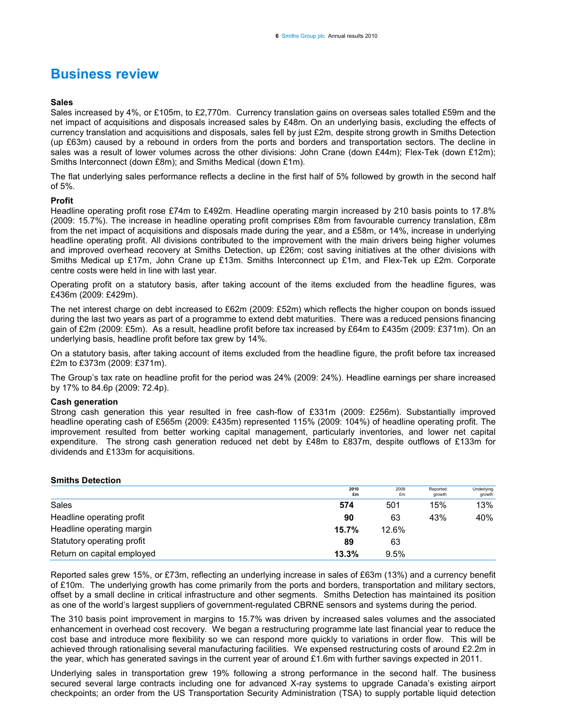## **Business review**

## **Sales**

Sales increased by 4%, or £105m, to £2,770m. Currency translation gains on overseas sales totalled £59m and the net impact of acquisitions and disposals increased sales by £48m. On an underlying basis, excluding the effects of currency translation and acquisitions and disposals, sales fell by just £2m, despite strong growth in Smiths Detection (up £63m) caused by a rebound in orders from the ports and borders and transportation sectors. The decline in sales was a result of lower volumes across the other divisions: John Crane (down £44m); Flex-Tek (down £12m); Smiths Interconnect (down £8m); and Smiths Medical (down £1m).

The flat underlying sales performance reflects a decline in the first half of 5% followed by growth in the second half of 5%.

## **Profit**

Headline operating profit rose £74m to £492m. Headline operating margin increased by 210 basis points to 17.8% (2009: 15.7%). The increase in headline operating profit comprises £8m from favourable currency translation, £8m from the net impact of acquisitions and disposals made during the year, and a £58m, or 14%, increase in underlying headline operating profit. All divisions contributed to the improvement with the main drivers being higher volumes and improved overhead recovery at Smiths Detection, up £26m; cost saving initiatives at the other divisions with Smiths Medical up £17m, John Crane up £13m. Smiths Interconnect up £1m, and Flex-Tek up £2m. Corporate centre costs were held in line with last year.

Operating profit on a statutory basis, after taking account of the items excluded from the headline figures, was £436m (2009: £429m).

The net interest charge on debt increased to £62m (2009: £52m) which reflects the higher coupon on bonds issued during the last two years as part of a programme to extend debt maturities. There was a reduced pensions financing gain of £2m (2009: £5m). As a result, headline profit before tax increased by £64m to £435m (2009: £371m). On an underlying basis, headline profit before tax grew by 14%.

On a statutory basis, after taking account of items excluded from the headline figure, the profit before tax increased £2m to £373m (2009: £371m).

The Group's tax rate on headline profit for the period was 24% (2009: 24%). Headline earnings per share increased by 17% to 84.6p (2009: 72.4p).

## **Cash generation**

**Smiths Detection** 

Strong cash generation this year resulted in free cash-flow of £331m (2009: £256m). Substantially improved headline operating cash of £565m (2009: £435m) represented 115% (2009: 104%) of headline operating profit. The improvement resulted from better working capital management, particularly inventories, and lower net capital expenditure. The strong cash generation reduced net debt by £48m to £837m, despite outflows of £133m for dividends and £133m for acquisitions.

| Smiths Detection           |            |            |                    |                      |
|----------------------------|------------|------------|--------------------|----------------------|
|                            | 2010<br>£m | 2009<br>£m | Reported<br>growth | Underlying<br>growth |
| Sales                      | 574        | 501        | 15%                | 13%                  |
| Headline operating profit  | 90         | 63         | 43%                | 40%                  |
| Headline operating margin  | 15.7%      | 12.6%      |                    |                      |
| Statutory operating profit | 89         | 63         |                    |                      |
| Return on capital employed | 13.3%      | 9.5%       |                    |                      |

Reported sales grew 15%, or £73m, reflecting an underlying increase in sales of £63m (13%) and a currency benefit of £10m. The underlying growth has come primarily from the ports and borders, transportation and military sectors, offset by a small decline in critical infrastructure and other segments. Smiths Detection has maintained its position as one of the world's largest suppliers of government-regulated CBRNE sensors and systems during the period.

The 310 basis point improvement in margins to 15.7% was driven by increased sales volumes and the associated enhancement in overhead cost recovery. We began a restructuring programme late last financial year to reduce the cost base and introduce more flexibility so we can respond more quickly to variations in order flow. This will be achieved through rationalising several manufacturing facilities. We expensed restructuring costs of around £2.2m in the year, which has generated savings in the current year of around £1.6m with further savings expected in 2011.

Underlying sales in transportation grew 19% following a strong performance in the second half. The business secured several large contracts including one for advanced X-ray systems to upgrade Canada's existing airport checkpoints; an order from the US Transportation Security Administration (TSA) to supply portable liquid detection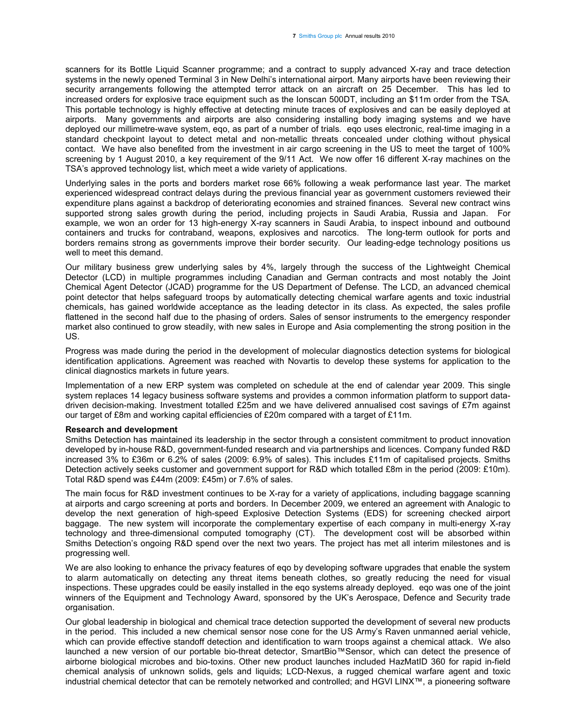scanners for its Bottle Liquid Scanner programme; and a contract to supply advanced X-ray and trace detection systems in the newly opened Terminal 3 in New Delhi's international airport*.* Many airports have been reviewing their security arrangements following the attempted terror attack on an aircraft on 25 December. This has led to increased orders for explosive trace equipment such as the Ionscan 500DT, including an \$11m order from the TSA. This portable technology is highly effective at detecting minute traces of explosives and can be easily deployed at airports. Many governments and airports are also considering installing body imaging systems and we have deployed our millimetre-wave system, eqo, as part of a number of trials. eqo uses electronic, real-time imaging in a standard checkpoint layout to detect metal and non-metallic threats concealed under clothing without physical contact. We have also benefited from the investment in air cargo screening in the US to meet the target of 100% screening by 1 August 2010, a key requirement of the 9/11 Act. We now offer 16 different X-ray machines on the TSA's approved technology list, which meet a wide variety of applications.

Underlying sales in the ports and borders market rose 66% following a weak performance last year. The market experienced widespread contract delays during the previous financial year as government customers reviewed their expenditure plans against a backdrop of deteriorating economies and strained finances. Several new contract wins supported strong sales growth during the period, including projects in Saudi Arabia, Russia and Japan. For example, we won an order for 13 high-energy X-ray scanners in Saudi Arabia, to inspect inbound and outbound containers and trucks for contraband, weapons, explosives and narcotics. The long-term outlook for ports and borders remains strong as governments improve their border security. Our leading-edge technology positions us well to meet this demand.

Our military business grew underlying sales by 4%, largely through the success of the Lightweight Chemical Detector (LCD) in multiple programmes including Canadian and German contracts and most notably the Joint Chemical Agent Detector (JCAD) programme for the US Department of Defense. The LCD, an advanced chemical point detector that helps safeguard troops by automatically detecting chemical warfare agents and toxic industrial chemicals, has gained worldwide acceptance as the leading detector in its class. As expected, the sales profile flattened in the second half due to the phasing of orders. Sales of sensor instruments to the emergency responder market also continued to grow steadily, with new sales in Europe and Asia complementing the strong position in the US.

Progress was made during the period in the development of molecular diagnostics detection systems for biological identification applications. Agreement was reached with Novartis to develop these systems for application to the clinical diagnostics markets in future years.

Implementation of a new ERP system was completed on schedule at the end of calendar year 2009. This single system replaces 14 legacy business software systems and provides a common information platform to support datadriven decision-making. Investment totalled £25m and we have delivered annualised cost savings of £7m against our target of £8m and working capital efficiencies of £20m compared with a target of £11m.

## **Research and development**

Smiths Detection has maintained its leadership in the sector through a consistent commitment to product innovation developed by in-house R&D, government-funded research and via partnerships and licences. Company funded R&D increased 3% to £36m or 6.2% of sales (2009: 6.9% of sales). This includes £11m of capitalised projects. Smiths Detection actively seeks customer and government support for R&D which totalled £8m in the period (2009: £10m). Total R&D spend was £44m (2009: £45m) or 7.6% of sales.

The main focus for R&D investment continues to be X-ray for a variety of applications, including baggage scanning at airports and cargo screening at ports and borders. In December 2009, we entered an agreement with Analogic to develop the next generation of high-speed Explosive Detection Systems (EDS) for screening checked airport baggage. The new system will incorporate the complementary expertise of each company in multi-energy X-ray technology and three-dimensional computed tomography (CT). The development cost will be absorbed within Smiths Detection's ongoing R&D spend over the next two years. The project has met all interim milestones and is progressing well.

We are also looking to enhance the privacy features of eqo by developing software upgrades that enable the system to alarm automatically on detecting any threat items beneath clothes, so greatly reducing the need for visual inspections. These upgrades could be easily installed in the eqo systems already deployed. eqo was one of the joint winners of the Equipment and Technology Award, sponsored by the UK's Aerospace, Defence and Security trade organisation.

Our global leadership in biological and chemical trace detection supported the development of several new products in the period. This included a new chemical sensor nose cone for the US Army's Raven unmanned aerial vehicle, which can provide effective standoff detection and identification to warn troops against a chemical attack. We also launched a new version of our portable bio-threat detector, SmartBio™Sensor, which can detect the presence of airborne biological microbes and bio-toxins. Other new product launches included HazMatID 360 for rapid in-field chemical analysis of unknown solids, gels and liquids; LCD-Nexus, a rugged chemical warfare agent and toxic industrial chemical detector that can be remotely networked and controlled; and HGVI LINX™, a pioneering software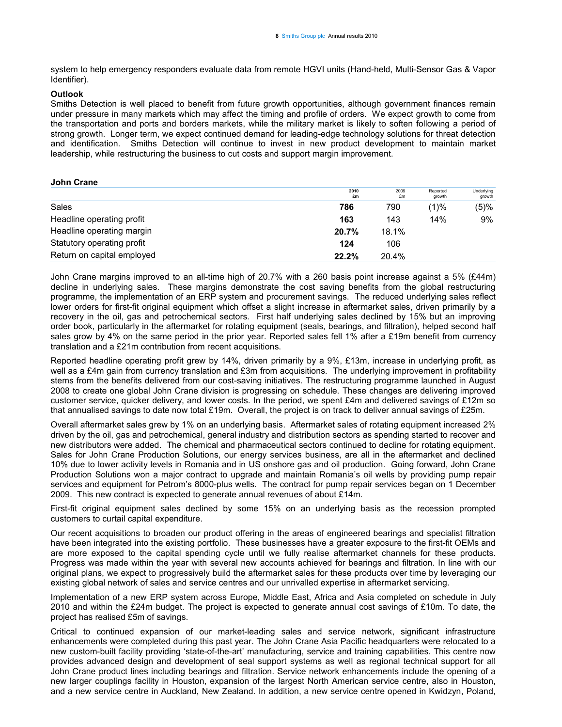system to help emergency responders evaluate data from remote HGVI units (Hand-held, Multi-Sensor Gas & Vapor Identifier).

## **Outlook**

Smiths Detection is well placed to benefit from future growth opportunities, although government finances remain under pressure in many markets which may affect the timing and profile of orders. We expect growth to come from the transportation and ports and borders markets, while the military market is likely to soften following a period of strong growth. Longer term, we expect continued demand for leading-edge technology solutions for threat detection and identification. Smiths Detection will continue to invest in new product development to maintain market leadership, while restructuring the business to cut costs and support margin improvement.

## **John Crane**

|                            | 2010<br>£m | 2009<br>£m | Reported<br>growth | Underlying<br>growth |
|----------------------------|------------|------------|--------------------|----------------------|
| Sales                      | 786        | 790        | (1)%               | (5)%                 |
| Headline operating profit  | 163        | 143        | 14%                | 9%                   |
| Headline operating margin  | 20.7%      | 18.1%      |                    |                      |
| Statutory operating profit | 124        | 106        |                    |                      |
| Return on capital employed | 22.2%      | 20.4%      |                    |                      |

John Crane margins improved to an all-time high of 20.7% with a 260 basis point increase against a 5% (£44m) decline in underlying sales. These margins demonstrate the cost saving benefits from the global restructuring programme, the implementation of an ERP system and procurement savings. The reduced underlying sales reflect lower orders for first-fit original equipment which offset a slight increase in aftermarket sales, driven primarily by a recovery in the oil, gas and petrochemical sectors. First half underlying sales declined by 15% but an improving order book, particularly in the aftermarket for rotating equipment (seals, bearings, and filtration), helped second half sales grow by 4% on the same period in the prior year. Reported sales fell 1% after a £19m benefit from currency translation and a £21m contribution from recent acquisitions.

Reported headline operating profit grew by 14%, driven primarily by a 9%, £13m, increase in underlying profit, as well as a £4m gain from currency translation and £3m from acquisitions. The underlying improvement in profitability stems from the benefits delivered from our cost-saving initiatives. The restructuring programme launched in August 2008 to create one global John Crane division is progressing on schedule. These changes are delivering improved customer service, quicker delivery, and lower costs. In the period, we spent £4m and delivered savings of £12m so that annualised savings to date now total £19m. Overall, the project is on track to deliver annual savings of £25m.

Overall aftermarket sales grew by 1% on an underlying basis. Aftermarket sales of rotating equipment increased 2% driven by the oil, gas and petrochemical, general industry and distribution sectors as spending started to recover and new distributors were added. The chemical and pharmaceutical sectors continued to decline for rotating equipment. Sales for John Crane Production Solutions, our energy services business, are all in the aftermarket and declined 10% due to lower activity levels in Romania and in US onshore gas and oil production. Going forward, John Crane Production Solutions won a major contract to upgrade and maintain Romania's oil wells by providing pump repair services and equipment for Petrom's 8000-plus wells. The contract for pump repair services began on 1 December 2009. This new contract is expected to generate annual revenues of about £14m.

First-fit original equipment sales declined by some 15% on an underlying basis as the recession prompted customers to curtail capital expenditure.

Our recent acquisitions to broaden our product offering in the areas of engineered bearings and specialist filtration have been integrated into the existing portfolio. These businesses have a greater exposure to the first-fit OEMs and are more exposed to the capital spending cycle until we fully realise aftermarket channels for these products. Progress was made within the year with several new accounts achieved for bearings and filtration. In line with our original plans, we expect to progressively build the aftermarket sales for these products over time by leveraging our existing global network of sales and service centres and our unrivalled expertise in aftermarket servicing.

Implementation of a new ERP system across Europe, Middle East, Africa and Asia completed on schedule in July 2010 and within the £24m budget. The project is expected to generate annual cost savings of £10m. To date, the project has realised £5m of savings.

Critical to continued expansion of our market-leading sales and service network, significant infrastructure enhancements were completed during this past year. The John Crane Asia Pacific headquarters were relocated to a new custom-built facility providing 'state-of-the-art' manufacturing, service and training capabilities. This centre now provides advanced design and development of seal support systems as well as regional technical support for all John Crane product lines including bearings and filtration. Service network enhancements include the opening of a new larger couplings facility in Houston, expansion of the largest North American service centre, also in Houston, and a new service centre in Auckland, New Zealand. In addition, a new service centre opened in Kwidzyn, Poland,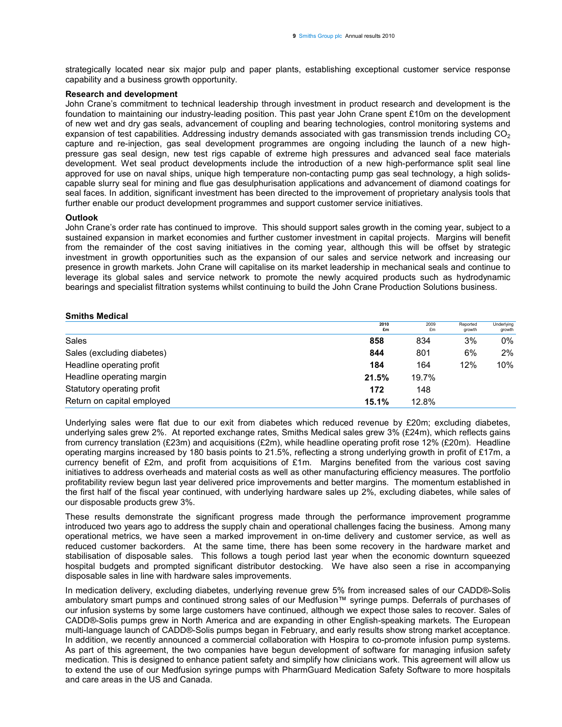strategically located near six major pulp and paper plants, establishing exceptional customer service response capability and a business growth opportunity.

## **Research and development**

John Crane's commitment to technical leadership through investment in product research and development is the foundation to maintaining our industry-leading position. This past year John Crane spent £10m on the development of new wet and dry gas seals, advancement of coupling and bearing technologies, control monitoring systems and expansion of test capabilities. Addressing industry demands associated with gas transmission trends including  $CO<sub>2</sub>$ capture and re-injection, gas seal development programmes are ongoing including the launch of a new highpressure gas seal design, new test rigs capable of extreme high pressures and advanced seal face materials development. Wet seal product developments include the introduction of a new high-performance split seal line approved for use on naval ships, unique high temperature non-contacting pump gas seal technology, a high solidscapable slurry seal for mining and flue gas desulphurisation applications and advancement of diamond coatings for seal faces. In addition, significant investment has been directed to the improvement of proprietary analysis tools that further enable our product development programmes and support customer service initiatives.

## **Outlook**

John Crane's order rate has continued to improve. This should support sales growth in the coming year, subject to a sustained expansion in market economies and further customer investment in capital projects. Margins will benefit from the remainder of the cost saving initiatives in the coming year, although this will be offset by strategic investment in growth opportunities such as the expansion of our sales and service network and increasing our presence in growth markets. John Crane will capitalise on its market leadership in mechanical seals and continue to leverage its global sales and service network to promote the newly acquired products such as hydrodynamic bearings and specialist filtration systems whilst continuing to build the John Crane Production Solutions business.

## **Smiths Medical**

|                            | 2010<br>£m | 2009<br>£m | Reported<br>growth | Underlying<br>growth |
|----------------------------|------------|------------|--------------------|----------------------|
| Sales                      | 858        | 834        | 3%                 | 0%                   |
| Sales (excluding diabetes) | 844        | 801        | 6%                 | 2%                   |
| Headline operating profit  | 184        | 164        | 12%                | 10%                  |
| Headline operating margin  | 21.5%      | 19.7%      |                    |                      |
| Statutory operating profit | 172        | 148        |                    |                      |
| Return on capital employed | 15.1%      | 12.8%      |                    |                      |

Underlying sales were flat due to our exit from diabetes which reduced revenue by £20m; excluding diabetes, underlying sales grew 2%. At reported exchange rates, Smiths Medical sales grew 3% (£24m), which reflects gains from currency translation (£23m) and acquisitions (£2m), while headline operating profit rose 12% (£20m). Headline operating margins increased by 180 basis points to 21.5%, reflecting a strong underlying growth in profit of £17m, a currency benefit of £2m, and profit from acquisitions of £1m. Margins benefited from the various cost saving initiatives to address overheads and material costs as well as other manufacturing efficiency measures. The portfolio profitability review begun last year delivered price improvements and better margins. The momentum established in the first half of the fiscal year continued, with underlying hardware sales up 2%, excluding diabetes, while sales of our disposable products grew 3%.

These results demonstrate the significant progress made through the performance improvement programme introduced two years ago to address the supply chain and operational challenges facing the business. Among many operational metrics, we have seen a marked improvement in on-time delivery and customer service, as well as reduced customer backorders. At the same time, there has been some recovery in the hardware market and stabilisation of disposable sales. This follows a tough period last year when the economic downturn squeezed hospital budgets and prompted significant distributor destocking. We have also seen a rise in accompanying disposable sales in line with hardware sales improvements.

In medication delivery, excluding diabetes, underlying revenue grew 5% from increased sales of our CADD®-Solis ambulatory smart pumps and continued strong sales of our Medfusion™ syringe pumps. Deferrals of purchases of our infusion systems by some large customers have continued, although we expect those sales to recover. Sales of CADD®-Solis pumps grew in North America and are expanding in other English-speaking markets. The European multi-language launch of CADD®-Solis pumps began in February, and early results show strong market acceptance. In addition, we recently announced a commercial collaboration with Hospira to co-promote infusion pump systems. As part of this agreement, the two companies have begun development of software for managing infusion safety medication. This is designed to enhance patient safety and simplify how clinicians work. This agreement will allow us to extend the use of our Medfusion syringe pumps with PharmGuard Medication Safety Software to more hospitals and care areas in the US and Canada.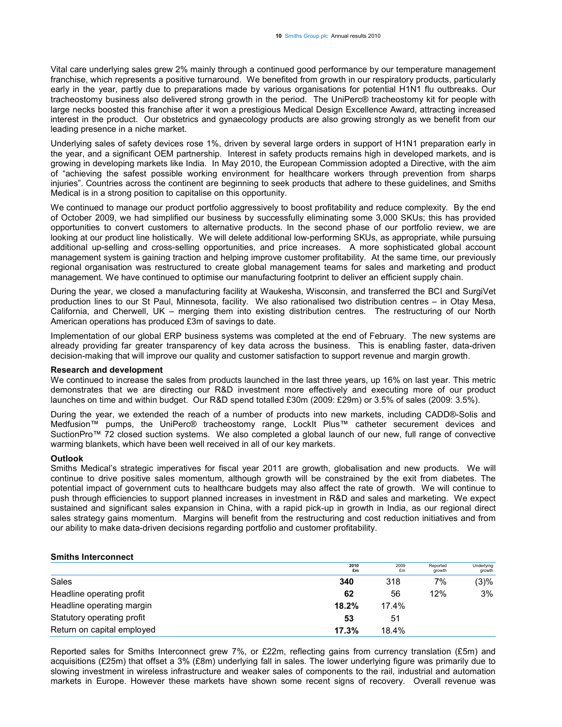Vital care underlying sales grew 2% mainly through a continued good performance by our temperature management franchise, which represents a positive turnaround. We benefited from growth in our respiratory products, particularly early in the year, partly due to preparations made by various organisations for potential H1N1 flu outbreaks. Our tracheostomy business also delivered strong growth in the period. The UniPerc® tracheostomy kit for people with large necks boosted this franchise after it won a prestigious Medical Design Excellence Award, attracting increased interest in the product. Our obstetrics and gynaecology products are also growing strongly as we benefit from our leading presence in a niche market.

Underlying sales of safety devices rose 1%, driven by several large orders in support of H1N1 preparation early in the year, and a significant OEM partnership. Interest in safety products remains high in developed markets, and is growing in developing markets like India. In May 2010, the European Commission adopted a Directive, with the aim of "achieving the safest possible working environment for healthcare workers through prevention from sharps injuries". Countries across the continent are beginning to seek products that adhere to these guidelines, and Smiths Medical is in a strong position to capitalise on this opportunity.

We continued to manage our product portfolio aggressively to boost profitability and reduce complexity. By the end of October 2009, we had simplified our business by successfully eliminating some 3,000 SKUs; this has provided opportunities to convert customers to alternative products. In the second phase of our portfolio review, we are looking at our product line holistically. We will delete additional low-performing SKUs, as appropriate, while pursuing additional up-selling and cross-selling opportunities, and price increases. A more sophisticated global account management system is gaining traction and helping improve customer profitability. At the same time, our previously regional organisation was restructured to create global management teams for sales and marketing and product management*.* We have continued to optimise our manufacturing footprint to deliver an efficient supply chain.

During the year, we closed a manufacturing facility at Waukesha, Wisconsin, and transferred the BCI and SurgiVet production lines to our St Paul, Minnesota, facility. We also rationalised two distribution centres – in Otay Mesa, California, and Cherwell, UK – merging them into existing distribution centres. The restructuring of our North American operations has produced £3m of savings to date.

Implementation of our global ERP business systems was completed at the end of February. The new systems are already providing far greater transparency of key data across the business. This is enabling faster, data-driven decision-making that will improve our quality and customer satisfaction to support revenue and margin growth.

## **Research and development**

We continued to increase the sales from products launched in the last three years, up 16% on last year. This metric demonstrates that we are directing our R&D investment more effectively and executing more of our product launches on time and within budget. Our R&D spend totalled £30m (2009: £29m) or 3.5% of sales (2009: 3.5%).

During the year, we extended the reach of a number of products into new markets, including CADD®-Solis and Medfusion™ pumps, the UniPerc® tracheostomy range, LockIt Plus™ catheter securement devices and SuctionPro™ 72 closed suction systems. We also completed a global launch of our new, full range of convective warming blankets, which have been well received in all of our key markets.

## **Outlook**

Smiths Medical's strategic imperatives for fiscal year 2011 are growth, globalisation and new products. We will continue to drive positive sales momentum, although growth will be constrained by the exit from diabetes. The potential impact of government cuts to healthcare budgets may also affect the rate of growth. We will continue to push through efficiencies to support planned increases in investment in R&D and sales and marketing. We expect sustained and significant sales expansion in China, with a rapid pick-up in growth in India, as our regional direct sales strategy gains momentum. Margins will benefit from the restructuring and cost reduction initiatives and from our ability to make data-driven decisions regarding portfolio and customer profitability.

### **Smiths Interconnect**

|                            | 2010<br>£m | 2009<br>£m | Reported<br>growth | Underlying<br>growth |
|----------------------------|------------|------------|--------------------|----------------------|
| Sales                      | 340        | 318        | 7%                 | $(3)\%$              |
| Headline operating profit  | 62         | 56         | 12%                | 3%                   |
| Headline operating margin  | 18.2%      | 17.4%      |                    |                      |
| Statutory operating profit | 53         | 51         |                    |                      |
| Return on capital employed | 17.3%      | 18.4%      |                    |                      |

Reported sales for Smiths Interconnect grew 7%, or £22m, reflecting gains from currency translation (£5m) and acquisitions (£25m) that offset a 3% (£8m) underlying fall in sales. The lower underlying figure was primarily due to slowing investment in wireless infrastructure and weaker sales of components to the rail, industrial and automation markets in Europe. However these markets have shown some recent signs of recovery. Overall revenue was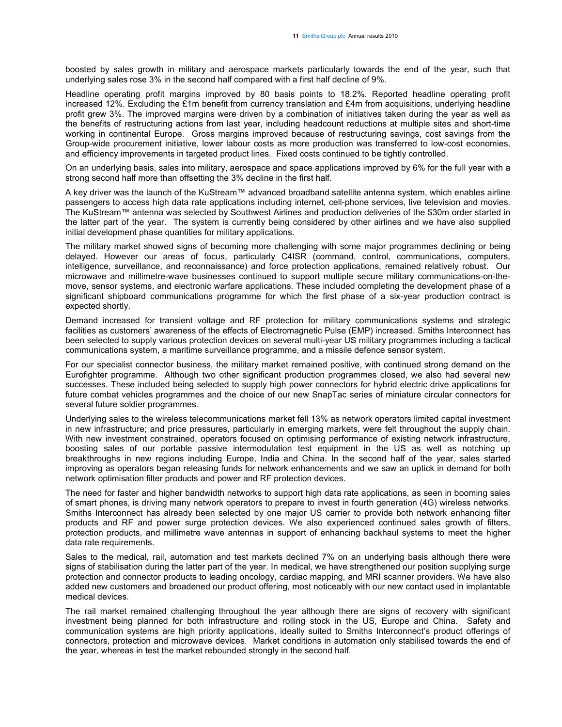boosted by sales growth in military and aerospace markets particularly towards the end of the year, such that underlying sales rose 3% in the second half compared with a first half decline of 9%.

Headline operating profit margins improved by 80 basis points to 18.2%. Reported headline operating profit increased 12%. Excluding the £1m benefit from currency translation and £4m from acquisitions, underlying headline profit grew 3%. The improved margins were driven by a combination of initiatives taken during the year as well as the benefits of restructuring actions from last year, including headcount reductions at multiple sites and short-time working in continental Europe. Gross margins improved because of restructuring savings, cost savings from the Group-wide procurement initiative, lower labour costs as more production was transferred to low-cost economies, and efficiency improvements in targeted product lines. Fixed costs continued to be tightly controlled.

On an underlying basis, sales into military, aerospace and space applications improved by 6% for the full year with a strong second half more than offsetting the 3% decline in the first half.

A key driver was the launch of the KuStream™ advanced broadband satellite antenna system, which enables airline passengers to access high data rate applications including internet, cell-phone services, live television and movies. The KuStream™ antenna was selected by Southwest Airlines and production deliveries of the \$30m order started in the latter part of the year. The system is currently being considered by other airlines and we have also supplied initial development phase quantities for military applications.

The military market showed signs of becoming more challenging with some major programmes declining or being delayed. However our areas of focus, particularly C4ISR (command, control, communications, computers, intelligence, surveillance, and reconnaissance) and force protection applications, remained relatively robust. Our microwave and millimetre-wave businesses continued to support multiple secure military communications-on-themove, sensor systems, and electronic warfare applications. These included completing the development phase of a significant shipboard communications programme for which the first phase of a six-year production contract is expected shortly.

Demand increased for transient voltage and RF protection for military communications systems and strategic facilities as customers' awareness of the effects of Electromagnetic Pulse (EMP) increased. Smiths Interconnect has been selected to supply various protection devices on several multi-year US military programmes including a tactical communications system, a maritime surveillance programme, and a missile defence sensor system.

For our specialist connector business, the military market remained positive, with continued strong demand on the Eurofighter programme. Although two other significant production programmes closed, we also had several new successes. These included being selected to supply high power connectors for hybrid electric drive applications for future combat vehicles programmes and the choice of our new SnapTac series of miniature circular connectors for several future soldier programmes.

Underlying sales to the wireless telecommunications market fell 13% as network operators limited capital investment in new infrastructure; and price pressures, particularly in emerging markets, were felt throughout the supply chain. With new investment constrained, operators focused on optimising performance of existing network infrastructure, boosting sales of our portable passive intermodulation test equipment in the US as well as notching up breakthroughs in new regions including Europe, India and China. In the second half of the year, sales started improving as operators began releasing funds for network enhancements and we saw an uptick in demand for both network optimisation filter products and power and RF protection devices.

The need for faster and higher bandwidth networks to support high data rate applications, as seen in booming sales of smart phones, is driving many network operators to prepare to invest in fourth generation (4G) wireless networks. Smiths Interconnect has already been selected by one major US carrier to provide both network enhancing filter products and RF and power surge protection devices. We also experienced continued sales growth of filters, protection products, and millimetre wave antennas in support of enhancing backhaul systems to meet the higher data rate requirements.

Sales to the medical, rail, automation and test markets declined 7% on an underlying basis although there were signs of stabilisation during the latter part of the year. In medical, we have strengthened our position supplying surge protection and connector products to leading oncology, cardiac mapping, and MRI scanner providers. We have also added new customers and broadened our product offering, most noticeably with our new contact used in implantable medical devices.

The rail market remained challenging throughout the year although there are signs of recovery with significant investment being planned for both infrastructure and rolling stock in the US, Europe and China. Safety and communication systems are high priority applications, ideally suited to Smiths Interconnect's product offerings of connectors, protection and microwave devices. Market conditions in automation only stabilised towards the end of the year, whereas in test the market rebounded strongly in the second half.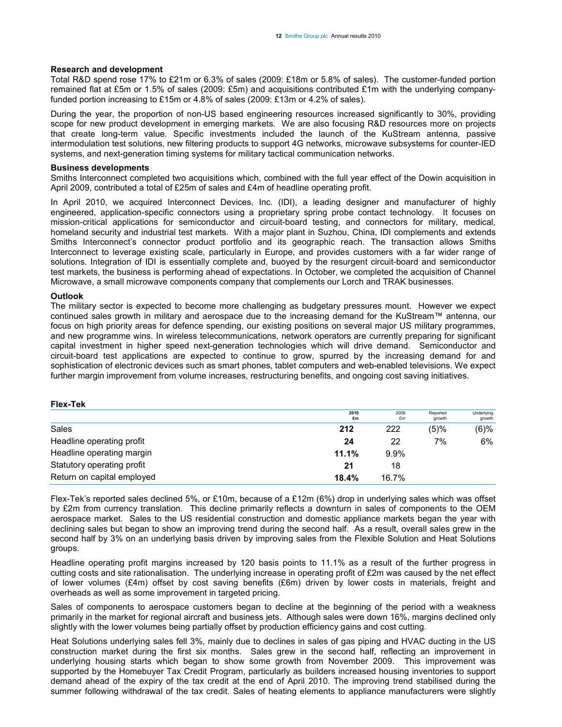## **Research and development**

Total R&D spend rose 17% to £21m or 6.3% of sales (2009: £18m or 5.8% of sales). The customer-funded portion remained flat at £5m or 1.5% of sales (2009: £5m) and acquisitions contributed £1m with the underlying companyfunded portion increasing to £15m or 4.8% of sales (2009: £13m or 4.2% of sales).

During the year, the proportion of non-US based engineering resources increased significantly to 30%, providing scope for new product development in emerging markets. We are also focusing R&D resources more on projects that create long-term value. Specific investments included the launch of the KuStream antenna, passive intermodulation test solutions, new filtering products to support 4G networks, microwave subsystems for counter-IED systems, and next-generation timing systems for military tactical communication networks.

## **Business developments**

Smiths Interconnect completed two acquisitions which, combined with the full year effect of the Dowin acquisition in April 2009, contributed a total of £25m of sales and £4m of headline operating profit.

In April 2010, we acquired Interconnect Devices, Inc. (IDI), a leading designer and manufacturer of highly engineered, application-specific connectors using a proprietary spring probe contact technology. It focuses on mission-critical applications for semiconductor and circuit-board testing, and connectors for military, medical, homeland security and industrial test markets. With a major plant in Suzhou, China, IDI complements and extends Smiths Interconnect's connector product portfolio and its geographic reach. The transaction allows Smiths Interconnect to leverage existing scale, particularly in Europe, and provides customers with a far wider range of solutions. Integration of IDI is essentially complete and, buoyed by the resurgent circuit-board and semiconductor test markets, the business is performing ahead of expectations. In October, we completed the acquisition of Channel Microwave, a small microwave components company that complements our Lorch and TRAK businesses.

## **Outlook**

The military sector is expected to become more challenging as budgetary pressures mount. However we expect continued sales growth in military and aerospace due to the increasing demand for the KuStream™ antenna, our focus on high priority areas for defence spending, our existing positions on several major US military programmes, and new programme wins. In wireless telecommunications, network operators are currently preparing for significant capital investment in higher speed next-generation technologies which will drive demand. Semiconductor and circuit-board test applications are expected to continue to grow, spurred by the increasing demand for and sophistication of electronic devices such as smart phones, tablet computers and web-enabled televisions. We expect further margin improvement from volume increases, restructuring benefits, and ongoing cost saving initiatives.

## **Flex-Tek**

|                            | 2010<br>£m | 2009<br>£m | Reported<br>growth | Underlying<br>growth |
|----------------------------|------------|------------|--------------------|----------------------|
| Sales                      | 212        | 222        | (5)%               | (6)%                 |
| Headline operating profit  | 24         | 22         | 7%                 | 6%                   |
| Headline operating margin  | 11.1%      | $9.9\%$    |                    |                      |
| Statutory operating profit | 21         | 18         |                    |                      |
| Return on capital employed | 18.4%      | 16.7%      |                    |                      |

Flex-Tek's reported sales declined 5%, or £10m, because of a £12m (6%) drop in underlying sales which was offset by £2m from currency translation. This decline primarily reflects a downturn in sales of components to the OEM aerospace market. Sales to the US residential construction and domestic appliance markets began the year with declining sales but began to show an improving trend during the second half. As a result, overall sales grew in the second half by 3% on an underlying basis driven by improving sales from the Flexible Solution and Heat Solutions groups.

Headline operating profit margins increased by 120 basis points to 11.1% as a result of the further progress in cutting costs and site rationalisation. The underlying increase in operating profit of £2m was caused by the net effect of lower volumes (£4m) offset by cost saving benefits (£6m) driven by lower costs in materials, freight and overheads as well as some improvement in targeted pricing.

Sales of components to aerospace customers began to decline at the beginning of the period with a weakness primarily in the market for regional aircraft and business jets. Although sales were down 16%, margins declined only slightly with the lower volumes being partially offset by production efficiency gains and cost cutting.

Heat Solutions underlying sales fell 3%, mainly due to declines in sales of gas piping and HVAC ducting in the US construction market during the first six months. Sales grew in the second half, reflecting an improvement in underlying housing starts which began to show some growth from November 2009. This improvement was supported by the Homebuyer Tax Credit Program, particularly as builders increased housing inventories to support demand ahead of the expiry of the tax credit at the end of April 2010. The improving trend stabilised during the summer following withdrawal of the tax credit. Sales of heating elements to appliance manufacturers were slightly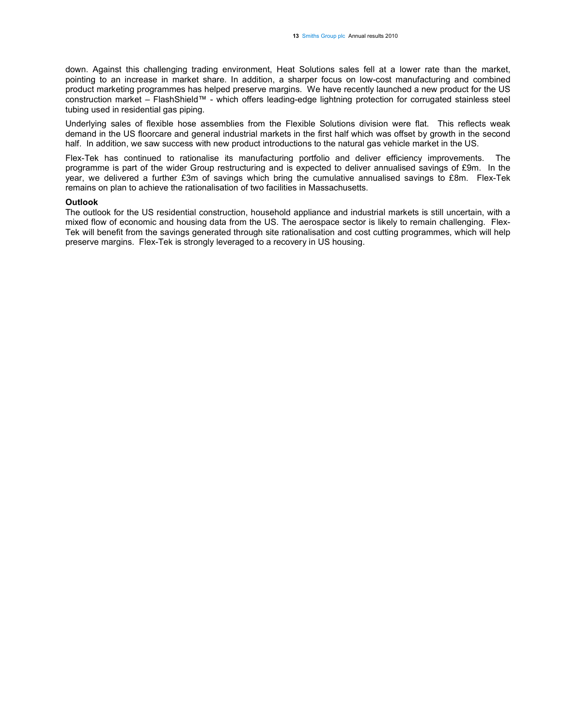down. Against this challenging trading environment, Heat Solutions sales fell at a lower rate than the market, pointing to an increase in market share. In addition, a sharper focus on low-cost manufacturing and combined product marketing programmes has helped preserve margins. We have recently launched a new product for the US construction market – FlashShield™ - which offers leading-edge lightning protection for corrugated stainless steel tubing used in residential gas piping.

Underlying sales of flexible hose assemblies from the Flexible Solutions division were flat. This reflects weak demand in the US floorcare and general industrial markets in the first half which was offset by growth in the second half. In addition, we saw success with new product introductions to the natural gas vehicle market in the US.

Flex-Tek has continued to rationalise its manufacturing portfolio and deliver efficiency improvements. The programme is part of the wider Group restructuring and is expected to deliver annualised savings of £9m. In the year, we delivered a further £3m of savings which bring the cumulative annualised savings to £8m. Flex-Tek remains on plan to achieve the rationalisation of two facilities in Massachusetts.

## **Outlook**

The outlook for the US residential construction, household appliance and industrial markets is still uncertain, with a mixed flow of economic and housing data from the US. The aerospace sector is likely to remain challenging. Flex-Tek will benefit from the savings generated through site rationalisation and cost cutting programmes, which will help preserve margins. Flex-Tek is strongly leveraged to a recovery in US housing.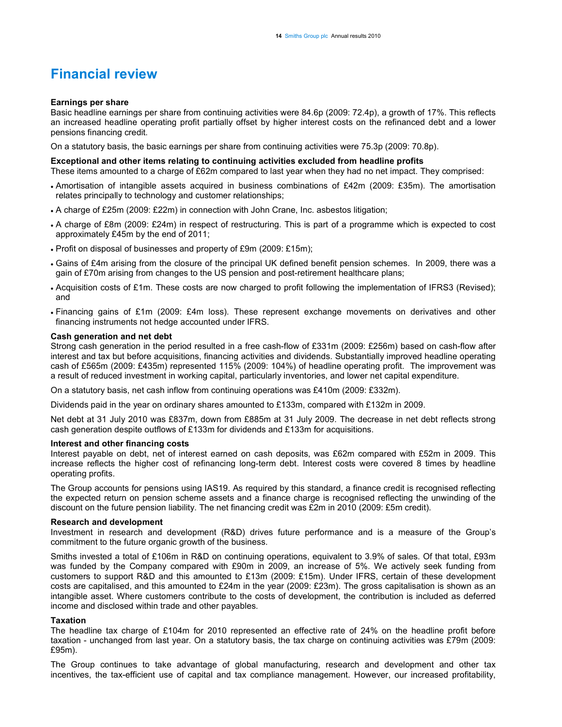## **Financial review**

## **Earnings per share**

Basic headline earnings per share from continuing activities were 84.6p (2009: 72.4p), a growth of 17%. This reflects an increased headline operating profit partially offset by higher interest costs on the refinanced debt and a lower pensions financing credit.

On a statutory basis, the basic earnings per share from continuing activities were 75.3p (2009: 70.8p).

## **Exceptional and other items relating to continuing activities excluded from headline profits**

These items amounted to a charge of £62m compared to last year when they had no net impact. They comprised:

- Amortisation of intangible assets acquired in business combinations of £42m (2009: £35m). The amortisation relates principally to technology and customer relationships;
- A charge of £25m (2009: £22m) in connection with John Crane, Inc. asbestos litigation;
- A charge of £8m (2009: £24m) in respect of restructuring. This is part of a programme which is expected to cost approximately £45m by the end of 2011;
- Profit on disposal of businesses and property of £9m (2009: £15m);
- Gains of £4m arising from the closure of the principal UK defined benefit pension schemes. In 2009, there was a gain of £70m arising from changes to the US pension and post-retirement healthcare plans;
- Acquisition costs of £1m. These costs are now charged to profit following the implementation of IFRS3 (Revised); and
- Financing gains of £1m (2009: £4m loss). These represent exchange movements on derivatives and other financing instruments not hedge accounted under IFRS.

## **Cash generation and net debt**

Strong cash generation in the period resulted in a free cash-flow of £331m (2009: £256m) based on cash-flow after interest and tax but before acquisitions, financing activities and dividends. Substantially improved headline operating cash of £565m (2009: £435m) represented 115% (2009: 104%) of headline operating profit. The improvement was a result of reduced investment in working capital, particularly inventories, and lower net capital expenditure.

On a statutory basis, net cash inflow from continuing operations was £410m (2009: £332m).

Dividends paid in the year on ordinary shares amounted to £133m, compared with £132m in 2009.

Net debt at 31 July 2010 was £837m, down from £885m at 31 July 2009. The decrease in net debt reflects strong cash generation despite outflows of £133m for dividends and £133m for acquisitions.

## **Interest and other financing costs**

Interest payable on debt, net of interest earned on cash deposits, was £62m compared with £52m in 2009. This increase reflects the higher cost of refinancing long-term debt. Interest costs were covered 8 times by headline operating profits.

The Group accounts for pensions using IAS19. As required by this standard, a finance credit is recognised reflecting the expected return on pension scheme assets and a finance charge is recognised reflecting the unwinding of the discount on the future pension liability. The net financing credit was £2m in 2010 (2009: £5m credit).

## **Research and development**

Investment in research and development (R&D) drives future performance and is a measure of the Group's commitment to the future organic growth of the business.

Smiths invested a total of £106m in R&D on continuing operations, equivalent to 3.9% of sales. Of that total, £93m was funded by the Company compared with £90m in 2009, an increase of 5%. We actively seek funding from customers to support R&D and this amounted to £13m (2009: £15m). Under IFRS, certain of these development costs are capitalised, and this amounted to £24m in the year (2009: £23m). The gross capitalisation is shown as an intangible asset. Where customers contribute to the costs of development, the contribution is included as deferred income and disclosed within trade and other payables.

## **Taxation**

The headline tax charge of £104m for 2010 represented an effective rate of 24% on the headline profit before taxation - unchanged from last year. On a statutory basis, the tax charge on continuing activities was £79m (2009: £95m).

The Group continues to take advantage of global manufacturing, research and development and other tax incentives, the tax-efficient use of capital and tax compliance management. However, our increased profitability,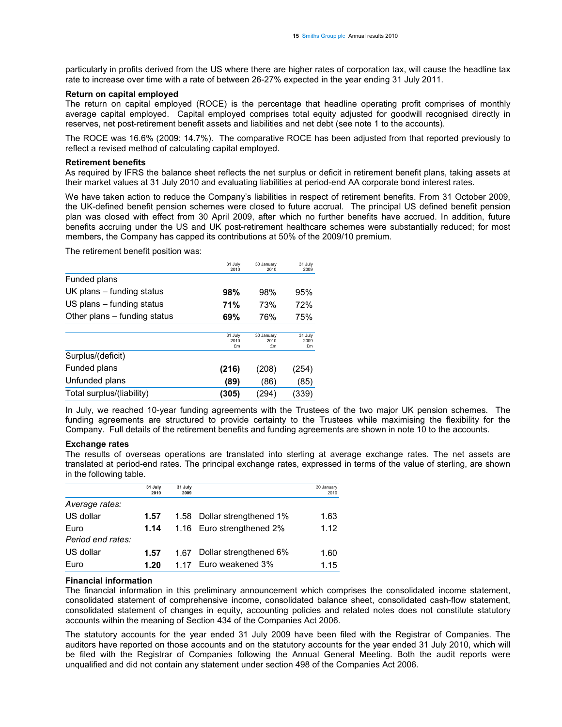particularly in profits derived from the US where there are higher rates of corporation tax, will cause the headline tax rate to increase over time with a rate of between 26-27% expected in the year ending 31 July 2011.

## **Return on capital employed**

The return on capital employed (ROCE) is the percentage that headline operating profit comprises of monthly average capital employed. Capital employed comprises total equity adjusted for goodwill recognised directly in reserves, net post-retirement benefit assets and liabilities and net debt (see note 1 to the accounts).

The ROCE was 16.6% (2009: 14.7%). The comparative ROCE has been adjusted from that reported previously to reflect a revised method of calculating capital employed.

### **Retirement benefits**

As required by IFRS the balance sheet reflects the net surplus or deficit in retirement benefit plans, taking assets at their market values at 31 July 2010 and evaluating liabilities at period-end AA corporate bond interest rates.

We have taken action to reduce the Company's liabilities in respect of retirement benefits. From 31 October 2009, the UK-defined benefit pension schemes were closed to future accrual. The principal US defined benefit pension plan was closed with effect from 30 April 2009, after which no further benefits have accrued. In addition, future benefits accruing under the US and UK post-retirement healthcare schemes were substantially reduced; for most members, the Company has capped its contributions at 50% of the 2009/10 premium.

The retirement benefit position was:

|                              | 31 July<br>2010       | 30 January<br>2010       | 31 July<br>2009       |
|------------------------------|-----------------------|--------------------------|-----------------------|
| Funded plans                 |                       |                          |                       |
| UK plans – funding status    | 98%                   | 98%                      | 95%                   |
| US plans - funding status    | 71%                   | 73%                      | 72%                   |
| Other plans – funding status | 69%                   | 76%                      | 75%                   |
|                              | 31 July<br>2010<br>£m | 30 January<br>2010<br>£m | 31 July<br>2009<br>£m |
| Surplus/(deficit)            |                       |                          |                       |
| Funded plans                 | (216)                 | (208)                    | (254)                 |
| Unfunded plans               | (89)                  | (86)                     | (85)                  |
| Total surplus/(liability)    | (305)                 | (294)                    | (339)                 |

In July, we reached 10-year funding agreements with the Trustees of the two major UK pension schemes. The funding agreements are structured to provide certainty to the Trustees while maximising the flexibility for the Company. Full details of the retirement benefits and funding agreements are shown in note 10 to the accounts.

## **Exchange rates**

The results of overseas operations are translated into sterling at average exchange rates. The net assets are translated at period-end rates. The principal exchange rates, expressed in terms of the value of sterling, are shown in the following table.

|                   | 31 July | 31 July |                             | 30 January |
|-------------------|---------|---------|-----------------------------|------------|
|                   | 2010    | 2009    |                             | 2010       |
| Average rates:    |         |         |                             |            |
| US dollar         | 1.57    |         | 1.58 Dollar strengthened 1% | 1.63       |
| Euro              | 1.14    |         | 1.16 Euro strengthened 2%   | 1.12       |
| Period end rates: |         |         |                             |            |
| US dollar         | 1.57    | 1.67    | Dollar strengthened 6%      | 1.60       |
| Euro              | 1.20    |         | Euro weakened 3%            | 1.15       |

## **Financial information**

The financial information in this preliminary announcement which comprises the consolidated income statement, consolidated statement of comprehensive income, consolidated balance sheet, consolidated cash-flow statement, consolidated statement of changes in equity, accounting policies and related notes does not constitute statutory accounts within the meaning of Section 434 of the Companies Act 2006.

The statutory accounts for the year ended 31 July 2009 have been filed with the Registrar of Companies. The auditors have reported on those accounts and on the statutory accounts for the year ended 31 July 2010, which will be filed with the Registrar of Companies following the Annual General Meeting. Both the audit reports were unqualified and did not contain any statement under section 498 of the Companies Act 2006.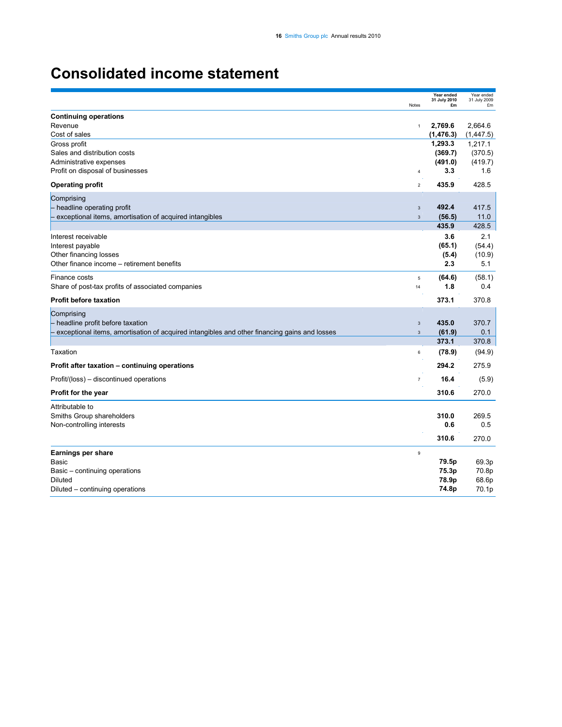# **Consolidated income statement**

|                                                                                              |                | Year ended<br>31 July 2010 | Year ended<br>31 July 2009 |
|----------------------------------------------------------------------------------------------|----------------|----------------------------|----------------------------|
|                                                                                              | Notes          | £m                         | £m                         |
| <b>Continuing operations</b>                                                                 |                |                            |                            |
| Revenue                                                                                      | $\mathbf{1}$   | 2,769.6                    | 2,664.6                    |
| Cost of sales                                                                                |                | (1, 476.3)                 | (1,447.5)                  |
| Gross profit                                                                                 |                | 1,293.3                    | 1,217.1                    |
| Sales and distribution costs                                                                 |                | (369.7)                    | (370.5)                    |
| Administrative expenses                                                                      |                | (491.0)                    | (419.7)                    |
| Profit on disposal of businesses                                                             | $\overline{4}$ | 3.3                        | 1.6                        |
| <b>Operating profit</b>                                                                      | $\overline{2}$ | 435.9                      | 428.5                      |
| Comprising                                                                                   |                |                            |                            |
| - headline operating profit                                                                  | 3              | 492.4                      | 417.5                      |
| exceptional items, amortisation of acquired intangibles                                      | $\overline{3}$ | (56.5)                     | 11.0                       |
|                                                                                              |                | 435.9                      | 428.5                      |
| Interest receivable                                                                          |                | 3.6                        | 2.1                        |
| Interest payable                                                                             |                | (65.1)                     | (54.4)                     |
| Other financing losses                                                                       |                | (5.4)<br>2.3               | (10.9)                     |
| Other finance income – retirement benefits                                                   |                |                            | 5.1                        |
| Finance costs                                                                                | $\mathbf 5$    | (64.6)                     | (58.1)                     |
| Share of post-tax profits of associated companies                                            | 14             | 1.8                        | 0.4                        |
| <b>Profit before taxation</b>                                                                |                | 373.1                      | 370.8                      |
| Comprising                                                                                   |                |                            |                            |
| - headline profit before taxation                                                            | $\mathbf{3}$   | 435.0                      | 370.7                      |
| exceptional items, amortisation of acquired intangibles and other financing gains and losses | $\overline{3}$ | (61.9)                     | 0.1                        |
|                                                                                              |                | 373.1                      | 370.8                      |
| Taxation                                                                                     | 6              | (78.9)                     | (94.9)                     |
| Profit after taxation - continuing operations                                                |                | 294.2                      | 275.9                      |
| Profit/(loss) – discontinued operations                                                      | $\overline{7}$ | 16.4                       | (5.9)                      |
| Profit for the year                                                                          |                | 310.6                      | 270.0                      |
| Attributable to                                                                              |                |                            |                            |
| Smiths Group shareholders                                                                    |                | 310.0                      | 269.5                      |
| Non-controlling interests                                                                    |                | 0.6                        | 0.5                        |
|                                                                                              |                | 310.6                      | 270.0                      |
| <b>Earnings per share</b>                                                                    | $\mathsf{9}$   |                            |                            |
| Basic                                                                                        |                | 79.5p                      | 69.3p                      |
| Basic – continuing operations                                                                |                | 75.3p                      | 70.8p                      |
| Diluted                                                                                      |                | 78.9p                      | 68.6p                      |
| Diluted - continuing operations                                                              |                | 74.8p                      | 70.1p                      |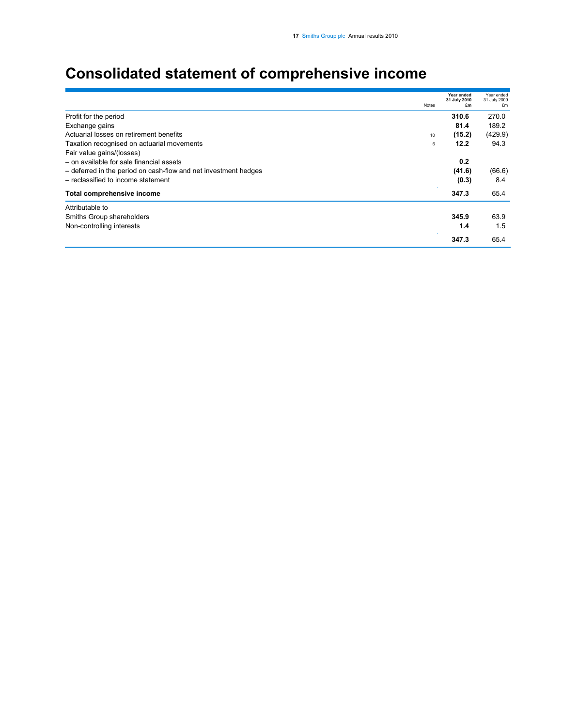# **Consolidated statement of comprehensive income**

|                                                                 | <b>Notes</b> | Year ended<br>31 July 2010<br>£m | Year ended<br>31 July 2009<br>£m |
|-----------------------------------------------------------------|--------------|----------------------------------|----------------------------------|
| Profit for the period                                           |              | 310.6                            | 270.0                            |
| Exchange gains                                                  |              | 81.4                             | 189.2                            |
| Actuarial losses on retirement benefits                         | 10           | (15.2)                           | (429.9)                          |
| Taxation recognised on actuarial movements                      | 6            | 12.2                             | 94.3                             |
| Fair value gains/(losses)                                       |              |                                  |                                  |
| - on available for sale financial assets                        |              | 0.2                              |                                  |
| - deferred in the period on cash-flow and net investment hedges |              | (41.6)                           | (66.6)                           |
| - reclassified to income statement                              |              | (0.3)                            | 8.4                              |
| Total comprehensive income                                      |              | 347.3                            | 65.4                             |
| Attributable to                                                 |              |                                  |                                  |
| Smiths Group shareholders                                       |              | 345.9                            | 63.9                             |
| Non-controlling interests                                       |              | 1.4                              | 1.5                              |
|                                                                 |              | 347.3                            | 65.4                             |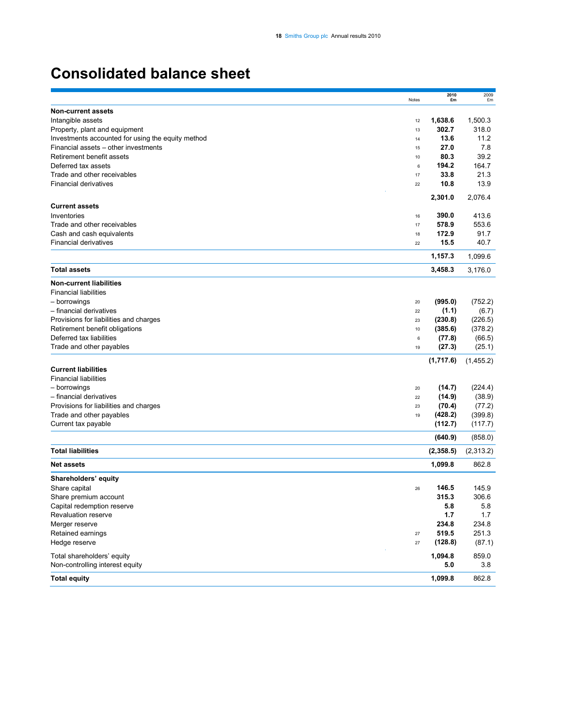# **Consolidated balance sheet**

|                                                                | Notes | 2010<br>£m     | 2009<br>£m     |
|----------------------------------------------------------------|-------|----------------|----------------|
| <b>Non-current assets</b>                                      |       |                |                |
| Intangible assets                                              | 12    | 1,638.6        | 1,500.3        |
| Property, plant and equipment                                  | 13    | 302.7          | 318.0          |
| Investments accounted for using the equity method              | 14    | 13.6           | 11.2           |
| Financial assets - other investments                           | 15    | 27.0           | 7.8            |
| Retirement benefit assets                                      | 10    | 80.3           | 39.2           |
| Deferred tax assets                                            | 6     | 194.2          | 164.7          |
| Trade and other receivables                                    | 17    | 33.8           | 21.3           |
| <b>Financial derivatives</b>                                   | 22    | 10.8           | 13.9           |
|                                                                |       | 2,301.0        | 2,076.4        |
| <b>Current assets</b>                                          |       |                |                |
| Inventories                                                    | 16    | 390.0<br>578.9 | 413.6<br>553.6 |
| Trade and other receivables                                    | 17    |                |                |
| Cash and cash equivalents<br><b>Financial derivatives</b>      | 18    | 172.9<br>15.5  | 91.7<br>40.7   |
|                                                                | 22    |                |                |
|                                                                |       | 1,157.3        | 1,099.6        |
| <b>Total assets</b>                                            |       | 3,458.3        | 3,176.0        |
| <b>Non-current liabilities</b><br><b>Financial liabilities</b> |       |                |                |
| - borrowings                                                   | 20    | (995.0)        | (752.2)        |
| - financial derivatives                                        | 22    | (1.1)          | (6.7)          |
| Provisions for liabilities and charges                         | 23    | (230.8)        | (226.5)        |
| Retirement benefit obligations                                 | 10    | (385.6)        | (378.2)        |
| Deferred tax liabilities                                       | 6     | (77.8)         | (66.5)         |
| Trade and other payables                                       | 19    | (27.3)         | (25.1)         |
|                                                                |       | (1,717.6)      | (1,455.2)      |
| <b>Current liabilities</b>                                     |       |                |                |
| <b>Financial liabilities</b>                                   |       |                |                |
| - borrowings                                                   | 20    | (14.7)         | (224.4)        |
| - financial derivatives                                        | 22    | (14.9)         | (38.9)         |
| Provisions for liabilities and charges                         | 23    | (70.4)         | (77.2)         |
| Trade and other payables                                       | 19    | (428.2)        | (399.8)        |
| Current tax payable                                            |       | (112.7)        | (117.7)        |
|                                                                |       | (640.9)        | (858.0)        |
| <b>Total liabilities</b>                                       |       | (2,358.5)      | (2,313.2)      |
| <b>Net assets</b>                                              |       | 1,099.8        | 862.8          |
| Shareholders' equity                                           |       |                |                |
| Share capital                                                  | 26    | 146.5          | 145.9          |
| Share premium account                                          |       | 315.3          | 306.6          |
| Capital redemption reserve                                     |       | $5.8\,$        | 5.8            |
| Revaluation reserve                                            |       | $1.7$          | 1.7            |
| Merger reserve                                                 |       | 234.8          | 234.8          |
| Retained earnings                                              | 27    | 519.5          | 251.3          |
| Hedge reserve                                                  | 27    | (128.8)        | (87.1)         |
| Total shareholders' equity                                     |       | 1,094.8        | 859.0          |
| Non-controlling interest equity                                |       | 5.0            | 3.8            |
| <b>Total equity</b>                                            |       | 1,099.8        | 862.8          |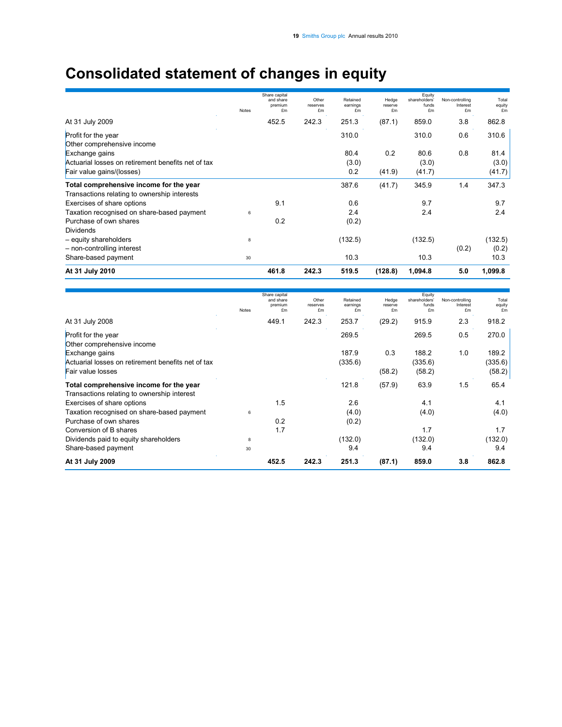# **Consolidated statement of changes in equity**

|                                                                                                   | Notes | Share capital<br>and share<br>premium<br>£m | Other<br>reserves<br>£m | Retained<br>earnings<br>£m | Hedge<br>reserve<br>£m | Equity<br>shareholders'<br>funds<br>£m | Non-controlling<br>Interest<br>£m | Total<br>equity<br>£m   |
|---------------------------------------------------------------------------------------------------|-------|---------------------------------------------|-------------------------|----------------------------|------------------------|----------------------------------------|-----------------------------------|-------------------------|
| At 31 July 2009                                                                                   |       | 452.5                                       | 242.3                   | 251.3                      | (87.1)                 | 859.0                                  | 3.8                               | 862.8                   |
| Profit for the year<br>Other comprehensive income                                                 |       |                                             |                         | 310.0                      |                        | 310.0                                  | 0.6                               | 310.6                   |
| Exchange gains<br>Actuarial losses on retirement benefits net of tax<br>Fair value gains/(losses) |       |                                             |                         | 80.4<br>(3.0)<br>0.2       | 0.2<br>(41.9)          | 80.6<br>(3.0)<br>(41.7)                | 0.8                               | 81.4<br>(3.0)<br>(41.7) |
| Total comprehensive income for the year<br>Transactions relating to ownership interests           |       |                                             |                         | 387.6                      | (41.7)                 | 345.9                                  | 1.4                               | 347.3                   |
| Exercises of share options<br>Taxation recognised on share-based payment                          | 6     | 9.1                                         |                         | 0.6<br>2.4                 |                        | 9.7<br>2.4                             |                                   | 9.7<br>2.4              |
| Purchase of own shares<br><b>Dividends</b>                                                        |       | 0.2                                         |                         | (0.2)                      |                        |                                        |                                   |                         |
| - equity shareholders<br>- non-controlling interest                                               | 8     |                                             |                         | (132.5)                    |                        | (132.5)                                | (0.2)                             | (132.5)<br>(0.2)        |
| Share-based payment                                                                               | 30    |                                             |                         | 10.3                       |                        | 10.3                                   |                                   | 10.3                    |
| At 31 July 2010                                                                                   |       | 461.8                                       | 242.3                   | 519.5                      | (128.8)                | 1,094.8                                | 5.0                               | 1,099.8                 |

|                                                                                        | <b>Notes</b> | Share capital<br>and share<br>premium<br>£m | Other<br>reserves<br>£m | Retained<br>earnings<br>£m | Hedge<br>reserve<br>£m | Equity<br>shareholders'<br>funds<br>£m | Non-controlling<br>Interest<br>£m | Total<br>equity<br>£m |
|----------------------------------------------------------------------------------------|--------------|---------------------------------------------|-------------------------|----------------------------|------------------------|----------------------------------------|-----------------------------------|-----------------------|
| At 31 July 2008                                                                        |              | 449.1                                       | 242.3                   | 253.7                      | (29.2)                 | 915.9                                  | 2.3                               | 918.2                 |
| Profit for the year<br>Other comprehensive income                                      |              |                                             |                         | 269.5                      |                        | 269.5                                  | 0.5                               | 270.0                 |
| Exchange gains                                                                         |              |                                             |                         | 187.9                      | 0.3                    | 188.2                                  | 1.0                               | 189.2                 |
| Actuarial losses on retirement benefits net of tax                                     |              |                                             |                         | (335.6)                    |                        | (335.6)                                |                                   | (335.6)               |
| Fair value losses                                                                      |              |                                             |                         |                            | (58.2)                 | (58.2)                                 |                                   | (58.2)                |
| Total comprehensive income for the year<br>Transactions relating to ownership interest |              |                                             |                         | 121.8                      | (57.9)                 | 63.9                                   | 1.5                               | 65.4                  |
| Exercises of share options                                                             |              | 1.5                                         |                         | 2.6                        |                        | 4.1                                    |                                   | 4.1                   |
| Taxation recognised on share-based payment                                             | 6            |                                             |                         | (4.0)                      |                        | (4.0)                                  |                                   | (4.0)                 |
| Purchase of own shares                                                                 |              | 0.2                                         |                         | (0.2)                      |                        |                                        |                                   |                       |
| Conversion of B shares                                                                 |              | 1.7                                         |                         |                            |                        | 1.7                                    |                                   | 1.7                   |
| Dividends paid to equity shareholders                                                  | 8            |                                             |                         | (132.0)                    |                        | (132.0)                                |                                   | (132.0)               |
| Share-based payment                                                                    | 30           |                                             |                         | 9.4                        |                        | 9.4                                    |                                   | 9.4                   |
| At 31 July 2009                                                                        |              | 452.5                                       | 242.3                   | 251.3                      | (87.1)                 | 859.0                                  | 3.8                               | 862.8                 |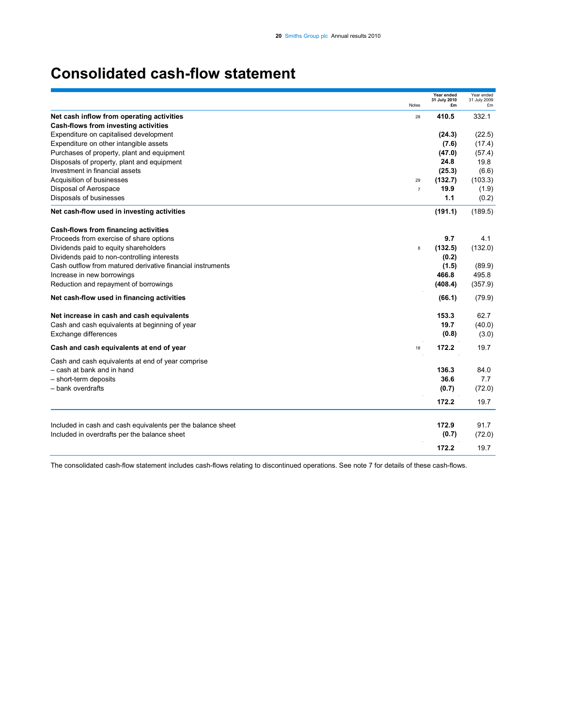# **Consolidated cash-flow statement**

|                                                             |                | Year ended<br>31 July 2010 | Year ended<br>31 July 2009 |
|-------------------------------------------------------------|----------------|----------------------------|----------------------------|
|                                                             | Notes          | £m                         | £m                         |
| Net cash inflow from operating activities                   | 28             | 410.5                      | 332.1                      |
| Cash-flows from investing activities                        |                |                            |                            |
| Expenditure on capitalised development                      |                | (24.3)                     | (22.5)                     |
| Expenditure on other intangible assets                      |                | (7.6)                      | (17.4)                     |
| Purchases of property, plant and equipment                  |                | (47.0)                     | (57.4)                     |
| Disposals of property, plant and equipment                  |                | 24.8                       | 19.8                       |
| Investment in financial assets                              |                | (25.3)                     | (6.6)                      |
| Acquisition of businesses                                   | 29             | (132.7)                    | (103.3)                    |
| Disposal of Aerospace                                       | $\overline{7}$ | 19.9                       | (1.9)                      |
| Disposals of businesses                                     |                | 1.1                        | (0.2)                      |
| Net cash-flow used in investing activities                  |                | (191.1)                    | (189.5)                    |
| Cash-flows from financing activities                        |                |                            |                            |
| Proceeds from exercise of share options                     |                | 9.7                        | 4.1                        |
| Dividends paid to equity shareholders                       | 8              | (132.5)                    | (132.0)                    |
| Dividends paid to non-controlling interests                 |                | (0.2)                      |                            |
| Cash outflow from matured derivative financial instruments  |                | (1.5)                      | (89.9)                     |
| Increase in new borrowings                                  |                | 466.8                      | 495.8                      |
| Reduction and repayment of borrowings                       |                | (408.4)                    | (357.9)                    |
| Net cash-flow used in financing activities                  |                | (66.1)                     | (79.9)                     |
| Net increase in cash and cash equivalents                   |                | 153.3                      | 62.7                       |
| Cash and cash equivalents at beginning of year              |                | 19.7                       | (40.0)                     |
| Exchange differences                                        |                | (0.8)                      | (3.0)                      |
| Cash and cash equivalents at end of year                    | 18             | 172.2                      | 19.7                       |
| Cash and cash equivalents at end of year comprise           |                |                            |                            |
| - cash at bank and in hand                                  |                | 136.3                      | 84.0                       |
| - short-term deposits                                       |                | 36.6                       | 7.7                        |
| - bank overdrafts                                           |                | (0.7)                      | (72.0)                     |
|                                                             |                | 172.2                      | 19.7                       |
| Included in cash and cash equivalents per the balance sheet |                | 172.9                      | 91.7                       |
| Included in overdrafts per the balance sheet                |                | (0.7)                      | (72.0)                     |
|                                                             |                | 172.2                      | 19.7                       |

The consolidated cash-flow statement includes cash-flows relating to discontinued operations. See note 7 for details of these cash-flows.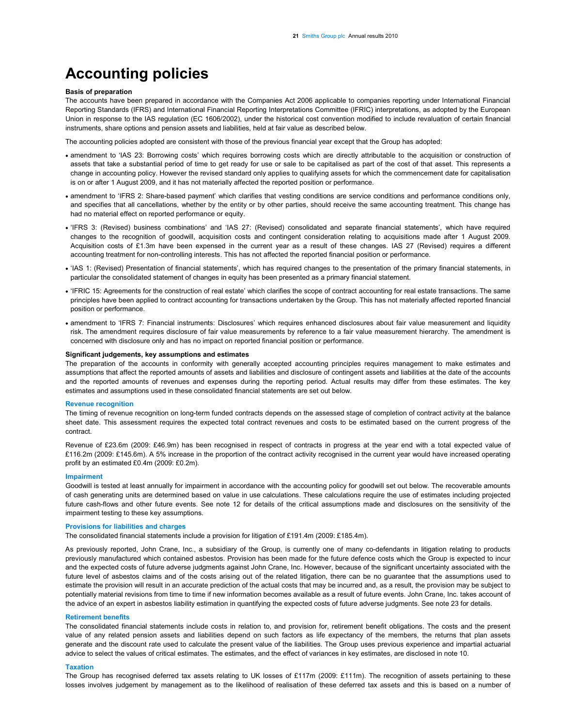# **Accounting policies**

#### **Basis of preparation**

The accounts have been prepared in accordance with the Companies Act 2006 applicable to companies reporting under International Financial Reporting Standards (IFRS) and International Financial Reporting Interpretations Committee (IFRIC) interpretations, as adopted by the European Union in response to the IAS regulation (EC 1606/2002), under the historical cost convention modified to include revaluation of certain financial instruments, share options and pension assets and liabilities, held at fair value as described below.

The accounting policies adopted are consistent with those of the previous financial year except that the Group has adopted:

- amendment to 'IAS 23: Borrowing costs' which requires borrowing costs which are directly attributable to the acquisition or construction of assets that take a substantial period of time to get ready for use or sale to be capitalised as part of the cost of that asset. This represents a change in accounting policy. However the revised standard only applies to qualifying assets for which the commencement date for capitalisation is on or after 1 August 2009, and it has not materially affected the reported position or performance.
- amendment to 'IFRS 2: Share-based payment' which clarifies that vesting conditions are service conditions and performance conditions only, and specifies that all cancellations, whether by the entity or by other parties, should receive the same accounting treatment. This change has had no material effect on reported performance or equity.
- 'IFRS 3: (Revised) business combinations' and 'IAS 27: (Revised) consolidated and separate financial statements', which have required changes to the recognition of goodwill, acquisition costs and contingent consideration relating to acquisitions made after 1 August 2009. Acquisition costs of £1.3m have been expensed in the current year as a result of these changes. IAS 27 (Revised) requires a different accounting treatment for non-controlling interests. This has not affected the reported financial position or performance.
- 'IAS 1: (Revised) Presentation of financial statements', which has required changes to the presentation of the primary financial statements, in particular the consolidated statement of changes in equity has been presented as a primary financial statement.
- 'IFRIC 15: Agreements for the construction of real estate' which clarifies the scope of contract accounting for real estate transactions. The same principles have been applied to contract accounting for transactions undertaken by the Group. This has not materially affected reported financial position or performance.
- amendment to 'IFRS 7: Financial instruments: Disclosures' which requires enhanced disclosures about fair value measurement and liquidity risk. The amendment requires disclosure of fair value measurements by reference to a fair value measurement hierarchy. The amendment is concerned with disclosure only and has no impact on reported financial position or performance.

#### **Significant judgements, key assumptions and estimates**

The preparation of the accounts in conformity with generally accepted accounting principles requires management to make estimates and assumptions that affect the reported amounts of assets and liabilities and disclosure of contingent assets and liabilities at the date of the accounts and the reported amounts of revenues and expenses during the reporting period. Actual results may differ from these estimates. The key estimates and assumptions used in these consolidated financial statements are set out below.

#### **Revenue recognition**

The timing of revenue recognition on long-term funded contracts depends on the assessed stage of completion of contract activity at the balance sheet date. This assessment requires the expected total contract revenues and costs to be estimated based on the current progress of the contract.

Revenue of £23.6m (2009: £46.9m) has been recognised in respect of contracts in progress at the year end with a total expected value of £116.2m (2009: £145.6m). A 5% increase in the proportion of the contract activity recognised in the current year would have increased operating profit by an estimated £0.4m (2009: £0.2m).

#### **Impairment**

Goodwill is tested at least annually for impairment in accordance with the accounting policy for goodwill set out below. The recoverable amounts of cash generating units are determined based on value in use calculations. These calculations require the use of estimates including projected future cash-flows and other future events. See note 12 for details of the critical assumptions made and disclosures on the sensitivity of the impairment testing to these key assumptions.

#### **Provisions for liabilities and charges**

The consolidated financial statements include a provision for litigation of £191.4m (2009: £185.4m).

As previously reported, John Crane, Inc., a subsidiary of the Group, is currently one of many co-defendants in litigation relating to products previously manufactured which contained asbestos. Provision has been made for the future defence costs which the Group is expected to incur and the expected costs of future adverse judgments against John Crane, Inc. However, because of the significant uncertainty associated with the future level of asbestos claims and of the costs arising out of the related litigation, there can be no guarantee that the assumptions used to estimate the provision will result in an accurate prediction of the actual costs that may be incurred and, as a result, the provision may be subject to potentially material revisions from time to time if new information becomes available as a result of future events. John Crane, Inc. takes account of the advice of an expert in asbestos liability estimation in quantifying the expected costs of future adverse judgments. See note 23 for details.

#### **Retirement benefits**

The consolidated financial statements include costs in relation to, and provision for, retirement benefit obligations. The costs and the present value of any related pension assets and liabilities depend on such factors as life expectancy of the members, the returns that plan assets generate and the discount rate used to calculate the present value of the liabilities. The Group uses previous experience and impartial actuarial advice to select the values of critical estimates. The estimates, and the effect of variances in key estimates, are disclosed in note 10.

#### **Taxation**

The Group has recognised deferred tax assets relating to UK losses of £117m (2009: £111m). The recognition of assets pertaining to these losses involves judgement by management as to the likelihood of realisation of these deferred tax assets and this is based on a number of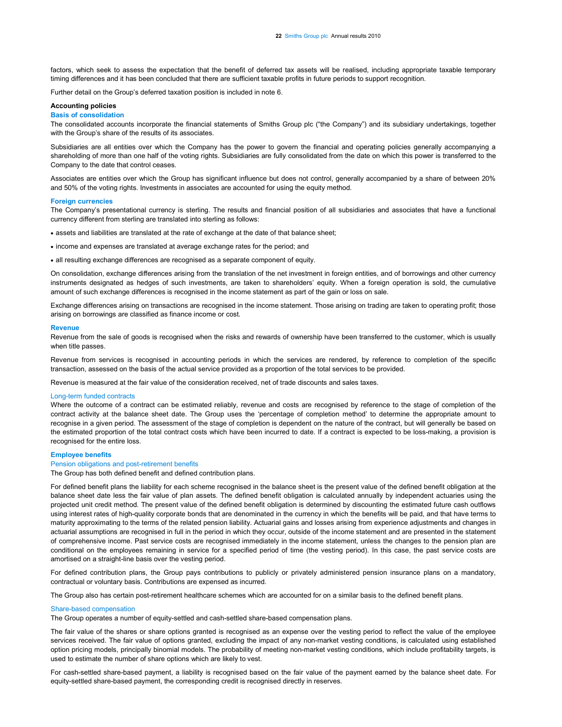factors, which seek to assess the expectation that the benefit of deferred tax assets will be realised, including appropriate taxable temporary timing differences and it has been concluded that there are sufficient taxable profits in future periods to support recognition.

Further detail on the Group's deferred taxation position is included in note 6.

## **Accounting policies**

## **Basis of consolidation**

The consolidated accounts incorporate the financial statements of Smiths Group plc ("the Company") and its subsidiary undertakings, together with the Group's share of the results of its associates.

Subsidiaries are all entities over which the Company has the power to govern the financial and operating policies generally accompanying a shareholding of more than one half of the voting rights. Subsidiaries are fully consolidated from the date on which this power is transferred to the Company to the date that control ceases.

Associates are entities over which the Group has significant influence but does not control, generally accompanied by a share of between 20% and 50% of the voting rights. Investments in associates are accounted for using the equity method.

#### **Foreign currencies**

The Company's presentational currency is sterling. The results and financial position of all subsidiaries and associates that have a functional currency different from sterling are translated into sterling as follows:

- assets and liabilities are translated at the rate of exchange at the date of that balance sheet;
- income and expenses are translated at average exchange rates for the period; and
- all resulting exchange differences are recognised as a separate component of equity.

On consolidation, exchange differences arising from the translation of the net investment in foreign entities, and of borrowings and other currency instruments designated as hedges of such investments, are taken to shareholders' equity. When a foreign operation is sold, the cumulative amount of such exchange differences is recognised in the income statement as part of the gain or loss on sale.

Exchange differences arising on transactions are recognised in the income statement. Those arising on trading are taken to operating profit; those arising on borrowings are classified as finance income or cost.

#### **Revenue**

Revenue from the sale of goods is recognised when the risks and rewards of ownership have been transferred to the customer, which is usually when title passes.

Revenue from services is recognised in accounting periods in which the services are rendered, by reference to completion of the specific transaction, assessed on the basis of the actual service provided as a proportion of the total services to be provided.

Revenue is measured at the fair value of the consideration received, net of trade discounts and sales taxes.

#### Long-term funded contracts

Where the outcome of a contract can be estimated reliably, revenue and costs are recognised by reference to the stage of completion of the contract activity at the balance sheet date. The Group uses the 'percentage of completion method' to determine the appropriate amount to recognise in a given period. The assessment of the stage of completion is dependent on the nature of the contract, but will generally be based on the estimated proportion of the total contract costs which have been incurred to date. If a contract is expected to be loss-making, a provision is recognised for the entire loss.

#### **Employee benefits**

Pension obligations and post-retirement benefits

The Group has both defined benefit and defined contribution plans.

For defined benefit plans the liability for each scheme recognised in the balance sheet is the present value of the defined benefit obligation at the balance sheet date less the fair value of plan assets. The defined benefit obligation is calculated annually by independent actuaries using the projected unit credit method. The present value of the defined benefit obligation is determined by discounting the estimated future cash outflows using interest rates of high-quality corporate bonds that are denominated in the currency in which the benefits will be paid, and that have terms to maturity approximating to the terms of the related pension liability. Actuarial gains and losses arising from experience adjustments and changes in actuarial assumptions are recognised in full in the period in which they occur, outside of the income statement and are presented in the statement of comprehensive income. Past service costs are recognised immediately in the income statement, unless the changes to the pension plan are conditional on the employees remaining in service for a specified period of time (the vesting period). In this case, the past service costs are amortised on a straight-line basis over the vesting period.

For defined contribution plans, the Group pays contributions to publicly or privately administered pension insurance plans on a mandatory, contractual or voluntary basis. Contributions are expensed as incurred.

The Group also has certain post-retirement healthcare schemes which are accounted for on a similar basis to the defined benefit plans.

#### Share-based compensation

The Group operates a number of equity-settled and cash-settled share-based compensation plans.

The fair value of the shares or share options granted is recognised as an expense over the vesting period to reflect the value of the employee services received. The fair value of options granted, excluding the impact of any non-market vesting conditions, is calculated using established option pricing models, principally binomial models. The probability of meeting non-market vesting conditions, which include profitability targets, is used to estimate the number of share options which are likely to vest.

For cash-settled share-based payment, a liability is recognised based on the fair value of the payment earned by the balance sheet date. For equity-settled share-based payment, the corresponding credit is recognised directly in reserves.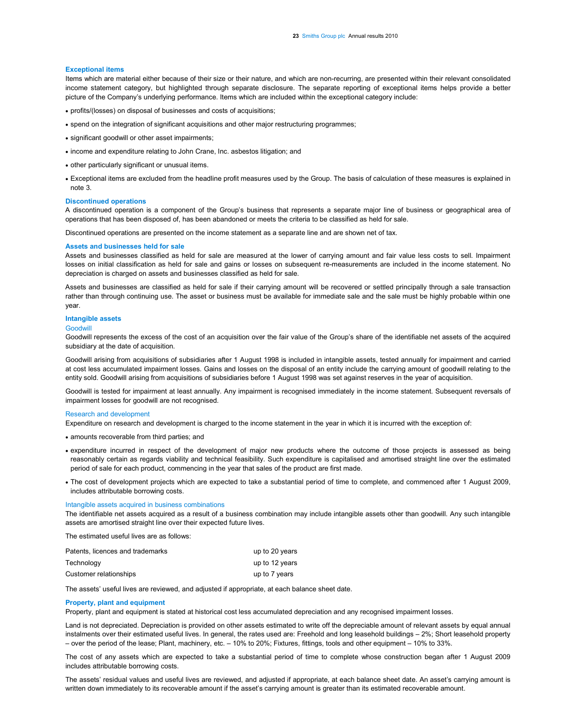#### **Exceptional items**

Items which are material either because of their size or their nature, and which are non-recurring, are presented within their relevant consolidated income statement category, but highlighted through separate disclosure. The separate reporting of exceptional items helps provide a better picture of the Company's underlying performance. Items which are included within the exceptional category include:

- profits/(losses) on disposal of businesses and costs of acquisitions;
- spend on the integration of significant acquisitions and other major restructuring programmes;
- significant goodwill or other asset impairments;
- income and expenditure relating to John Crane, Inc. asbestos litigation; and
- other particularly significant or unusual items.
- Exceptional items are excluded from the headline profit measures used by the Group. The basis of calculation of these measures is explained in note 3.

#### **Discontinued operations**

A discontinued operation is a component of the Group's business that represents a separate major line of business or geographical area of operations that has been disposed of, has been abandoned or meets the criteria to be classified as held for sale.

Discontinued operations are presented on the income statement as a separate line and are shown net of tax.

#### **Assets and businesses held for sale**

Assets and businesses classified as held for sale are measured at the lower of carrying amount and fair value less costs to sell. Impairment losses on initial classification as held for sale and gains or losses on subsequent re-measurements are included in the income statement. No depreciation is charged on assets and businesses classified as held for sale.

Assets and businesses are classified as held for sale if their carrying amount will be recovered or settled principally through a sale transaction rather than through continuing use. The asset or business must be available for immediate sale and the sale must be highly probable within one year.

#### **Intangible assets**

#### Goodwill

Goodwill represents the excess of the cost of an acquisition over the fair value of the Group's share of the identifiable net assets of the acquired subsidiary at the date of acquisition.

Goodwill arising from acquisitions of subsidiaries after 1 August 1998 is included in intangible assets, tested annually for impairment and carried at cost less accumulated impairment losses. Gains and losses on the disposal of an entity include the carrying amount of goodwill relating to the entity sold. Goodwill arising from acquisitions of subsidiaries before 1 August 1998 was set against reserves in the year of acquisition.

Goodwill is tested for impairment at least annually. Any impairment is recognised immediately in the income statement. Subsequent reversals of impairment losses for goodwill are not recognised.

#### Research and development

Expenditure on research and development is charged to the income statement in the year in which it is incurred with the exception of:

- amounts recoverable from third parties; and
- expenditure incurred in respect of the development of major new products where the outcome of those projects is assessed as being reasonably certain as regards viability and technical feasibility. Such expenditure is capitalised and amortised straight line over the estimated period of sale for each product, commencing in the year that sales of the product are first made.
- The cost of development projects which are expected to take a substantial period of time to complete, and commenced after 1 August 2009, includes attributable borrowing costs.

## Intangible assets acquired in business combinations

The identifiable net assets acquired as a result of a business combination may include intangible assets other than goodwill. Any such intangible assets are amortised straight line over their expected future lives.

The estimated useful lives are as follows:

| Patents, licences and trademarks | up to 20 years |
|----------------------------------|----------------|
| Technology                       | up to 12 years |
| Customer relationships           | up to 7 years  |

The assets' useful lives are reviewed, and adjusted if appropriate, at each balance sheet date.

#### **Property, plant and equipment**

Property, plant and equipment is stated at historical cost less accumulated depreciation and any recognised impairment losses.

Land is not depreciated. Depreciation is provided on other assets estimated to write off the depreciable amount of relevant assets by equal annual instalments over their estimated useful lives. In general, the rates used are: Freehold and long leasehold buildings – 2%; Short leasehold property – over the period of the lease; Plant, machinery, etc. – 10% to 20%; Fixtures, fittings, tools and other equipment – 10% to 33%.

The cost of any assets which are expected to take a substantial period of time to complete whose construction began after 1 August 2009 includes attributable borrowing costs.

The assets' residual values and useful lives are reviewed, and adjusted if appropriate, at each balance sheet date. An asset's carrying amount is written down immediately to its recoverable amount if the asset's carrying amount is greater than its estimated recoverable amount.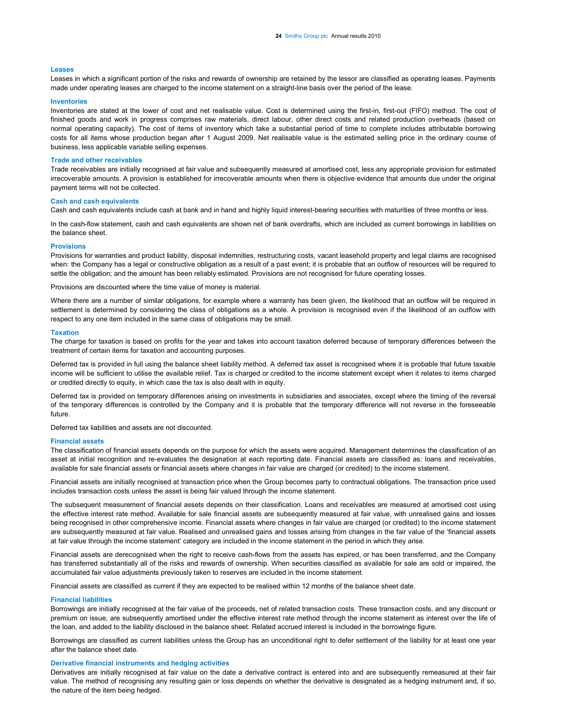#### **Leases**

Leases in which a significant portion of the risks and rewards of ownership are retained by the lessor are classified as operating leases. Payments made under operating leases are charged to the income statement on a straight-line basis over the period of the lease.

#### **Inventories**

Inventories are stated at the lower of cost and net realisable value. Cost is determined using the first-in, first-out (FIFO) method. The cost of finished goods and work in progress comprises raw materials, direct labour, other direct costs and related production overheads (based on normal operating capacity). The cost of items of inventory which take a substantial period of time to complete includes attributable borrowing costs for all items whose production began after 1 August 2009. Net realisable value is the estimated selling price in the ordinary course of business, less applicable variable selling expenses.

#### **Trade and other receivables**

Trade receivables are initially recognised at fair value and subsequently measured at amortised cost, less any appropriate provision for estimated irrecoverable amounts. A provision is established for irrecoverable amounts when there is objective evidence that amounts due under the original payment terms will not be collected.

#### **Cash and cash equivalents**

Cash and cash equivalents include cash at bank and in hand and highly liquid interest-bearing securities with maturities of three months or less.

In the cash-flow statement, cash and cash equivalents are shown net of bank overdrafts, which are included as current borrowings in liabilities on the balance sheet.

#### **Provisions**

Provisions for warranties and product liability, disposal indemnities, restructuring costs, vacant leasehold property and legal claims are recognised when: the Company has a legal or constructive obligation as a result of a past event; it is probable that an outflow of resources will be required to settle the obligation; and the amount has been reliably estimated. Provisions are not recognised for future operating losses.

Provisions are discounted where the time value of money is material.

Where there are a number of similar obligations, for example where a warranty has been given, the likelihood that an outflow will be required in settlement is determined by considering the class of obligations as a whole. A provision is recognised even if the likelihood of an outflow with respect to any one item included in the same class of obligations may be small.

#### **Taxation**

The charge for taxation is based on profits for the year and takes into account taxation deferred because of temporary differences between the treatment of certain items for taxation and accounting purposes.

Deferred tax is provided in full using the balance sheet liability method. A deferred tax asset is recognised where it is probable that future taxable income will be sufficient to utilise the available relief. Tax is charged or credited to the income statement except when it relates to items charged or credited directly to equity, in which case the tax is also dealt with in equity.

Deferred tax is provided on temporary differences arising on investments in subsidiaries and associates, except where the timing of the reversal of the temporary differences is controlled by the Company and it is probable that the temporary difference will not reverse in the foreseeable future.

Deferred tax liabilities and assets are not discounted.

#### **Financial assets**

The classification of financial assets depends on the purpose for which the assets were acquired. Management determines the classification of an asset at initial recognition and re-evaluates the designation at each reporting date. Financial assets are classified as: loans and receivables, available for sale financial assets or financial assets where changes in fair value are charged (or credited) to the income statement.

Financial assets are initially recognised at transaction price when the Group becomes party to contractual obligations. The transaction price used includes transaction costs unless the asset is being fair valued through the income statement.

The subsequent measurement of financial assets depends on their classification. Loans and receivables are measured at amortised cost using the effective interest rate method. Available for sale financial assets are subsequently measured at fair value, with unrealised gains and losses being recognised in other comprehensive income. Financial assets where changes in fair value are charged (or credited) to the income statement are subsequently measured at fair value. Realised and unrealised gains and losses arising from changes in the fair value of the 'financial assets at fair value through the income statement' category are included in the income statement in the period in which they arise.

Financial assets are derecognised when the right to receive cash-flows from the assets has expired, or has been transferred, and the Company has transferred substantially all of the risks and rewards of ownership. When securities classified as available for sale are sold or impaired, the accumulated fair value adjustments previously taken to reserves are included in the income statement.

Financial assets are classified as current if they are expected to be realised within 12 months of the balance sheet date.

#### **Financial liabilities**

Borrowings are initially recognised at the fair value of the proceeds, net of related transaction costs. These transaction costs, and any discount or premium on issue, are subsequently amortised under the effective interest rate method through the income statement as interest over the life of the loan, and added to the liability disclosed in the balance sheet. Related accrued interest is included in the borrowings figure.

Borrowings are classified as current liabilities unless the Group has an unconditional right to defer settlement of the liability for at least one year after the balance sheet date.

#### **Derivative financial instruments and hedging activities**

Derivatives are initially recognised at fair value on the date a derivative contract is entered into and are subsequently remeasured at their fair value. The method of recognising any resulting gain or loss depends on whether the derivative is designated as a hedging instrument and, if so, the nature of the item being hedged.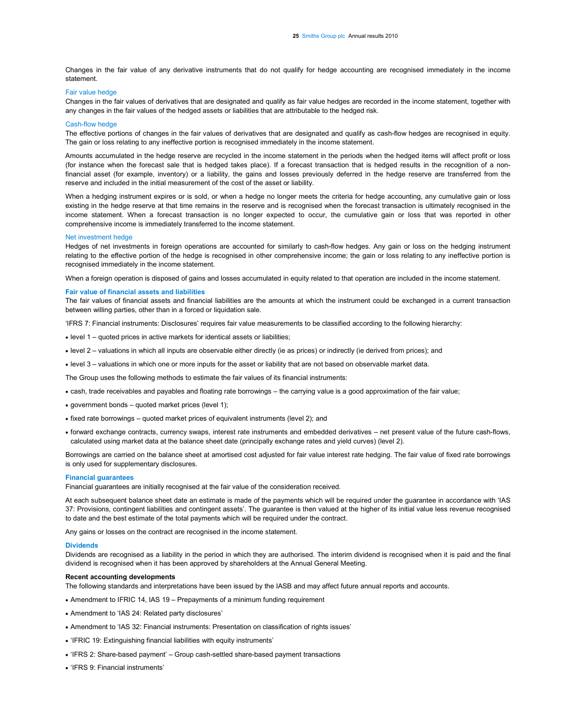Changes in the fair value of any derivative instruments that do not qualify for hedge accounting are recognised immediately in the income statement.

#### Fair value hedge

Changes in the fair values of derivatives that are designated and qualify as fair value hedges are recorded in the income statement, together with any changes in the fair values of the hedged assets or liabilities that are attributable to the hedged risk.

#### Cash-flow hedge

The effective portions of changes in the fair values of derivatives that are designated and qualify as cash-flow hedges are recognised in equity. The gain or loss relating to any ineffective portion is recognised immediately in the income statement.

Amounts accumulated in the hedge reserve are recycled in the income statement in the periods when the hedged items will affect profit or loss (for instance when the forecast sale that is hedged takes place). If a forecast transaction that is hedged results in the recognition of a nonfinancial asset (for example, inventory) or a liability, the gains and losses previously deferred in the hedge reserve are transferred from the reserve and included in the initial measurement of the cost of the asset or liability.

When a hedging instrument expires or is sold, or when a hedge no longer meets the criteria for hedge accounting, any cumulative gain or loss existing in the hedge reserve at that time remains in the reserve and is recognised when the forecast transaction is ultimately recognised in the income statement. When a forecast transaction is no longer expected to occur, the cumulative gain or loss that was reported in other comprehensive income is immediately transferred to the income statement.

#### Net investment hedge

Hedges of net investments in foreign operations are accounted for similarly to cash-flow hedges. Any gain or loss on the hedging instrument relating to the effective portion of the hedge is recognised in other comprehensive income; the gain or loss relating to any ineffective portion is recognised immediately in the income statement.

When a foreign operation is disposed of gains and losses accumulated in equity related to that operation are included in the income statement.

#### **Fair value of financial assets and liabilities**

The fair values of financial assets and financial liabilities are the amounts at which the instrument could be exchanged in a current transaction between willing parties, other than in a forced or liquidation sale.

'IFRS 7: Financial instruments: Disclosures' requires fair value measurements to be classified according to the following hierarchy:

- level 1 quoted prices in active markets for identical assets or liabilities;
- level 2 valuations in which all inputs are observable either directly (ie as prices) or indirectly (ie derived from prices); and
- level 3 valuations in which one or more inputs for the asset or liability that are not based on observable market data.
- The Group uses the following methods to estimate the fair values of its financial instruments:
- cash, trade receivables and payables and floating rate borrowings the carrying value is a good approximation of the fair value;
- government bonds quoted market prices (level 1);
- fixed rate borrowings quoted market prices of equivalent instruments (level 2); and
- forward exchange contracts, currency swaps, interest rate instruments and embedded derivatives net present value of the future cash-flows, calculated using market data at the balance sheet date (principally exchange rates and yield curves) (level 2).

Borrowings are carried on the balance sheet at amortised cost adjusted for fair value interest rate hedging. The fair value of fixed rate borrowings is only used for supplementary disclosures.

#### **Financial guarantees**

Financial guarantees are initially recognised at the fair value of the consideration received.

At each subsequent balance sheet date an estimate is made of the payments which will be required under the guarantee in accordance with 'IAS 37: Provisions, contingent liabilities and contingent assets'. The guarantee is then valued at the higher of its initial value less revenue recognised to date and the best estimate of the total payments which will be required under the contract.

Any gains or losses on the contract are recognised in the income statement.

#### **Dividends**

Dividends are recognised as a liability in the period in which they are authorised. The interim dividend is recognised when it is paid and the final dividend is recognised when it has been approved by shareholders at the Annual General Meeting.

#### **Recent accounting developments**

The following standards and interpretations have been issued by the IASB and may affect future annual reports and accounts.

- Amendment to IFRIC 14, IAS 19 Prepayments of a minimum funding requirement
- Amendment to 'IAS 24: Related party disclosures'
- Amendment to 'IAS 32: Financial instruments: Presentation on classification of rights issues'
- 'IFRIC 19: Extinguishing financial liabilities with equity instruments'
- 'IFRS 2: Share-based payment' Group cash-settled share-based payment transactions
- 'IFRS 9: Financial instruments'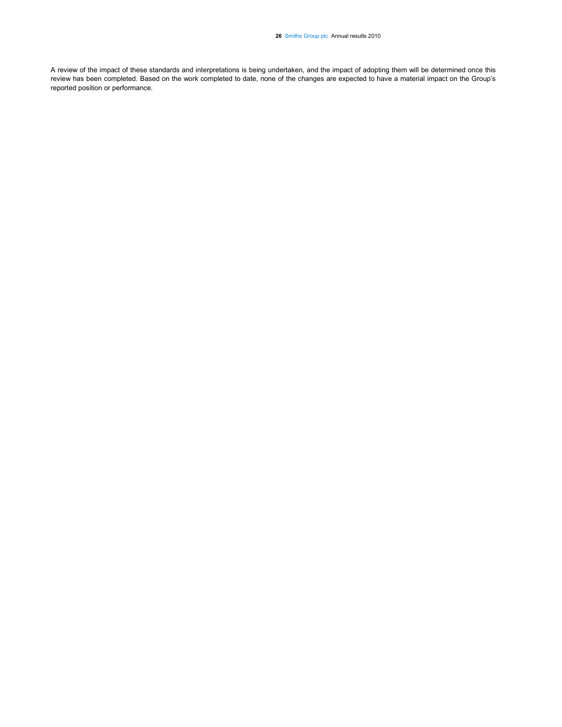A review of the impact of these standards and interpretations is being undertaken, and the impact of adopting them will be determined once this review has been completed. Based on the work completed to date, none of the changes are expected to have a material impact on the Group's reported position or performance.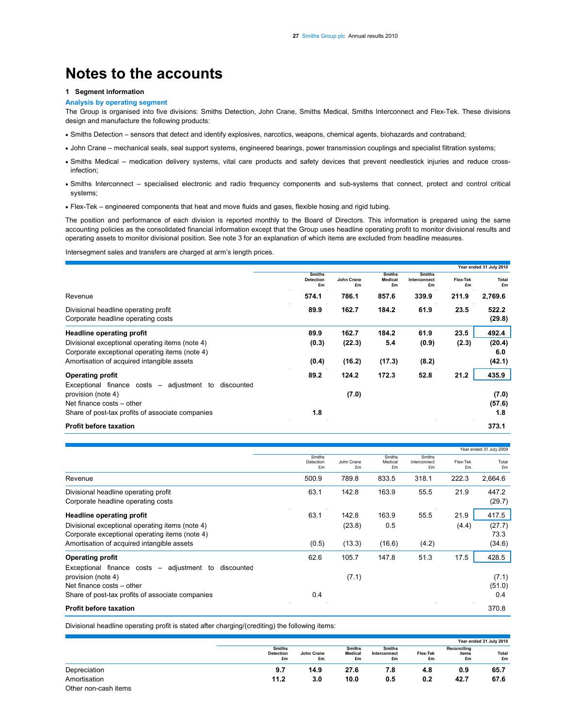# **Notes to the accounts**

## **1 Segment information**

#### **Analysis by operating segment**

The Group is organised into five divisions: Smiths Detection, John Crane, Smiths Medical, Smiths Interconnect and Flex-Tek. These divisions design and manufacture the following products:

- Smiths Detection sensors that detect and identify explosives, narcotics, weapons, chemical agents, biohazards and contraband;
- John Crane mechanical seals, seal support systems, engineered bearings, power transmission couplings and specialist filtration systems;
- Smiths Medical medication delivery systems, vital care products and safety devices that prevent needlestick injuries and reduce crossinfection;
- Smiths Interconnect specialised electronic and radio frequency components and sub-systems that connect, protect and control critical systems;
- Flex-Tek engineered components that heat and move fluids and gases, flexible hosing and rigid tubing.

The position and performance of each division is reported monthly to the Board of Directors. This information is prepared using the same accounting policies as the consolidated financial information except that the Group uses headline operating profit to monitor divisional results and operating assets to monitor divisional position. See note 3 for an explanation of which items are excluded from headline measures.

Intersegment sales and transfers are charged at arm's length prices.

|                                                                                                                 |                                         |                  |                                       |                                     |                       | Year ended 31 July 2010 |
|-----------------------------------------------------------------------------------------------------------------|-----------------------------------------|------------------|---------------------------------------|-------------------------------------|-----------------------|-------------------------|
|                                                                                                                 | <b>Smiths</b><br><b>Detection</b><br>£m | John Crane<br>£m | <b>Smiths</b><br><b>Medical</b><br>£m | <b>Smiths</b><br>Interconnect<br>£m | <b>Flex-Tek</b><br>£m | Total<br>£m             |
| Revenue                                                                                                         | 574.1                                   | 786.1            | 857.6                                 | 339.9                               | 211.9                 | 2,769.6                 |
| Divisional headline operating profit<br>Corporate headline operating costs                                      | 89.9                                    | 162.7            | 184.2                                 | 61.9                                | 23.5                  | 522.2<br>(29.8)         |
| Headline operating profit                                                                                       | 89.9                                    | 162.7            | 184.2                                 | 61.9                                | 23.5                  | 492.4                   |
| Divisional exceptional operating items (note 4)                                                                 | (0.3)                                   | (22.3)           | 5.4                                   | (0.9)                               | (2.3)                 | (20.4)                  |
| Corporate exceptional operating items (note 4)                                                                  |                                         |                  |                                       |                                     |                       | 6.0                     |
| Amortisation of acquired intangible assets                                                                      | (0.4)                                   | (16.2)           | (17.3)                                | (8.2)                               |                       | (42.1)                  |
| <b>Operating profit</b>                                                                                         | 89.2                                    | 124.2            | 172.3                                 | 52.8                                | 21.2                  | 435.9                   |
| Exceptional finance<br>$costs - adjustment to$<br>discounted<br>provision (note 4)<br>Net finance costs – other |                                         | (7.0)            |                                       |                                     |                       | (7.0)<br>(57.6)         |
| Share of post-tax profits of associate companies                                                                | 1.8                                     |                  |                                       |                                     |                       | 1.8                     |
| <b>Profit before taxation</b>                                                                                   |                                         |                  |                                       |                                     |                       | 373.1                   |

|                                                                            |                           |                  |                         |                              |                | Year ended 31 July 2009 |
|----------------------------------------------------------------------------|---------------------------|------------------|-------------------------|------------------------------|----------------|-------------------------|
|                                                                            | Smiths<br>Detection<br>£m | John Crane<br>£m | Smiths<br>Medical<br>£m | Smiths<br>Interconnect<br>£m | Flex-Tek<br>£m | Total<br>£m             |
| Revenue                                                                    | 500.9                     | 789.8            | 833.5                   | 318.1                        | 222.3          | 2,664.6                 |
| Divisional headline operating profit<br>Corporate headline operating costs | 63.1                      | 142.8            | 163.9                   | 55.5                         | 21.9           | 447.2<br>(29.7)         |
| Headline operating profit                                                  | 63.1                      | 142.8            | 163.9                   | 55.5                         | 21.9           | 417.5                   |
| Divisional exceptional operating items (note 4)                            |                           | (23.8)           | 0.5                     |                              | (4.4)          | (27.7)                  |
| Corporate exceptional operating items (note 4)                             |                           |                  |                         |                              |                | 73.3                    |
| Amortisation of acquired intangible assets                                 | (0.5)                     | (13.3)           | (16.6)                  | (4.2)                        |                | (34.6)                  |
| <b>Operating profit</b>                                                    | 62.6                      | 105.7            | 147.8                   | 51.3                         | 17.5           | 428.5                   |
| Exceptional finance costs - adjustment<br>discounted<br>to                 |                           |                  |                         |                              |                |                         |
| provision (note 4)                                                         |                           | (7.1)            |                         |                              |                | (7.1)                   |
| Net finance costs - other                                                  |                           |                  |                         |                              |                | (51.0)                  |
| Share of post-tax profits of associate companies                           | 0.4                       |                  |                         |                              |                | 0.4                     |
| <b>Profit before taxation</b>                                              |                           |                  |                         |                              |                | 370.8                   |

Divisional headline operating profit is stated after charging/(crediting) the following items:

|                      |                                         |                  |                                       |                                     |                |                            | Year ended 31 July 2010 |
|----------------------|-----------------------------------------|------------------|---------------------------------------|-------------------------------------|----------------|----------------------------|-------------------------|
|                      | <b>Smiths</b><br><b>Detection</b><br>£m | John Crane<br>£m | <b>Smiths</b><br><b>Medical</b><br>£m | <b>Smiths</b><br>Interconnect<br>£m | Flex-Tek<br>£m | Reconciling<br>items<br>£m | Total<br>£m             |
| Depreciation         | 9.7                                     | 14.9             | 27.6                                  | 7.8                                 | 4.8            | 0.9                        | 65.7                    |
| Amortisation         | 11.2                                    | 3.0              | 10.0                                  | 0.5                                 | 0.2            | 42.7                       | 67.6                    |
| Other non-cash items |                                         |                  |                                       |                                     |                |                            |                         |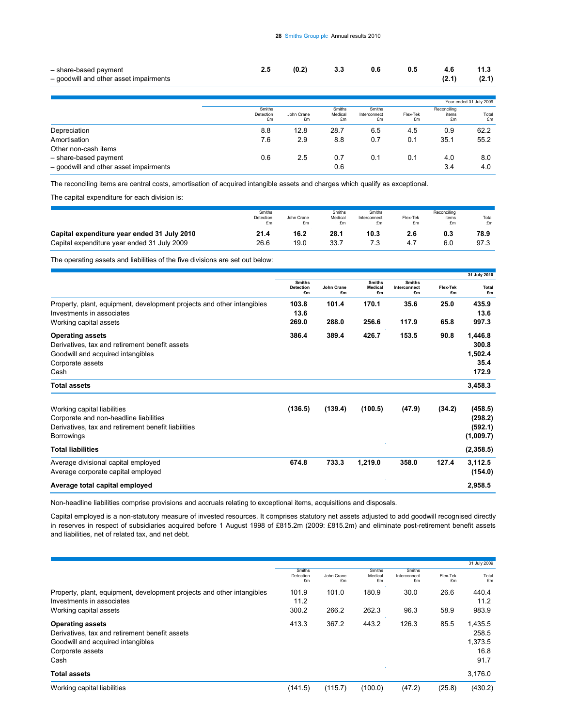#### **28** Smiths Group plc Annual results 2010

| - share-based payment<br>- goodwill and other asset impairments | 2.5                       | (0.2)            | 3.3                     | 0.6                          | 0.5            | 4.6<br>(2.1)               | 11.3<br>(2.1)           |
|-----------------------------------------------------------------|---------------------------|------------------|-------------------------|------------------------------|----------------|----------------------------|-------------------------|
|                                                                 |                           |                  |                         |                              |                |                            | Year ended 31 July 2009 |
|                                                                 | Smiths<br>Detection<br>£m | John Crane<br>£m | Smiths<br>Medical<br>£m | Smiths<br>Interconnect<br>£m | Flex-Tek<br>£m | Reconciling<br>items<br>£m | Total<br>£m             |
| Depreciation                                                    | 8.8                       | 12.8             | 28.7                    | 6.5                          | 4.5            | 0.9                        | 62.2                    |
| Amortisation                                                    | 7.6                       | 2.9              | 8.8                     | 0.7                          | 0.1            | 35.1                       | 55.2                    |
| Other non-cash items                                            |                           |                  |                         |                              |                |                            |                         |
| - share-based payment                                           | 0.6                       | 2.5              | 0.7                     | 0.1                          | 0.1            | 4.0                        | 8.0                     |
| - goodwill and other asset impairments                          |                           |                  | 0.6                     |                              |                | 3.4                        | 4.0                     |

The reconciling items are central costs, amortisation of acquired intangible assets and charges which qualify as exceptional.

The capital expenditure for each division is:

|                                             | Smiths<br>Detection<br>£m | John Crane<br>£m | Smiths<br>Medical<br>£m | Smiths<br>Interconnect<br>£m | Flex-Tek<br>£m | Reconciling<br>items<br>£m | Total<br>£m |
|---------------------------------------------|---------------------------|------------------|-------------------------|------------------------------|----------------|----------------------------|-------------|
| Capital expenditure year ended 31 July 2010 | 21.4                      | 16.2             | 28.1                    | 10.3                         |                |                            | 78.9        |
| Capital expenditure year ended 31 July 2009 | 26.6                      | 19.0             | 33.7                    |                              | 4.             | 6.0                        | 97.3        |

The operating assets and liabilities of the five divisions are set out below:

|                                                                        |                                         |                  |                                |                                     |                | 31 July 2010       |
|------------------------------------------------------------------------|-----------------------------------------|------------------|--------------------------------|-------------------------------------|----------------|--------------------|
|                                                                        | <b>Smiths</b><br><b>Detection</b><br>£m | John Crane<br>£m | <b>Smiths</b><br>Medical<br>£m | <b>Smiths</b><br>Interconnect<br>£m | Flex-Tek<br>£m | <b>Total</b><br>£m |
| Property, plant, equipment, development projects and other intangibles | 103.8                                   | 101.4            | 170.1                          | 35.6                                | 25.0           | 435.9              |
| Investments in associates                                              | 13.6                                    |                  |                                |                                     |                | 13.6               |
| Working capital assets                                                 | 269.0                                   | 288.0            | 256.6                          | 117.9                               | 65.8           | 997.3              |
| <b>Operating assets</b>                                                | 386.4                                   | 389.4            | 426.7                          | 153.5                               | 90.8           | 1,446.8            |
| Derivatives, tax and retirement benefit assets                         |                                         |                  |                                |                                     |                | 300.8              |
| Goodwill and acquired intangibles                                      |                                         |                  |                                |                                     |                | 1,502.4            |
| Corporate assets                                                       |                                         |                  |                                |                                     |                | 35.4               |
| Cash                                                                   |                                         |                  |                                |                                     |                | 172.9              |
| <b>Total assets</b>                                                    |                                         |                  |                                |                                     |                | 3,458.3            |
| Working capital liabilities                                            | (136.5)                                 | (139.4)          | (100.5)                        | (47.9)                              | (34.2)         | (458.5)            |
| Corporate and non-headline liabilities                                 |                                         |                  |                                |                                     |                | (298.2)            |
| Derivatives, tax and retirement benefit liabilities                    |                                         |                  |                                |                                     |                | (592.1)            |
| <b>Borrowings</b>                                                      |                                         |                  |                                |                                     |                | (1,009.7)          |
| <b>Total liabilities</b>                                               |                                         |                  |                                |                                     |                | (2,358.5)          |
| Average divisional capital employed                                    | 674.8                                   | 733.3            | 1,219.0                        | 358.0                               | 127.4          | 3,112.5            |
| Average corporate capital employed                                     |                                         |                  |                                |                                     |                | (154.0)            |
| Average total capital employed                                         |                                         |                  |                                |                                     |                | 2,958.5            |

Non-headline liabilities comprise provisions and accruals relating to exceptional items, acquisitions and disposals.

Capital employed is a non-statutory measure of invested resources. It comprises statutory net assets adjusted to add goodwill recognised directly in reserves in respect of subsidiaries acquired before 1 August 1998 of £815.2m (2009: £815.2m) and eliminate post-retirement benefit assets and liabilities, net of related tax, and net debt.

|                                                                                                                                            |                           |                  |                         |                              |                | 31 July 2009                                |
|--------------------------------------------------------------------------------------------------------------------------------------------|---------------------------|------------------|-------------------------|------------------------------|----------------|---------------------------------------------|
|                                                                                                                                            | Smiths<br>Detection<br>£m | John Crane<br>£m | Smiths<br>Medical<br>£m | Smiths<br>Interconnect<br>£m | Flex-Tek<br>£m | Total<br>£m                                 |
| Property, plant, equipment, development projects and other intangibles<br>Investments in associates                                        | 101.9<br>11.2             | 101.0            | 180.9                   | 30.0                         | 26.6           | 440.4<br>11.2                               |
| Working capital assets                                                                                                                     | 300.2                     | 266.2            | 262.3                   | 96.3                         | 58.9           | 983.9                                       |
| <b>Operating assets</b><br>Derivatives, tax and retirement benefit assets<br>Goodwill and acquired intangibles<br>Corporate assets<br>Cash | 413.3                     | 367.2            | 443.2                   | 126.3                        | 85.5           | 1,435.5<br>258.5<br>1,373.5<br>16.8<br>91.7 |
| <b>Total assets</b>                                                                                                                        |                           |                  |                         |                              |                | 3,176.0                                     |
| Working capital liabilities                                                                                                                | (141.5)                   | (115.7)          | (100.0)                 | (47.2)                       | (25.8)         | (430.2)                                     |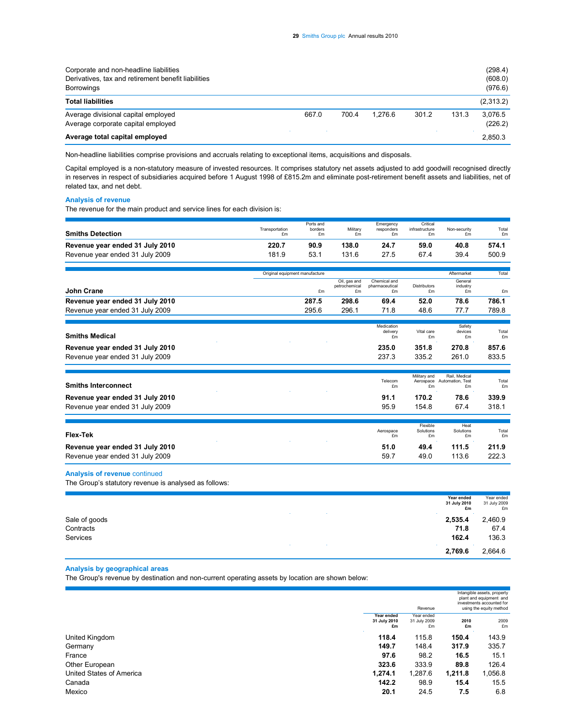| Corporate and non-headline liabilities<br>Derivatives, tax and retirement benefit liabilities<br><b>Borrowings</b> |       |       |         |       |       | (298.4)<br>(608.0)<br>(976.6) |
|--------------------------------------------------------------------------------------------------------------------|-------|-------|---------|-------|-------|-------------------------------|
| <b>Total liabilities</b>                                                                                           |       |       |         |       |       | (2,313.2)                     |
| Average divisional capital employed<br>Average corporate capital employed                                          | 667.0 | 700.4 | 1.276.6 | 301.2 | 131.3 | 3.076.5<br>(226.2)            |
| Average total capital employed                                                                                     |       |       |         |       |       | 2.850.3                       |

Non-headline liabilities comprise provisions and accruals relating to exceptional items, acquisitions and disposals.

Capital employed is a non-statutory measure of invested resources. It comprises statutory net assets adjusted to add goodwill recognised directly in reserves in respect of subsidiaries acquired before 1 August 1998 of £815.2m and eliminate post-retirement benefit assets and liabilities, net of related tax, and net debt.

#### **Analysis of revenue**

The revenue for the main product and service lines for each division is:

|                                 |                                | Ports and     |                     | Emergency            | Critical                        |                        | Total       |
|---------------------------------|--------------------------------|---------------|---------------------|----------------------|---------------------------------|------------------------|-------------|
| <b>Smiths Detection</b>         | Transportation<br>£m           | borders<br>£m | Military<br>£m      | responders<br>£m     | infrastructure<br>£m            | Non-security<br>£m     | £m          |
| Revenue year ended 31 July 2010 | 220.7                          | 90.9          | 138.0               | 24.7                 | 59.0                            | 40.8                   | 574.1       |
| Revenue year ended 31 July 2009 | 181.9                          | 53.1          | 131.6               | 27.5                 | 67.4                            | 39.4                   | 500.9       |
|                                 |                                |               |                     |                      |                                 |                        |             |
|                                 | Original equipment manufacture |               | Oil, gas and        | Chemical and         |                                 | Aftermarket<br>General | Total       |
| John Crane                      |                                | £m            | petrochemical<br>£m | pharmaceutical<br>£m | Distributors<br>£m              | industry<br>£m         | £m          |
| Revenue year ended 31 July 2010 |                                | 287.5         | 298.6               | 69.4                 | 52.0                            | 78.6                   | 786.1       |
| Revenue year ended 31 July 2009 |                                | 295.6         | 296.1               | 71.8                 | 48.6                            | 77.7                   | 789.8       |
|                                 |                                |               |                     | Medication           |                                 | Safety                 |             |
| <b>Smiths Medical</b>           |                                |               |                     | delivery<br>£m       | Vital care<br>£m                | devices<br>£m          | Total<br>£m |
| Revenue year ended 31 July 2010 |                                |               |                     | 235.0                | 351.8                           | 270.8                  | 857.6       |
| Revenue year ended 31 July 2009 |                                |               |                     | 237.3                | 335.2                           | 261.0                  | 833.5       |
|                                 |                                |               |                     |                      |                                 | Rail, Medical          |             |
| <b>Smiths Interconnect</b>      |                                |               |                     | Telecom<br>£m        | Military and<br>Aerospace<br>£m | Automation, Test<br>£m | Total<br>£m |
| Revenue year ended 31 July 2010 |                                |               |                     | 91.1                 | 170.2                           | 78.6                   | 339.9       |
| Revenue year ended 31 July 2009 |                                |               |                     | 95.9                 | 154.8                           | 67.4                   | 318.1       |
|                                 |                                |               |                     |                      | Flexible                        | Heat                   |             |
| Flex-Tek                        |                                |               |                     | Aerospace<br>£m      | Solutions<br>£m                 | Solutions<br>£m        | Total<br>£m |
| Revenue year ended 31 July 2010 |                                |               |                     | 51.0                 | 49.4                            | 111.5                  | 211.9       |
| Revenue year ended 31 July 2009 |                                |               |                     | 59.7                 | 49.0                            | 113.6                  | 222.3       |

## **Analysis of revenue** continued

The Group's statutory revenue is analysed as follows:

|               | Year ended<br>31 July 2010<br>£m | Year ended<br>31 July 2009<br>£m |
|---------------|----------------------------------|----------------------------------|
| Sale of goods | 2,535.4                          | 2,460.9                          |
| Contracts     | 71.8                             | 67.4                             |
| Services      | 162.4                            | 136.3                            |
|               | 2,769.6                          | 2,664.6                          |

## **Analysis by geographical areas**

The Group's revenue by destination and non-current operating assets by location are shown below:

|                          |                    |                    |         | Intangible assets, property<br>plant and equipment and |  |
|--------------------------|--------------------|--------------------|---------|--------------------------------------------------------|--|
|                          |                    |                    |         | investments accounted for                              |  |
|                          |                    | Revenue            |         | using the equity method                                |  |
|                          | Year ended         | Year ended         |         |                                                        |  |
|                          | 31 July 2010<br>£m | 31 July 2009<br>£m | 2010    | 2009                                                   |  |
|                          |                    |                    | £m      | £m                                                     |  |
| United Kingdom           | 118.4              | 115.8              | 150.4   | 143.9                                                  |  |
| Germany                  | 149.7              | 148.4              | 317.9   | 335.7                                                  |  |
| France                   | 97.6               | 98.2               | 16.5    | 15.1                                                   |  |
| Other European           | 323.6              | 333.9              | 89.8    | 126.4                                                  |  |
| United States of America | 1,274.1            | 1,287.6            | 1,211.8 | 1,056.8                                                |  |
| Canada                   | 142.2              | 98.9               | 15.4    | 15.5                                                   |  |
| Mexico                   | 20.1               | 24.5               | 7.5     | 6.8                                                    |  |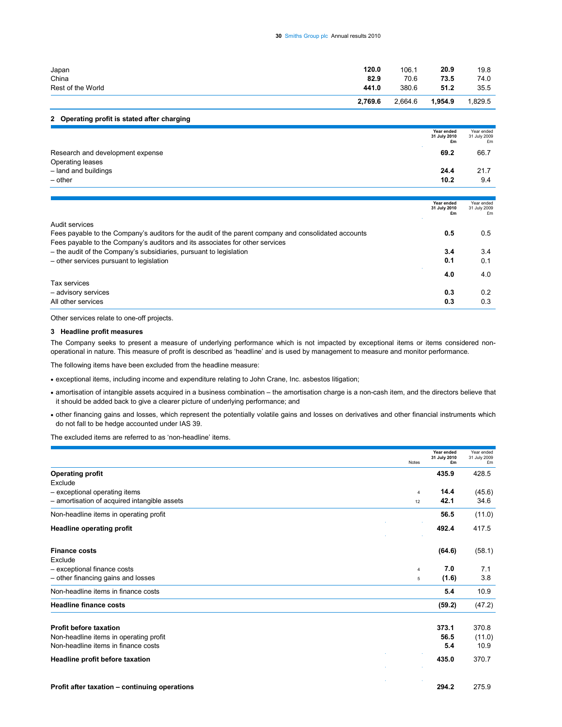| Japan             | 120.0   | 106.1   | 20.9    | 19.8    |
|-------------------|---------|---------|---------|---------|
| China             | 82.9    | 70.6    | 73.5    | 74.0    |
| Rest of the World | 441.0   | 380.6   | 51.2    | 35.5    |
|                   | 2.769.6 | 2,664.6 | 1.954.9 | 1,829.5 |

#### **2 Operating profit is stated after charging**

|                                          | Year ended<br>31 July 2010<br>£m | Year ended<br>31 July 2009<br>£m |
|------------------------------------------|----------------------------------|----------------------------------|
| Research and development expense         | 69.2                             | 66.7                             |
| Operating leases<br>- land and buildings | 24.4                             | 21.7                             |
| $-$ other                                | 10.2                             | 9.4                              |

|                                                                                                      | Year ended<br>31 July 2010<br>£m | Year ended<br>31 July 2009<br>£m |
|------------------------------------------------------------------------------------------------------|----------------------------------|----------------------------------|
| Audit services                                                                                       |                                  |                                  |
| Fees payable to the Company's auditors for the audit of the parent company and consolidated accounts | 0.5                              | 0.5                              |
| Fees payable to the Company's auditors and its associates for other services                         |                                  |                                  |
| - the audit of the Company's subsidiaries, pursuant to legislation                                   | 3.4                              | 3.4                              |
| - other services pursuant to legislation                                                             | 0.1                              | 0.1                              |
|                                                                                                      | 4.0                              | 4.0                              |
| Tax services                                                                                         |                                  |                                  |
| - advisory services                                                                                  | 0.3                              | 0.2                              |
| All other services                                                                                   | 0.3                              | 0.3                              |

Other services relate to one-off projects.

#### **3 Headline profit measures**

The Company seeks to present a measure of underlying performance which is not impacted by exceptional items or items considered nonoperational in nature. This measure of profit is described as 'headline' and is used by management to measure and monitor performance.

The following items have been excluded from the headline measure:

- exceptional items, including income and expenditure relating to John Crane, Inc. asbestos litigation;
- amortisation of intangible assets acquired in a business combination the amortisation charge is a non-cash item, and the directors believe that it should be added back to give a clearer picture of underlying performance; and
- other financing gains and losses, which represent the potentially volatile gains and losses on derivatives and other financial instruments which do not fall to be hedge accounted under IAS 39.

The excluded items are referred to as 'non-headline' items.

|                                              | Notes          | Year ended<br>31 July 2010<br>£m | Year ended<br>31 July 2009<br>£m |
|----------------------------------------------|----------------|----------------------------------|----------------------------------|
| <b>Operating profit</b>                      |                | 435.9                            | 428.5                            |
| Exclude                                      |                |                                  |                                  |
| - exceptional operating items                | $\overline{4}$ | 14.4                             | (45.6)                           |
| - amortisation of acquired intangible assets | 12             | 42.1                             | 34.6                             |
| Non-headline items in operating profit       |                | 56.5                             | (11.0)                           |
| <b>Headline operating profit</b>             |                | 492.4                            | 417.5                            |
| <b>Finance costs</b>                         |                | (64.6)                           | (58.1)                           |
| Exclude                                      |                |                                  |                                  |
| - exceptional finance costs                  | 4              | 7.0                              | 7.1                              |
| - other financing gains and losses           | 5              | (1.6)                            | 3.8                              |
| Non-headline items in finance costs          |                | 5.4                              | 10.9                             |
| <b>Headline finance costs</b>                |                | (59.2)                           | (47.2)                           |
| <b>Profit before taxation</b>                |                | 373.1                            | 370.8                            |
| Non-headline items in operating profit       |                | 56.5                             | (11.0)                           |
| Non-headline items in finance costs          |                | 5.4                              | 10.9                             |
| Headline profit before taxation              |                | 435.0                            | 370.7                            |
|                                              |                |                                  |                                  |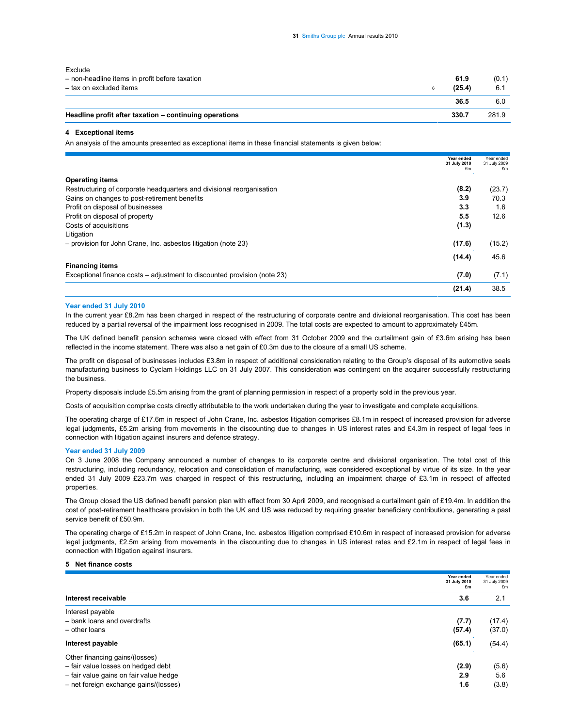## Exclude

| -------<br>- non-headline items in profit before taxation<br>- tax on excluded items | 61.9<br>(25.4) | (0.1)<br>6.1 |
|--------------------------------------------------------------------------------------|----------------|--------------|
|                                                                                      | 36.5           | 6.0          |
| Headline profit after taxation – continuing operations                               | 330.7          | 281.9        |

## **4 Exceptional items**

An analysis of the amounts presented as exceptional items in these financial statements is given below:

|                                                                          | Year ended<br>31 July 2010<br>$\mathbf{f}$ m | Year ended<br>31 July 2009<br>£m |
|--------------------------------------------------------------------------|----------------------------------------------|----------------------------------|
| <b>Operating items</b>                                                   |                                              |                                  |
| Restructuring of corporate headquarters and divisional reorganisation    | (8.2)                                        | (23.7)                           |
| Gains on changes to post-retirement benefits                             | 3.9                                          | 70.3                             |
| Profit on disposal of businesses                                         | 3.3                                          | 1.6                              |
| Profit on disposal of property                                           | 5.5                                          | 12.6                             |
| Costs of acquisitions                                                    | (1.3)                                        |                                  |
| Litigation                                                               |                                              |                                  |
| - provision for John Crane, Inc. asbestos litigation (note 23)           | (17.6)                                       | (15.2)                           |
|                                                                          | (14.4)                                       | 45.6                             |
| <b>Financing items</b>                                                   |                                              |                                  |
| Exceptional finance costs – adjustment to discounted provision (note 23) | (7.0)                                        | (7.1)                            |
|                                                                          | (21.4)                                       | 38.5                             |

#### **Year ended 31 July 2010**

In the current year £8.2m has been charged in respect of the restructuring of corporate centre and divisional reorganisation. This cost has been reduced by a partial reversal of the impairment loss recognised in 2009. The total costs are expected to amount to approximately £45m.

The UK defined benefit pension schemes were closed with effect from 31 October 2009 and the curtailment gain of £3.6m arising has been reflected in the income statement. There was also a net gain of £0.3m due to the closure of a small US scheme.

The profit on disposal of businesses includes £3.8m in respect of additional consideration relating to the Group's disposal of its automotive seals manufacturing business to Cyclam Holdings LLC on 31 July 2007. This consideration was contingent on the acquirer successfully restructuring the business.

Property disposals include £5.5m arising from the grant of planning permission in respect of a property sold in the previous year.

Costs of acquisition comprise costs directly attributable to the work undertaken during the year to investigate and complete acquisitions.

The operating charge of £17.6m in respect of John Crane, Inc. asbestos litigation comprises £8.1m in respect of increased provision for adverse legal judgments, £5.2m arising from movements in the discounting due to changes in US interest rates and £4.3m in respect of legal fees in connection with litigation against insurers and defence strategy.

#### **Year ended 31 July 2009**

On 3 June 2008 the Company announced a number of changes to its corporate centre and divisional organisation. The total cost of this restructuring, including redundancy, relocation and consolidation of manufacturing, was considered exceptional by virtue of its size. In the year ended 31 July 2009 £23.7m was charged in respect of this restructuring, including an impairment charge of £3.1m in respect of affected properties.

The Group closed the US defined benefit pension plan with effect from 30 April 2009, and recognised a curtailment gain of £19.4m. In addition the cost of post-retirement healthcare provision in both the UK and US was reduced by requiring greater beneficiary contributions, generating a past service benefit of £50.9m.

The operating charge of £15.2m in respect of John Crane, Inc. asbestos litigation comprised £10.6m in respect of increased provision for adverse legal judgments, £2.5m arising from movements in the discounting due to changes in US interest rates and £2.1m in respect of legal fees in connection with litigation against insurers.

#### **5 Net finance costs**

|                                        | Year ended<br>31 July 2010<br>£m | Year ended<br>31 July 2009<br>£m |
|----------------------------------------|----------------------------------|----------------------------------|
| Interest receivable                    | 3.6                              | 2.1                              |
| Interest payable                       |                                  |                                  |
| - bank loans and overdrafts            | (7.7)                            | (17.4)                           |
| - other loans                          | (57.4)                           | (37.0)                           |
| Interest payable                       | (65.1)                           | (54.4)                           |
| Other financing gains/(losses)         |                                  |                                  |
| - fair value losses on hedged debt     | (2.9)                            | (5.6)                            |
| - fair value gains on fair value hedge | 2.9                              | 5.6                              |
| - net foreign exchange gains/(losses)  | 1.6                              | (3.8)                            |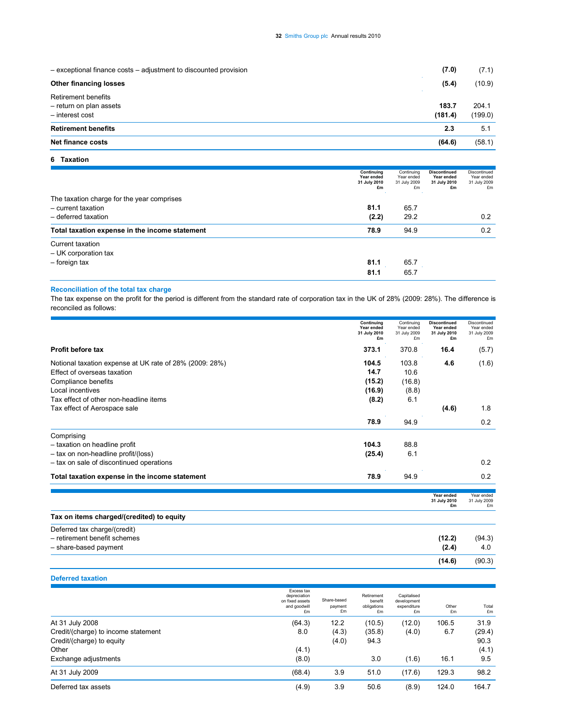| - exceptional finance costs - adjustment to discounted provision         | (7.0)            | (7.1)            |
|--------------------------------------------------------------------------|------------------|------------------|
| <b>Other financing losses</b>                                            | (5.4)            | (10.9)           |
| <b>Retirement benefits</b><br>- return on plan assets<br>- interest cost | 183.7<br>(181.4) | 204.1<br>(199.0) |
| <b>Retirement benefits</b>                                               | 2.3              | 5.1              |
| Net finance costs                                                        | (64.6)           | (58.1)           |

**6 Taxation** 

|                                                | Continuing<br>Year ended<br>31 July 2010<br>£m | Continuing<br>Year ended<br>31 July 2009<br>£m | <b>Discontinued</b><br>Year ended<br>31 July 2010<br>£m | Discontinued<br>Year ended<br>31 July 2009<br>£m |
|------------------------------------------------|------------------------------------------------|------------------------------------------------|---------------------------------------------------------|--------------------------------------------------|
| The taxation charge for the year comprises     |                                                |                                                |                                                         |                                                  |
| - current taxation                             | 81.1                                           | 65.7                                           |                                                         |                                                  |
| - deferred taxation                            | (2.2)                                          | 29.2                                           |                                                         | 0.2                                              |
| Total taxation expense in the income statement | 78.9                                           | 94.9                                           |                                                         | 0.2                                              |
| Current taxation                               |                                                |                                                |                                                         |                                                  |
| - UK corporation tax                           |                                                |                                                |                                                         |                                                  |
| - foreign tax                                  | 81.1                                           | 65.7                                           |                                                         |                                                  |
|                                                | 81.1                                           | 65.7                                           |                                                         |                                                  |

## **Reconciliation of the total tax charge**

The tax expense on the profit for the period is different from the standard rate of corporation tax in the UK of 28% (2009: 28%). The difference is reconciled as follows:

|                                                         | Continuina<br>Year ended<br>31 July 2010<br>£m | Continuing<br>Year ended<br>31 July 2009<br>£m | <b>Discontinued</b><br>Year ended<br>31 July 2010<br>£m | Discontinued<br>Year ended<br>31 July 2009<br>£m |
|---------------------------------------------------------|------------------------------------------------|------------------------------------------------|---------------------------------------------------------|--------------------------------------------------|
| Profit before tax                                       | 373.1                                          | 370.8                                          | 16.4                                                    | (5.7)                                            |
| Notional taxation expense at UK rate of 28% (2009: 28%) | 104.5                                          | 103.8                                          | 4.6                                                     | (1.6)                                            |
| Effect of overseas taxation                             | 14.7                                           | 10.6                                           |                                                         |                                                  |
| Compliance benefits                                     | (15.2)                                         | (16.8)                                         |                                                         |                                                  |
| Local incentives                                        | (16.9)                                         | (8.8)                                          |                                                         |                                                  |
| Tax effect of other non-headline items                  | (8.2)                                          | 6.1                                            |                                                         |                                                  |
| Tax effect of Aerospace sale                            |                                                |                                                | (4.6)                                                   | 1.8                                              |
|                                                         | 78.9                                           | 94.9                                           |                                                         | 0.2                                              |
| Comprising                                              |                                                |                                                |                                                         |                                                  |
| - taxation on headline profit                           | 104.3                                          | 88.8                                           |                                                         |                                                  |
| - tax on non-headline profit/(loss)                     | (25.4)                                         | 6.1                                            |                                                         |                                                  |
| - tax on sale of discontinued operations                |                                                |                                                |                                                         | 0.2                                              |
| Total taxation expense in the income statement          | 78.9                                           | 94.9                                           |                                                         | 0.2                                              |
|                                                         |                                                |                                                | Year ended<br>31 July 2010<br>£m                        | Year ended<br>31 July 2009<br>£m                 |
| Tax on items charged/(credited) to equity               |                                                |                                                |                                                         |                                                  |
| Deferred tax charge/(credit)                            |                                                |                                                |                                                         |                                                  |
| - retirement benefit schemes                            |                                                |                                                | (12.2)                                                  | (94.3)                                           |
| - share-based payment                                   |                                                |                                                | (2.4)                                                   | 4.0                                              |
|                                                         |                                                |                                                | (14.6)                                                  | (90.3)                                           |
| <b>Deferred taxation</b>                                |                                                |                                                |                                                         |                                                  |

|                                     | Excess tax<br>depreciation<br>on fixed assets<br>and goodwill<br>£m | Share-based<br>payment<br>£m | Retirement<br>benefit<br>obligations<br>£m | Capitalised<br>development<br>expenditure<br>£m | Other<br>£m | Total<br>£m |
|-------------------------------------|---------------------------------------------------------------------|------------------------------|--------------------------------------------|-------------------------------------------------|-------------|-------------|
| At 31 July 2008                     | (64.3)                                                              | 12.2                         | (10.5)                                     | (12.0)                                          | 106.5       | 31.9        |
| Credit/(charge) to income statement | 8.0                                                                 | (4.3)                        | (35.8)                                     | (4.0)                                           | 6.7         | (29.4)      |
| Credit/(charge) to equity           |                                                                     | (4.0)                        | 94.3                                       |                                                 |             | 90.3        |
| Other                               | (4.1)                                                               |                              |                                            |                                                 |             | (4.1)       |
| Exchange adjustments                | (8.0)                                                               |                              | 3.0                                        | (1.6)                                           | 16.1        | 9.5         |
| At 31 July 2009                     | (68.4)                                                              | 3.9                          | 51.0                                       | (17.6)                                          | 129.3       | 98.2        |
| Deferred tax assets                 | (4.9)                                                               | 3.9                          | 50.6                                       | (8.9)                                           | 124.0       | 164.7       |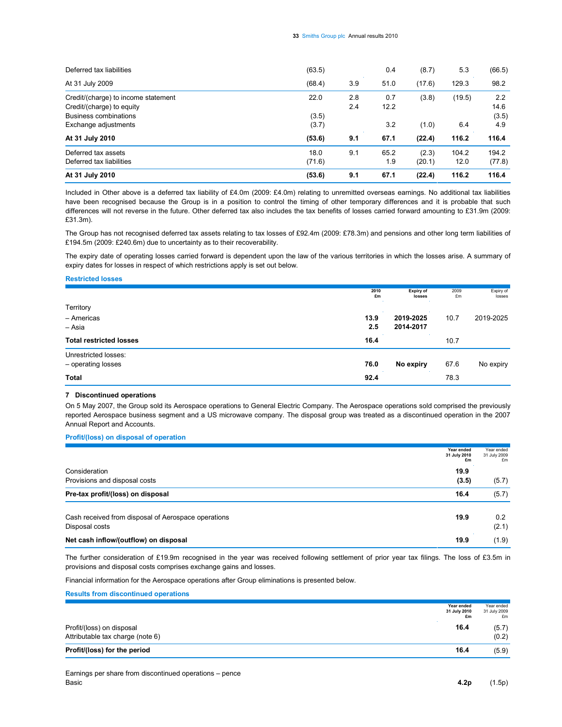| Deferred tax liabilities            | (63.5) |     | 0.4  | (8.7)  | 5.3    | (66.5) |
|-------------------------------------|--------|-----|------|--------|--------|--------|
| At 31 July 2009                     | (68.4) | 3.9 | 51.0 | (17.6) | 129.3  | 98.2   |
| Credit/(charge) to income statement | 22.0   | 2.8 | 0.7  | (3.8)  | (19.5) | 2.2    |
| Credit/(charge) to equity           |        | 2.4 | 12.2 |        |        | 14.6   |
| Business combinations               | (3.5)  |     |      |        |        | (3.5)  |
| Exchange adjustments                | (3.7)  |     | 3.2  | (1.0)  | 6.4    | 4.9    |
| At 31 July 2010                     | (53.6) | 9.1 | 67.1 | (22.4) | 116.2  | 116.4  |
| Deferred tax assets                 | 18.0   | 9.1 | 65.2 | (2.3)  | 104.2  | 194.2  |
| Deferred tax liabilities            | (71.6) |     | 1.9  | (20.1) | 12.0   | (77.8) |
| At 31 July 2010                     | (53.6) | 9.1 | 67.1 | (22.4) | 116.2  | 116.4  |

Included in Other above is a deferred tax liability of £4.0m (2009: £4.0m) relating to unremitted overseas earnings. No additional tax liabilities have been recognised because the Group is in a position to control the timing of other temporary differences and it is probable that such differences will not reverse in the future. Other deferred tax also includes the tax benefits of losses carried forward amounting to £31.9m (2009: £31.3m).

The Group has not recognised deferred tax assets relating to tax losses of £92.4m (2009: £78.3m) and pensions and other long term liabilities of £194.5m (2009: £240.6m) due to uncertainty as to their recoverability.

The expiry date of operating losses carried forward is dependent upon the law of the various territories in which the losses arise. A summary of expiry dates for losses in respect of which restrictions apply is set out below.

## **Restricted losses**

|                                            | 2010<br>£m             | Expiry of<br>losses    | 2009<br>£m | Expiry of<br>losses |
|--------------------------------------------|------------------------|------------------------|------------|---------------------|
| Territory                                  |                        |                        |            |                     |
| - Americas<br>- Asia                       | 13.9<br>2.5            | 2019-2025<br>2014-2017 | 10.7       | 2019-2025           |
| <b>Total restricted losses</b>             | <b>Section</b><br>16.4 |                        | 10.7       |                     |
| Unrestricted losses:<br>- operating losses | 76.0                   | No expiry              | 67.6       | No expiry           |
| <b>Total</b>                               | 92.4                   |                        | 78.3       |                     |

#### **7 Discontinued operations**

On 5 May 2007, the Group sold its Aerospace operations to General Electric Company. The Aerospace operations sold comprised the previously reported Aerospace business segment and a US microwave company. The disposal group was treated as a discontinued operation in the 2007 Annual Report and Accounts.

#### **Profit/(loss) on disposal of operation**

|                                                                       | Year ended<br>31 July 2010<br>£m | Year ended<br>31 July 2009<br>£m |
|-----------------------------------------------------------------------|----------------------------------|----------------------------------|
| Consideration                                                         | 19.9                             |                                  |
| Provisions and disposal costs                                         | (3.5)                            | (5.7)                            |
| Pre-tax profit/(loss) on disposal                                     | 16.4                             | (5.7)                            |
| Cash received from disposal of Aerospace operations<br>Disposal costs | 19.9                             | 0.2<br>(2.1)                     |
| Net cash inflow/(outflow) on disposal                                 | 19.9                             | (1.9)                            |

The further consideration of £19.9m recognised in the year was received following settlement of prior year tax filings. The loss of £3.5m in provisions and disposal costs comprises exchange gains and losses.

Financial information for the Aerospace operations after Group eliminations is presented below.

**Results from discontinued operations** 

|                                                               | Year ended<br>31 July 2010<br>£m | Year ended<br>31 July 2009<br>£m |
|---------------------------------------------------------------|----------------------------------|----------------------------------|
| Profit/(loss) on disposal<br>Attributable tax charge (note 6) | 16.4                             | (5.7)<br>(0.2)                   |
| Profit/(loss) for the period                                  | 16.4                             | (5.9)                            |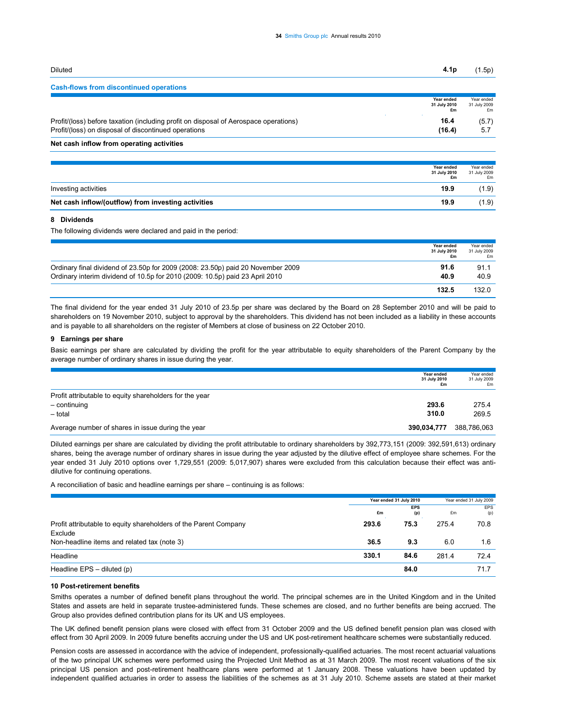| Diluted                                                                                                                                      | 4.1 <sub>p</sub>                 | (1.5p)                           |
|----------------------------------------------------------------------------------------------------------------------------------------------|----------------------------------|----------------------------------|
| <b>Cash-flows from discontinued operations</b>                                                                                               |                                  |                                  |
|                                                                                                                                              | Year ended<br>31 July 2010<br>£m | Year ended<br>31 July 2009<br>£m |
| Profit/(loss) before taxation (including profit on disposal of Aerospace operations)<br>Profit/(loss) on disposal of discontinued operations | 16.4<br>(16.4)                   | (5.7)<br>5.7                     |
| Net cash inflow from operating activities                                                                                                    |                                  |                                  |
|                                                                                                                                              |                                  |                                  |
|                                                                                                                                              | Year ended<br>31 July 2010<br>£m | Year ended<br>31 July 2009<br>fm |

|                                                     | 31 July 2010<br>£m | 31 July 2009<br>£m |
|-----------------------------------------------------|--------------------|--------------------|
| Investing activities                                | 19.9               | (1.9)              |
| Net cash inflow/(outflow) from investing activities | 19.9               | (1.9)              |

#### **8 Dividends**

The following dividends were declared and paid in the period:

|                                                                                                                                                                 | Year ended<br>31 July 2010<br>£m | Year ended<br>31 July 2009<br>£m |
|-----------------------------------------------------------------------------------------------------------------------------------------------------------------|----------------------------------|----------------------------------|
| Ordinary final dividend of 23.50p for 2009 (2008: 23.50p) paid 20 November 2009<br>Ordinary interim dividend of 10.5p for 2010 (2009: 10.5p) paid 23 April 2010 | 91.6<br>40.9                     | 91.1<br>40.9                     |
|                                                                                                                                                                 | 132.5                            | 132.0                            |

The final dividend for the year ended 31 July 2010 of 23.5p per share was declared by the Board on 28 September 2010 and will be paid to shareholders on 19 November 2010, subject to approval by the shareholders. This dividend has not been included as a liability in these accounts and is payable to all shareholders on the register of Members at close of business on 22 October 2010.

#### **9 Earnings per share**

Basic earnings per share are calculated by dividing the profit for the year attributable to equity shareholders of the Parent Company by the average number of ordinary shares in issue during the year.

|                                                         | Year ended<br>31 July 2010<br>£m | Year ended<br>31 July 2009<br>£m |
|---------------------------------------------------------|----------------------------------|----------------------------------|
| Profit attributable to equity shareholders for the year |                                  |                                  |
| - continuing                                            | 293.6                            | 275.4                            |
| - total                                                 | 310.0                            | 269.5                            |
| Average number of shares in issue during the year       | 390.034.777                      | 388,786,063                      |

Diluted earnings per share are calculated by dividing the profit attributable to ordinary shareholders by 392,773,151 (2009: 392,591,613) ordinary shares, being the average number of ordinary shares in issue during the year adjusted by the dilutive effect of employee share schemes. For the year ended 31 July 2010 options over 1,729,551 (2009: 5,017,907) shares were excluded from this calculation because their effect was antidilutive for continuing operations.

A reconciliation of basic and headline earnings per share – continuing is as follows:

|                                                                             |       | Year ended 31 July 2010 | Year ended 31 July 2009 |                   |
|-----------------------------------------------------------------------------|-------|-------------------------|-------------------------|-------------------|
|                                                                             | £m    | <b>EPS</b><br>(p)       | £m                      | <b>EPS</b><br>(p) |
| Profit attributable to equity shareholders of the Parent Company<br>Exclude | 293.6 | 75.3                    | 275.4                   | 70.8              |
| Non-headline items and related tax (note 3)                                 | 36.5  | 9.3                     | 6.0                     | 1.6               |
| Headline                                                                    | 330.1 | 84.6                    | 281.4                   | 72.4              |
| Headline $EPS -$ diluted (p)                                                |       | 84.0                    |                         | 71.7              |

#### **10 Post-retirement benefits**

Smiths operates a number of defined benefit plans throughout the world. The principal schemes are in the United Kingdom and in the United States and assets are held in separate trustee-administered funds. These schemes are closed, and no further benefits are being accrued. The Group also provides defined contribution plans for its UK and US employees.

The UK defined benefit pension plans were closed with effect from 31 October 2009 and the US defined benefit pension plan was closed with effect from 30 April 2009. In 2009 future benefits accruing under the US and UK post-retirement healthcare schemes were substantially reduced.

Pension costs are assessed in accordance with the advice of independent, professionally-qualified actuaries. The most recent actuarial valuations of the two principal UK schemes were performed using the Projected Unit Method as at 31 March 2009. The most recent valuations of the six principal US pension and post-retirement healthcare plans were performed at 1 January 2008. These valuations have been updated by independent qualified actuaries in order to assess the liabilities of the schemes as at 31 July 2010. Scheme assets are stated at their market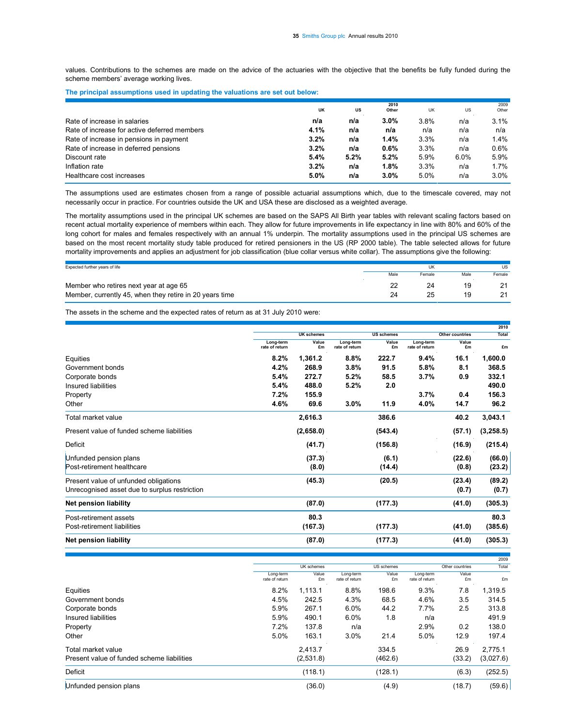values. Contributions to the schemes are made on the advice of the actuaries with the objective that the benefits be fully funded during the scheme members' average working lives.

**The principal assumptions used in updating the valuations are set out below:** 

|                                              | UK   | US   | 2010<br>Other | <b>UK</b> | US   | 2009<br>Other |
|----------------------------------------------|------|------|---------------|-----------|------|---------------|
| Rate of increase in salaries                 | n/a  | n/a  | 3.0%          | 3.8%      | n/a  | 3.1%          |
| Rate of increase for active deferred members | 4.1% | n/a  | n/a           | n/a       | n/a  | n/a           |
| Rate of increase in pensions in payment      | 3.2% | n/a  | 1.4%          | 3.3%      | n/a  | 1.4%          |
| Rate of increase in deferred pensions        | 3.2% | n/a  | 0.6%          | 3.3%      | n/a  | 0.6%          |
| Discount rate                                | 5.4% | 5.2% | 5.2%          | 5.9%      | 6.0% | 5.9%          |
| Inflation rate                               | 3.2% | n/a  | 1.8%          | 3.3%      | n/a  | 1.7%          |
| Healthcare cost increases                    | 5.0% | n/a  | 3.0%          | 5.0%      | n/a  | 3.0%          |

The assumptions used are estimates chosen from a range of possible actuarial assumptions which, due to the timescale covered, may not necessarily occur in practice. For countries outside the UK and USA these are disclosed as a weighted average.

The mortality assumptions used in the principal UK schemes are based on the SAPS All Birth year tables with relevant scaling factors based on recent actual mortality experience of members within each. They allow for future improvements in life expectancy in line with 80% and 60% of the long cohort for males and females respectively with an annual 1% underpin. The mortality assumptions used in the principal US schemes are based on the most recent mortality study table produced for retired pensioners in the US (RP 2000 table). The table selected allows for future mortality improvements and applies an adjustment for job classification (blue collar versus white collar). The assumptions give the following:

| Expected further years of life                          |      | UK     |      | US     |
|---------------------------------------------------------|------|--------|------|--------|
|                                                         | Male | Female | Male | Female |
| Member who retires next year at age 65                  |      |        |      | 21     |
| Member, currently 45, when they retire in 20 years time |      |        |      | 21     |

The assets in the scheme and the expected rates of return as at 31 July 2010 were:

|                                               |                             |                   |                             |                   |                             |                 | 2010         |
|-----------------------------------------------|-----------------------------|-------------------|-----------------------------|-------------------|-----------------------------|-----------------|--------------|
|                                               |                             | <b>UK schemes</b> |                             | <b>US</b> schemes |                             | Other countries | <b>Total</b> |
|                                               | Long-term<br>rate of return | Value<br>£m       | Long-term<br>rate of return | Value<br>£m       | Long-term<br>rate of return | Value<br>£m     | £m           |
| Equities                                      | 8.2%                        | 1,361.2           | 8.8%                        | 222.7             | 9.4%                        | 16.1            | 1,600.0      |
| Government bonds                              | 4.2%                        | 268.9             | 3.8%                        | 91.5              | 5.8%                        | 8.1             | 368.5        |
| Corporate bonds                               | 5.4%                        | 272.7             | 5.2%                        | 58.5              | 3.7%                        | 0.9             | 332.1        |
| Insured liabilities                           | 5.4%                        | 488.0             | 5.2%                        | 2.0               |                             |                 | 490.0        |
| Property                                      | 7.2%                        | 155.9             |                             |                   | 3.7%                        | 0.4             | 156.3        |
| Other                                         | 4.6%                        | 69.6              | $3.0\%$                     | 11.9              | 4.0%                        | 14.7            | 96.2         |
| Total market value                            |                             | 2,616.3           |                             | 386.6             |                             | 40.2            | 3,043.1      |
| Present value of funded scheme liabilities    |                             | (2,658.0)         |                             | (543.4)           |                             | (57.1)          | (3, 258.5)   |
| Deficit                                       |                             | (41.7)            |                             | (156.8)           |                             | (16.9)          | (215.4)      |
| Unfunded pension plans                        |                             | (37.3)            |                             | (6.1)             |                             | (22.6)          | (66.0)       |
| Post-retirement healthcare                    |                             | (8.0)             |                             | (14.4)            |                             | (0.8)           | (23.2)       |
| Present value of unfunded obligations         |                             | (45.3)            |                             | (20.5)            |                             | (23.4)          | (89.2)       |
| Unrecognised asset due to surplus restriction |                             |                   |                             |                   |                             | (0.7)           | (0.7)        |
| <b>Net pension liability</b>                  |                             | (87.0)            |                             | (177.3)           |                             | (41.0)          | (305.3)      |
| Post-retirement assets                        |                             | 80.3              |                             |                   |                             |                 | 80.3         |
| Post-retirement liabilities                   |                             | (167.3)           |                             | (177.3)           |                             | (41.0)          | (385.6)      |
| <b>Net pension liability</b>                  |                             | (87.0)            |                             | (177.3)           |                             | (41.0)          | (305.3)      |

|                                            |                             |             |                             |             |                             |                 | 2009      |
|--------------------------------------------|-----------------------------|-------------|-----------------------------|-------------|-----------------------------|-----------------|-----------|
|                                            | UK schemes                  |             |                             | US schemes  |                             | Other countries |           |
|                                            | Long-term<br>rate of return | Value<br>£m | Long-term<br>rate of return | Value<br>£m | Long-term<br>rate of return | Value<br>£m     | £m        |
| Equities                                   | 8.2%                        | 1,113.1     | 8.8%                        | 198.6       | 9.3%                        | 7.8             | 1,319.5   |
| Government bonds                           | 4.5%                        | 242.5       | 4.3%                        | 68.5        | 4.6%                        | 3.5             | 314.5     |
| Corporate bonds                            | 5.9%                        | 267.1       | 6.0%                        | 44.2        | 7.7%                        | 2.5             | 313.8     |
| Insured liabilities                        | 5.9%                        | 490.1       | $6.0\%$                     | 1.8         | n/a                         |                 | 491.9     |
| Property                                   | 7.2%                        | 137.8       | n/a                         |             | 2.9%                        | 0.2             | 138.0     |
| Other                                      | 5.0%                        | 163.1       | 3.0%                        | 21.4        | 5.0%                        | 12.9            | 197.4     |
| Total market value                         |                             | 2.413.7     |                             | 334.5       |                             | 26.9            | 2.775.1   |
| Present value of funded scheme liabilities |                             | (2,531.8)   |                             | (462.6)     |                             | (33.2)          | (3,027.6) |
| Deficit                                    |                             | (118.1)     |                             | (128.1)     |                             | (6.3)           | (252.5)   |
| Unfunded pension plans                     |                             | (36.0)      |                             | (4.9)       |                             | (18.7)          | (59.6)    |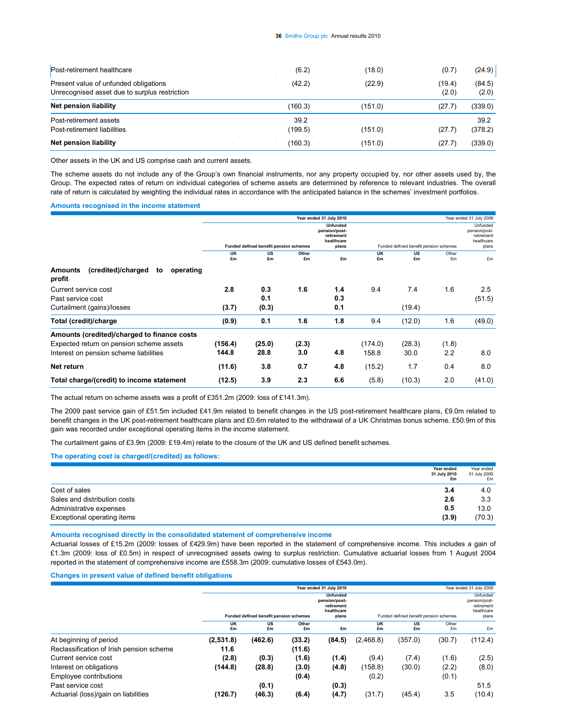| Post-retirement healthcare                                                             | (6.2)           | (18.0)  | (0.7)           | (24.9)          |
|----------------------------------------------------------------------------------------|-----------------|---------|-----------------|-----------------|
| Present value of unfunded obligations<br>Unrecognised asset due to surplus restriction | (42.2)          | (22.9)  | (19.4)<br>(2.0) | (84.5)<br>(2.0) |
| Net pension liability                                                                  | (160.3)         | (151.0) | (27.7)          | (339.0)         |
| Post-retirement assets<br>Post-retirement liabilities                                  | 39.2<br>(199.5) | (151.0) | (27.7)          | 39.2<br>(378.2) |
| Net pension liability                                                                  | (160.3)         | (151.0) | (27.7)          | (339.0)         |

Other assets in the UK and US comprise cash and current assets.

The scheme assets do not include any of the Group's own financial instruments, nor any property occupied by, nor other assets used by, the Group. The expected rates of return on individual categories of scheme assets are determined by reference to relevant industries. The overall rate of return is calculated by weighting the individual rates in accordance with the anticipated balance in the schemes' investment portfolios.

**Amounts recognised in the income statement** 

|                                                                   |         |                                                     |       | Year ended 31 July 2010                                      |         |                                                     |       | Year ended 31 July 2009                               |
|-------------------------------------------------------------------|---------|-----------------------------------------------------|-------|--------------------------------------------------------------|---------|-----------------------------------------------------|-------|-------------------------------------------------------|
|                                                                   |         |                                                     |       | <b>Unfunded</b><br>pension/post-<br>retirement<br>healthcare |         |                                                     |       | Unfunded<br>pension/post-<br>retirement<br>healthcare |
|                                                                   | UK      | Funded defined benefit pension schemes<br><b>US</b> | Other | plans                                                        | UK      | Funded defined benefit pension schemes<br><b>US</b> | Other | plans                                                 |
|                                                                   | £m      | £m                                                  | £m    | £m                                                           | £m      | £m                                                  | £m    | £m                                                    |
| (credited)/charged<br><b>Amounts</b><br>to<br>operating<br>profit |         |                                                     |       |                                                              |         |                                                     |       |                                                       |
| Current service cost                                              | 2.8     | 0.3                                                 | 1.6   | 1.4                                                          | 9.4     | 7.4                                                 | 1.6   | 2.5                                                   |
| Past service cost                                                 |         | 0.1                                                 |       | 0.3                                                          |         |                                                     |       | (51.5)                                                |
| Curtailment (gains)/losses                                        | (3.7)   | (0.3)                                               |       | 0.1                                                          |         | (19.4)                                              |       |                                                       |
| Total (credit)/charge                                             | (0.9)   | 0.1                                                 | 1.6   | 1.8                                                          | 9.4     | (12.0)                                              | 1.6   | (49.0)                                                |
| Amounts (credited)/charged to finance costs                       |         |                                                     |       |                                                              |         |                                                     |       |                                                       |
| Expected return on pension scheme assets                          | (156.4) | (25.0)                                              | (2.3) |                                                              | (174.0) | (28.3)                                              | (1.8) |                                                       |
| Interest on pension scheme liabilities                            | 144.8   | 28.8                                                | 3.0   | 4.8                                                          | 158.8   | 30.0                                                | 2.2   | 8.0                                                   |
| Net return                                                        | (11.6)  | 3.8                                                 | 0.7   | 4.8                                                          | (15.2)  | 1.7                                                 | 0.4   | 8.0                                                   |
| Total charge/(credit) to income statement                         | (12.5)  | 3.9                                                 | 2.3   | 6.6                                                          | (5.8)   | (10.3)                                              | 2.0   | (41.0)                                                |

The actual return on scheme assets was a profit of £351.2m (2009: loss of £141.3m).

The 2009 past service gain of £51.5m included £41.9m related to benefit changes in the US post-retirement healthcare plans, £9.0m related to benefit changes in the UK post-retirement healthcare plans and £0.6m related to the withdrawal of a UK Christmas bonus scheme. £50.9m of this gain was recorded under exceptional operating items in the income statement.

The curtailment gains of £3.9m (2009: £19.4m) relate to the closure of the UK and US defined benefit schemes.

**The operating cost is charged/(credited) as follows:** 

|                              | Year ended<br>31 July 2010<br>£m | Year ended<br>31 July 2009<br>£m |
|------------------------------|----------------------------------|----------------------------------|
| Cost of sales                | 3.4                              | 4.0                              |
| Sales and distribution costs | 2.6                              | 3.3                              |
| Administrative expenses      | 0.5                              | 13.0                             |
| Exceptional operating items  | (3.9)                            | (70.3)                           |

**Amounts recognised directly in the consolidated statement of comprehensive income** 

Actuarial losses of £15.2m (2009: losses of £429.9m) have been reported in the statement of comprehensive income. This includes a gain of £1.3m (2009: loss of £0.5m) in respect of unrecognised assets owing to surplus restriction. Cumulative actuarial losses from 1 August 2004 reported in the statement of comprehensive income are £558.3m (2009: cumulative losses of £543.0m).

## **Changes in present value of defined benefit obligations**

|                                          |                                        |          |             | Year ended 31 July 2010                                               | Year ended 31 July 2009                |          |             |                                                                |
|------------------------------------------|----------------------------------------|----------|-------------|-----------------------------------------------------------------------|----------------------------------------|----------|-------------|----------------------------------------------------------------|
|                                          | Funded defined benefit pension schemes |          |             | <b>Unfunded</b><br>pension/post-<br>retirement<br>healthcare<br>plans | Funded defined benefit pension schemes |          |             | Unfunded<br>pension/post-<br>retirement<br>healthcare<br>plans |
|                                          | UK<br>£m                               | US<br>£m | Other<br>£m | £m                                                                    | UK<br>£m                               | US<br>£m | Other<br>£m | £m                                                             |
| At beginning of period                   | (2,531.8)                              | (462.6)  | (33.2)      | (84.5)                                                                | (2,468.8)                              | (357.0)  | (30.7)      | (112.4)                                                        |
| Reclassification of Irish pension scheme | 11.6                                   |          | (11.6)      |                                                                       |                                        |          |             |                                                                |
| Current service cost                     | (2.8)                                  | (0.3)    | (1.6)       | (1.4)                                                                 | (9.4)                                  | (7.4)    | (1.6)       | (2.5)                                                          |
| Interest on obligations                  | (144.8)                                | (28.8)   | (3.0)       | (4.8)                                                                 | (158.8)                                | (30.0)   | (2.2)       | (8.0)                                                          |
| Employee contributions                   |                                        |          | (0.4)       |                                                                       | (0.2)                                  |          | (0.1)       |                                                                |
| Past service cost                        |                                        | (0.1)    |             | (0.3)                                                                 |                                        |          |             | 51.5                                                           |
| Actuarial (loss)/gain on liabilities     | (126.7)                                | (46.3)   | (6.4)       | (4.7)                                                                 | (31.7)                                 | (45.4)   | 3.5         | (10.4)                                                         |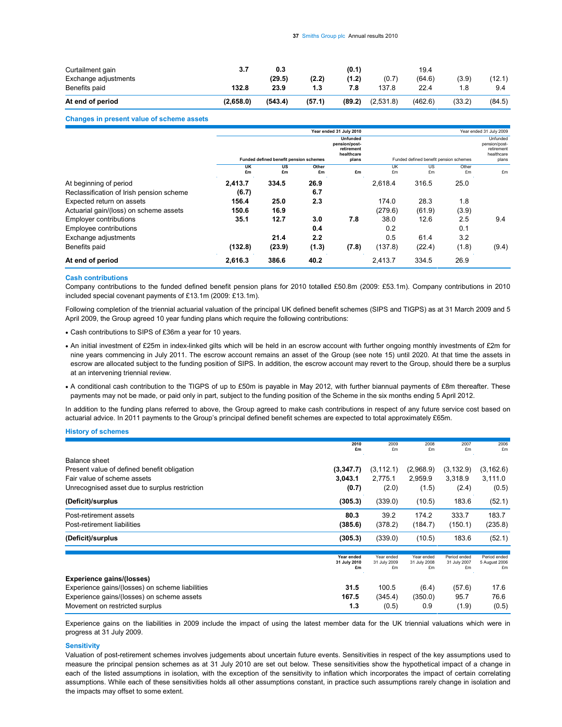| At end of period     | (2.658.0) | (543.4) | (57.1) | (89.2) | (2,531.8) | (462.6) | (33.2) | (84.5) |
|----------------------|-----------|---------|--------|--------|-----------|---------|--------|--------|
| Benefits paid        | 132.8     | 23.9    | 1.3    |        | 137.8     | 22.4    | 1.8    | 9.4    |
| Exchange adjustments |           | (29.5)  | (2.2)  | (1.2)  | (0.7)     | (64.6)  | (3.9)  | (12.1) |
| Curtailment gain     | 3.7       | 0.3     |        | (0.1)  |           | 19.4    |        |        |
|                      |           |         |        |        |           |         |        |        |

#### **Changes in present value of scheme assets**

|                                          |                                        |          |             | Year ended 31 July 2010                                                                                         |          |                 |             | Year ended 31 July 2009                                        |
|------------------------------------------|----------------------------------------|----------|-------------|-----------------------------------------------------------------------------------------------------------------|----------|-----------------|-------------|----------------------------------------------------------------|
|                                          | Funded defined benefit pension schemes |          |             | <b>Unfunded</b><br>pension/post-<br>retirement<br>healthcare<br>Funded defined benefit pension schemes<br>plans |          |                 |             | Unfunded<br>pension/post-<br>retirement<br>healthcare<br>plans |
|                                          | <b>UK</b><br>£m                        | US<br>£m | Other<br>£m | £m                                                                                                              | UK<br>£m | <b>US</b><br>£m | Other<br>£m | £m                                                             |
| At beginning of period                   | 2,413.7                                | 334.5    | 26.9        |                                                                                                                 | 2.618.4  | 316.5           | 25.0        |                                                                |
| Reclassification of Irish pension scheme | (6.7)                                  |          | 6.7         |                                                                                                                 |          |                 |             |                                                                |
| Expected return on assets                | 156.4                                  | 25.0     | 2.3         |                                                                                                                 | 174.0    | 28.3            | 1.8         |                                                                |
| Actuarial gain/(loss) on scheme assets   | 150.6                                  | 16.9     |             |                                                                                                                 | (279.6)  | (61.9)          | (3.9)       |                                                                |
| <b>Employer contributions</b>            | 35.1                                   | 12.7     | 3.0         | 7.8                                                                                                             | 38.0     | 12.6            | 2.5         | 9.4                                                            |
| Employee contributions                   |                                        |          | 0.4         |                                                                                                                 | 0.2      |                 | 0.1         |                                                                |
| Exchange adjustments                     |                                        | 21.4     | 2.2         |                                                                                                                 | 0.5      | 61.4            | 3.2         |                                                                |
| Benefits paid                            | (132.8)                                | (23.9)   | (1.3)       | (7.8)                                                                                                           | (137.8)  | (22.4)          | (1.8)       | (9.4)                                                          |
| At end of period                         | 2,616.3                                | 386.6    | 40.2        |                                                                                                                 | 2.413.7  | 334.5           | 26.9        |                                                                |

#### **Cash contributions**

Company contributions to the funded defined benefit pension plans for 2010 totalled £50.8m (2009: £53.1m). Company contributions in 2010 included special covenant payments of £13.1m (2009: £13.1m).

Following completion of the triennial actuarial valuation of the principal UK defined benefit schemes (SIPS and TIGPS) as at 31 March 2009 and 5 April 2009, the Group agreed 10 year funding plans which require the following contributions:

- Cash contributions to SIPS of £36m a year for 10 years.
- An initial investment of £25m in index-linked gilts which will be held in an escrow account with further ongoing monthly investments of £2m for nine years commencing in July 2011. The escrow account remains an asset of the Group (see note 15) until 2020. At that time the assets in escrow are allocated subject to the funding position of SIPS. In addition, the escrow account may revert to the Group, should there be a surplus at an intervening triennial review.
- A conditional cash contribution to the TIGPS of up to £50m is payable in May 2012, with further biannual payments of £8m thereafter. These payments may not be made, or paid only in part, subject to the funding position of the Scheme in the six months ending 5 April 2012.

In addition to the funding plans referred to above, the Group agreed to make cash contributions in respect of any future service cost based on actuarial advice. In 2011 payments to the Group's principal defined benefit schemes are expected to total approximately £65m.

## **History of schemes**

|                                                 | 2010<br>£m         | 2009<br>£m         | 2008<br>£m         | 2007<br>£m         | 2006<br>£m          |
|-------------------------------------------------|--------------------|--------------------|--------------------|--------------------|---------------------|
| Balance sheet                                   |                    |                    |                    |                    |                     |
| Present value of defined benefit obligation     | (3,347.7)          | (3, 112.1)         | (2,968.9)          | (3, 132.9)         | (3, 162.6)          |
| Fair value of scheme assets                     | 3,043.1            | 2.775.1            | 2,959.9            | 3.318.9            | 3,111.0             |
| Unrecognised asset due to surplus restriction   | (0.7)              | (2.0)              | (1.5)              | (2.4)              | (0.5)               |
| (Deficit)/surplus                               | (305.3)            | (339.0)            | (10.5)             | 183.6              | (52.1)              |
| Post-retirement assets                          | 80.3               | 39.2               | 174.2              | 333.7              | 183.7               |
| Post-retirement liabilities                     | (385.6)            | (378.2)            | (184.7)            | (150.1)            | (235.8)             |
| (Deficit)/surplus                               | (305.3)            | (339.0)            | (10.5)             | 183.6              | (52.1)              |
|                                                 | Year ended         | Year ended         | Year ended         | Period ended       | Period ended        |
|                                                 | 31 July 2010<br>£m | 31 July 2009<br>£m | 31 July 2008<br>£m | 31 July 2007<br>£m | 5 August 2006<br>£m |
| Experience gains/(losses)                       |                    |                    |                    |                    |                     |
| Experience gains/(losses) on scheme liabilities | 31.5               | 100.5              | (6.4)              | (57.6)             | 17.6                |
| Experience gains/(losses) on scheme assets      | 167.5              | (345.4)            | (350.0)            | 95.7               | 76.6                |
| Movement on restricted surplus                  | 1.3                | (0.5)              | 0.9                | (1.9)              | (0.5)               |

Experience gains on the liabilities in 2009 include the impact of using the latest member data for the UK triennial valuations which were in progress at 31 July 2009.

#### **Sensitivity**

Valuation of post-retirement schemes involves judgements about uncertain future events. Sensitivities in respect of the key assumptions used to measure the principal pension schemes as at 31 July 2010 are set out below. These sensitivities show the hypothetical impact of a change in each of the listed assumptions in isolation, with the exception of the sensitivity to inflation which incorporates the impact of certain correlating assumptions. While each of these sensitivities holds all other assumptions constant, in practice such assumptions rarely change in isolation and the impacts may offset to some extent.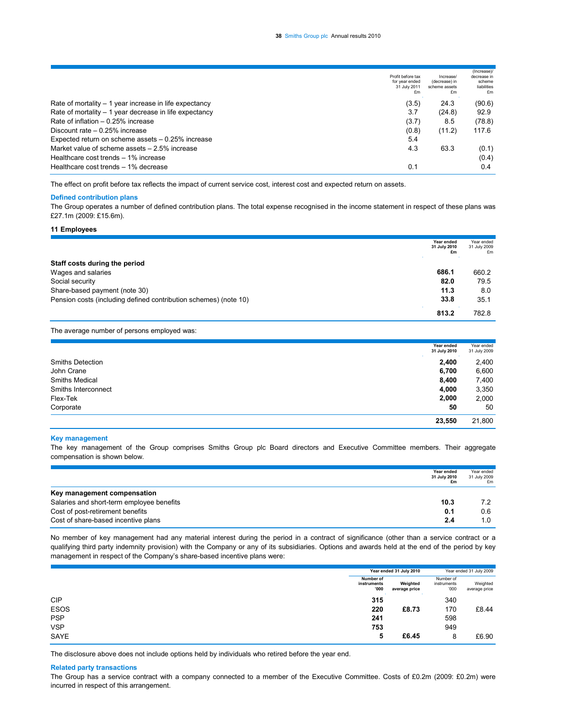|                                                         | Profit before tax<br>for year ended<br>31 July 2011<br>£m | Increase/<br>(decrease) in<br>scheme assets<br>fm | (Increase)/<br>decrease in<br>scheme<br>liabilities<br>£m |
|---------------------------------------------------------|-----------------------------------------------------------|---------------------------------------------------|-----------------------------------------------------------|
| Rate of mortality $-1$ year increase in life expectancy | (3.5)                                                     | 24.3                                              | (90.6)                                                    |
| Rate of mortality – 1 year decrease in life expectancy  | 3.7                                                       | (24.8)                                            | 92.9                                                      |
| Rate of inflation $-0.25%$ increase                     | (3.7)                                                     | 8.5                                               | (78.8)                                                    |
| Discount rate - 0.25% increase                          | (0.8)                                                     | (11.2)                                            | 117.6                                                     |
| Expected return on scheme assets - 0.25% increase       | 5.4                                                       |                                                   |                                                           |
| Market value of scheme assets - 2.5% increase           | 4.3                                                       | 63.3                                              | (0.1)                                                     |
| Healthcare cost trends - 1% increase                    |                                                           |                                                   | (0.4)                                                     |
| Healthcare cost trends - 1% decrease                    | 0.1                                                       |                                                   | 0.4                                                       |

The effect on profit before tax reflects the impact of current service cost, interest cost and expected return on assets.

#### **Defined contribution plans**

The Group operates a number of defined contribution plans. The total expense recognised in the income statement in respect of these plans was £27.1m (2009: £15.6m).

### **11 Employees**

|                                                                  | Year ended<br>31 July 2010 | Year ended<br>31 July 2009 |
|------------------------------------------------------------------|----------------------------|----------------------------|
|                                                                  | £m                         | £m                         |
| Staff costs during the period                                    |                            |                            |
| Wages and salaries                                               | 686.1                      | 660.2                      |
| Social security                                                  | 82.0                       | 79.5                       |
| Share-based payment (note 30)                                    | 11.3                       | 8.0                        |
| Pension costs (including defined contribution schemes) (note 10) | 33.8                       | 35.1                       |
|                                                                  | 813.2                      | 782.8                      |

The average number of persons employed was:

|                     | Year ended<br>31 July 2010 | Year ended<br>31 July 2009 |
|---------------------|----------------------------|----------------------------|
| Smiths Detection    | 2,400                      | 2,400                      |
| John Crane          | 6,700                      | 6,600                      |
| Smiths Medical      | 8,400                      | 7,400                      |
| Smiths Interconnect | 4,000                      | 3,350                      |
| Flex-Tek            | 2,000                      | 2,000                      |
| Corporate           | 50                         | 50                         |
|                     | 23,550                     | 21,800                     |

## **Key management**

The key management of the Group comprises Smiths Group plc Board directors and Executive Committee members. Their aggregate compensation is shown below.

|                                           | Year ended<br>31 July 2010<br>£m | Year ended<br>31 July 2009<br>£m |
|-------------------------------------------|----------------------------------|----------------------------------|
| Key management compensation               |                                  |                                  |
| Salaries and short-term employee benefits | 10.3                             | 72                               |
| Cost of post-retirement benefits          | 0.1                              | 0.6                              |
| Cost of share-based incentive plans       | 2.4                              | 1.0                              |

No member of key management had any material interest during the period in a contract of significance (other than a service contract or a qualifying third party indemnity provision) with the Company or any of its subsidiaries. Options and awards held at the end of the period by key management in respect of the Company's share-based incentive plans were:

| Year ended 31 July 2009   |                                  | Year ended 31 July 2010   |                                   |
|---------------------------|----------------------------------|---------------------------|-----------------------------------|
| Weighted<br>average price | Number of<br>instruments<br>'000 | Weighted<br>average price | Number of<br>instruments<br>'000' |
|                           | 340                              |                           | 315                               |
| £8.44                     | 170                              | £8.73                     | 220                               |
|                           | 598                              |                           | 241                               |
|                           | 949                              |                           | 753                               |
| £6.90                     | 8                                | £6.45                     | 5                                 |

The disclosure above does not include options held by individuals who retired before the year end.

#### **Related party transactions**

The Group has a service contract with a company connected to a member of the Executive Committee. Costs of £0.2m (2009: £0.2m) were incurred in respect of this arrangement.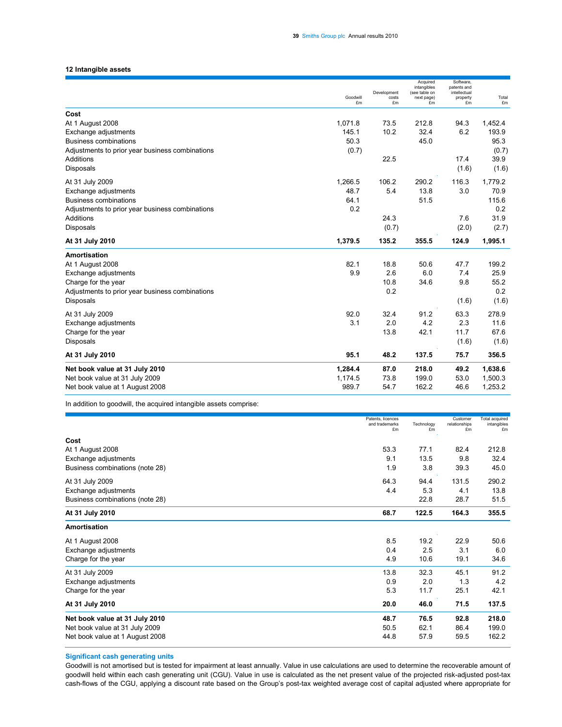## **12 Intangible assets**

|                                                 | Goodwill<br>£m | Development<br>costs<br>£m | Acquired<br>intangibles<br>(see table on<br>next page)<br>£m | Software.<br>patents and<br>intellectual<br>property<br>£m | Total<br>£m |
|-------------------------------------------------|----------------|----------------------------|--------------------------------------------------------------|------------------------------------------------------------|-------------|
| Cost                                            |                |                            |                                                              |                                                            |             |
| At 1 August 2008                                | 1,071.8        | 73.5                       | 212.8                                                        | 94.3                                                       | 1,452.4     |
| Exchange adjustments                            | 145.1          | 10.2                       | 32.4                                                         | 6.2                                                        | 193.9       |
| <b>Business combinations</b>                    | 50.3           |                            | 45.0                                                         |                                                            | 95.3        |
| Adjustments to prior year business combinations | (0.7)          |                            |                                                              |                                                            | (0.7)       |
| Additions                                       |                | 22.5                       |                                                              | 17.4                                                       | 39.9        |
| Disposals                                       |                |                            |                                                              | (1.6)                                                      | (1.6)       |
| At 31 July 2009                                 | 1,266.5        | 106.2                      | 290.2                                                        | 116.3                                                      | 1,779.2     |
| Exchange adjustments                            | 48.7           | 5.4                        | 13.8                                                         | 3.0                                                        | 70.9        |
| <b>Business combinations</b>                    | 64.1           |                            | 51.5                                                         |                                                            | 115.6       |
| Adjustments to prior year business combinations | 0.2            |                            |                                                              |                                                            | 0.2         |
| Additions                                       |                | 24.3                       |                                                              | 7.6                                                        | 31.9        |
| <b>Disposals</b>                                |                | (0.7)                      |                                                              | (2.0)                                                      | (2.7)       |
| At 31 July 2010                                 | 1,379.5        | 135.2                      | 355.5                                                        | 124.9                                                      | 1,995.1     |
| Amortisation                                    |                |                            |                                                              |                                                            |             |
| At 1 August 2008                                | 82.1           | 18.8                       | 50.6                                                         | 47.7                                                       | 199.2       |
| Exchange adjustments                            | 9.9            | 2.6                        | 6.0                                                          | 7.4                                                        | 25.9        |
| Charge for the year                             |                | 10.8                       | 34.6                                                         | 9.8                                                        | 55.2        |
| Adjustments to prior year business combinations |                | 0.2                        |                                                              |                                                            | 0.2         |
| Disposals                                       |                |                            |                                                              | (1.6)                                                      | (1.6)       |
| At 31 July 2009                                 | 92.0           | 32.4                       | 91.2                                                         | 63.3                                                       | 278.9       |
| Exchange adjustments                            | 3.1            | 2.0                        | 4.2                                                          | 2.3                                                        | 11.6        |
| Charge for the year                             |                | 13.8                       | 42.1                                                         | 11.7                                                       | 67.6        |
| <b>Disposals</b>                                |                |                            |                                                              | (1.6)                                                      | (1.6)       |
| At 31 July 2010                                 | 95.1           | 48.2                       | 137.5                                                        | 75.7                                                       | 356.5       |
| Net book value at 31 July 2010                  | 1,284.4        | 87.0                       | 218.0                                                        | 49.2                                                       | 1,638.6     |
| Net book value at 31 July 2009                  | 1,174.5        | 73.8                       | 199.0                                                        | 53.0                                                       | 1,500.3     |
| Net book value at 1 August 2008                 | 989.7          | 54.7                       | 162.2                                                        | 46.6                                                       | 1,253.2     |

In addition to goodwill, the acquired intangible assets comprise:

|                                 | Patents, licences<br>and trademarks<br>£m | Technology<br>£m | Customer<br>relationships<br>£m | Total acquired<br>intangibles<br>£m |
|---------------------------------|-------------------------------------------|------------------|---------------------------------|-------------------------------------|
| Cost                            |                                           |                  |                                 |                                     |
| At 1 August 2008                | 53.3                                      | 77.1             | 82.4                            | 212.8                               |
| Exchange adjustments            | 9.1                                       | 13.5             | 9.8                             | 32.4                                |
| Business combinations (note 28) | 1.9                                       | 3.8              | 39.3                            | 45.0                                |
| At 31 July 2009                 | 64.3                                      | 94.4             | 131.5                           | 290.2                               |
| Exchange adjustments            | 4.4                                       | 5.3              | 4.1                             | 13.8                                |
| Business combinations (note 28) |                                           | 22.8             | 28.7                            | 51.5                                |
| At 31 July 2010                 | 68.7                                      | 122.5            | 164.3                           | 355.5                               |
| Amortisation                    |                                           |                  |                                 |                                     |
| At 1 August 2008                | 8.5                                       | 19.2             | 22.9                            | 50.6                                |
| Exchange adjustments            | 0.4                                       | 2.5              | 3.1                             | 6.0                                 |
| Charge for the year             | 4.9                                       | 10.6             | 19.1                            | 34.6                                |
| At 31 July 2009                 | 13.8                                      | 32.3             | 45.1                            | 91.2                                |
| Exchange adjustments            | 0.9                                       | 2.0              | 1.3                             | 4.2                                 |
| Charge for the year             | 5.3                                       | 11.7             | 25.1                            | 42.1                                |
| At 31 July 2010                 | 20.0                                      | 46.0             | 71.5                            | 137.5                               |
| Net book value at 31 July 2010  | 48.7                                      | 76.5             | 92.8                            | 218.0                               |
| Net book value at 31 July 2009  | 50.5                                      | 62.1             | 86.4                            | 199.0                               |
| Net book value at 1 August 2008 | 44.8                                      | 57.9             | 59.5                            | 162.2                               |

## **Significant cash generating units**

Goodwill is not amortised but is tested for impairment at least annually. Value in use calculations are used to determine the recoverable amount of goodwill held within each cash generating unit (CGU). Value in use is calculated as the net present value of the projected risk-adjusted post-tax cash-flows of the CGU, applying a discount rate based on the Group's post-tax weighted average cost of capital adjusted where appropriate for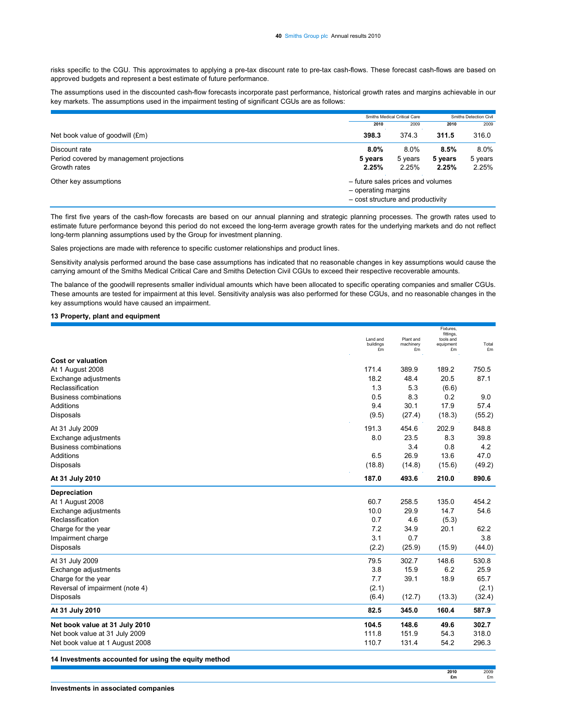risks specific to the CGU. This approximates to applying a pre-tax discount rate to pre-tax cash-flows. These forecast cash-flows are based on approved budgets and represent a best estimate of future performance.

The assumptions used in the discounted cash-flow forecasts incorporate past performance, historical growth rates and margins achievable in our key markets. The assumptions used in the impairment testing of significant CGUs are as follows:

|                                          | Smiths Medical Critical Care                                                                  |         |         | Smiths Detection Civil |
|------------------------------------------|-----------------------------------------------------------------------------------------------|---------|---------|------------------------|
|                                          | 2010                                                                                          | 2009    | 2010    | 2009                   |
| Net book value of goodwill (£m)          | 398.3                                                                                         | 374.3   | 311.5   | 316.0                  |
| Discount rate                            | 8.0%                                                                                          | 8.0%    | 8.5%    | $8.0\%$                |
| Period covered by management projections | 5 years                                                                                       | 5 years | 5 years | 5 years                |
| Growth rates                             | 2.25%                                                                                         | 2.25%   | 2.25%   | 2.25%                  |
| Other key assumptions                    | - future sales prices and volumes<br>- operating margins<br>- cost structure and productivity |         |         |                        |

The first five years of the cash-flow forecasts are based on our annual planning and strategic planning processes. The growth rates used to estimate future performance beyond this period do not exceed the long-term average growth rates for the underlying markets and do not reflect long-term planning assumptions used by the Group for investment planning.

Sales projections are made with reference to specific customer relationships and product lines.

Sensitivity analysis performed around the base case assumptions has indicated that no reasonable changes in key assumptions would cause the carrying amount of the Smiths Medical Critical Care and Smiths Detection Civil CGUs to exceed their respective recoverable amounts.

The balance of the goodwill represents smaller individual amounts which have been allocated to specific operating companies and smaller CGUs. These amounts are tested for impairment at this level. Sensitivity analysis was also performed for these CGUs, and no reasonable changes in the key assumptions would have caused an impairment.

## **13 Property, plant and equipment**

|                                 | Land and<br>buildings<br>£m | Plant and<br>machinery<br>£m | Fixtures.<br>fittings.<br>tools and<br>equipment<br>£m | Total<br>£m |
|---------------------------------|-----------------------------|------------------------------|--------------------------------------------------------|-------------|
| <b>Cost or valuation</b>        |                             |                              |                                                        |             |
| At 1 August 2008                | 171.4                       | 389.9                        | 189.2                                                  | 750.5       |
| Exchange adjustments            | 18.2                        | 48.4                         | 20.5                                                   | 87.1        |
| Reclassification                | 1.3                         | 5.3                          | (6.6)                                                  |             |
| <b>Business combinations</b>    | 0.5                         | 8.3                          | 0.2                                                    | 9.0         |
| Additions                       | 9.4                         | 30.1                         | 17.9                                                   | 57.4        |
| Disposals                       | (9.5)                       | (27.4)                       | (18.3)                                                 | (55.2)      |
| At 31 July 2009                 | 191.3                       | 454.6                        | 202.9                                                  | 848.8       |
| Exchange adjustments            | 8.0                         | 23.5                         | 8.3                                                    | 39.8        |
| <b>Business combinations</b>    |                             | 3.4                          | 0.8                                                    | 4.2         |
| Additions                       | 6.5                         | 26.9                         | 13.6                                                   | 47.0        |
| Disposals                       | (18.8)                      | (14.8)                       | (15.6)                                                 | (49.2)      |
| At 31 July 2010                 | 187.0                       | 493.6                        | 210.0                                                  | 890.6       |
| Depreciation                    |                             |                              |                                                        |             |
| At 1 August 2008                | 60.7                        | 258.5                        | 135.0                                                  | 454.2       |
| Exchange adjustments            | 10.0                        | 29.9                         | 14.7                                                   | 54.6        |
| Reclassification                | 0.7                         | 4.6                          | (5.3)                                                  |             |
| Charge for the year             | 7.2                         | 34.9                         | 20.1                                                   | 62.2        |
| Impairment charge               | 3.1                         | 0.7                          |                                                        | 3.8         |
| <b>Disposals</b>                | (2.2)                       | (25.9)                       | (15.9)                                                 | (44.0)      |
| At 31 July 2009                 | 79.5                        | 302.7                        | 148.6                                                  | 530.8       |
| Exchange adjustments            | 3.8                         | 15.9                         | 6.2                                                    | 25.9        |
| Charge for the year             | 7.7                         | 39.1                         | 18.9                                                   | 65.7        |
| Reversal of impairment (note 4) | (2.1)                       |                              |                                                        | (2.1)       |
| Disposals                       | (6.4)                       | (12.7)                       | (13.3)                                                 | (32.4)      |
| At 31 July 2010                 | 82.5                        | 345.0                        | 160.4                                                  | 587.9       |
| Net book value at 31 July 2010  | 104.5                       | 148.6                        | 49.6                                                   | 302.7       |
| Net book value at 31 July 2009  | 111.8                       | 151.9                        | 54.3                                                   | 318.0       |
| Net book value at 1 August 2008 | 110.7                       | 131.4                        | 54.2                                                   | 296.3       |

**14 Investments accounted for using the equity method** 

| 2010 | 2009 |
|------|------|
| £m   | £m   |
|      |      |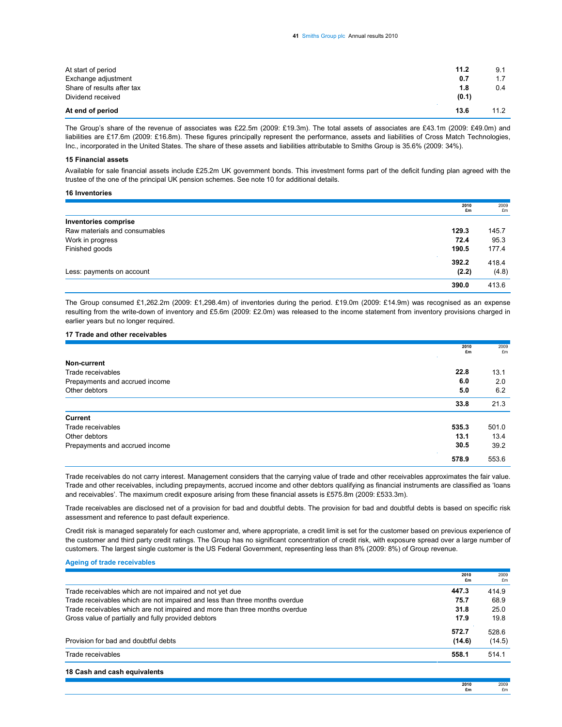| (0.1) |     |
|-------|-----|
|       |     |
| 1.8   | 0.4 |
| 0.7   | 1.7 |
| 11.2  | 9.1 |
|       |     |

The Group's share of the revenue of associates was £22.5m (2009: £19.3m). The total assets of associates are £43.1m (2009: £49.0m) and liabilities are £17.6m (2009: £16.8m). These figures principally represent the performance, assets and liabilities of Cross Match Technologies, Inc., incorporated in the United States. The share of these assets and liabilities attributable to Smiths Group is 35.6% (2009: 34%).

#### **15 Financial assets**

Available for sale financial assets include £25.2m UK government bonds. This investment forms part of the deficit funding plan agreed with the trustee of the one of the principal UK pension schemes. See note 10 for additional details.

#### **16 Inventories**

|                               | 2010  | 2009  |
|-------------------------------|-------|-------|
|                               | £m    | £m    |
| <b>Inventories comprise</b>   |       |       |
| Raw materials and consumables | 129.3 | 145.7 |
| Work in progress              | 72.4  | 95.3  |
| Finished goods                | 190.5 | 177.4 |
|                               | 392.2 | 418.4 |
| Less: payments on account     | (2.2) | (4.8) |
|                               | 390.0 | 413.6 |
|                               |       |       |

The Group consumed £1,262.2m (2009: £1,298.4m) of inventories during the period. £19.0m (2009: £14.9m) was recognised as an expense resulting from the write-down of inventory and £5.6m (2009: £2.0m) was released to the income statement from inventory provisions charged in earlier years but no longer required.

#### **17 Trade and other receivables**

|                                | 2010<br>£m | 2009<br>£m |
|--------------------------------|------------|------------|
| Non-current                    |            |            |
| Trade receivables              | 22.8       | 13.1       |
| Prepayments and accrued income | 6.0        | 2.0        |
| Other debtors                  | 5.0        | 6.2        |
|                                | 33.8       | 21.3       |
| Current                        |            |            |
| Trade receivables              | 535.3      | 501.0      |
| Other debtors                  | 13.1       | 13.4       |
| Prepayments and accrued income | 30.5       | 39.2       |
|                                | 578.9      | 553.6      |

Trade receivables do not carry interest. Management considers that the carrying value of trade and other receivables approximates the fair value. Trade and other receivables, including prepayments, accrued income and other debtors qualifying as financial instruments are classified as 'loans and receivables'. The maximum credit exposure arising from these financial assets is £575.8m (2009: £533.3m).

Trade receivables are disclosed net of a provision for bad and doubtful debts. The provision for bad and doubtful debts is based on specific risk assessment and reference to past default experience.

Credit risk is managed separately for each customer and, where appropriate, a credit limit is set for the customer based on previous experience of the customer and third party credit ratings. The Group has no significant concentration of credit risk, with exposure spread over a large number of customers. The largest single customer is the US Federal Government, representing less than 8% (2009: 8%) of Group revenue.

#### **Ageing of trade receivables**

|                                                                             | 2010<br>£m | 2009<br>£m |
|-----------------------------------------------------------------------------|------------|------------|
| Trade receivables which are not impaired and not yet due                    | 447.3      | 414.9      |
| Trade receivables which are not impaired and less than three months overdue | 75.7       | 68.9       |
| Trade receivables which are not impaired and more than three months overdue | 31.8       | 25.0       |
| Gross value of partially and fully provided debtors                         | 17.9       | 19.8       |
|                                                                             | 572.7      | 528.6      |
| Provision for bad and doubtful debts                                        | (14.6)     | (14.5)     |
| Trade receivables                                                           | 558.1      | 514.1      |

**18 Cash and cash equivalents** 

**2010 £m**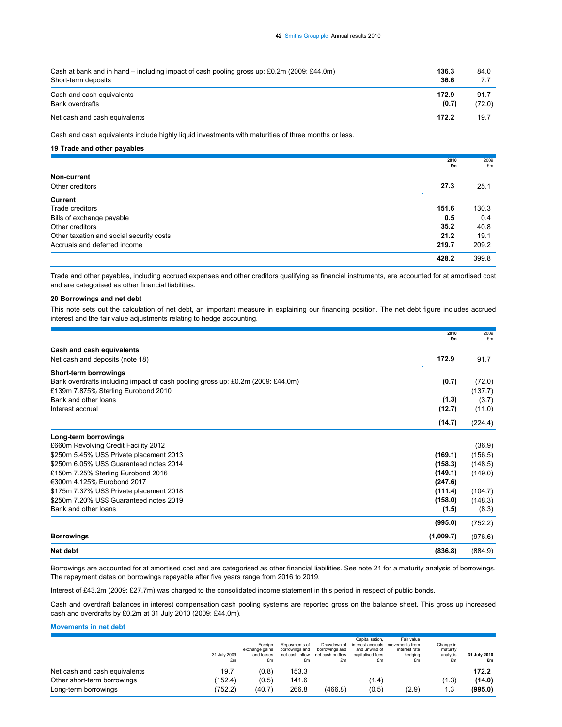| Cash at bank and in hand – including impact of cash pooling gross up: £0.2m (2009: £44.0m)<br>Short-term deposits | 136.3<br>36.6  | 84.0           |
|-------------------------------------------------------------------------------------------------------------------|----------------|----------------|
| Cash and cash equivalents<br>Bank overdrafts                                                                      | 172.9<br>(0.7) | 91.7<br>(72.0) |
| Net cash and cash equivalents                                                                                     | 172.2          | 19.7           |

Cash and cash equivalents include highly liquid investments with maturities of three months or less.

## **19 Trade and other payables**

|                                          | 2010<br>£m | 2009<br>£m |
|------------------------------------------|------------|------------|
|                                          |            |            |
| Non-current                              |            |            |
| Other creditors                          | 27.3       | 25.1       |
| Current                                  |            |            |
| Trade creditors                          | 151.6      | 130.3      |
| Bills of exchange payable                | 0.5        | 0.4        |
| Other creditors                          | 35.2       | 40.8       |
| Other taxation and social security costs | 21.2       | 19.1       |
| Accruals and deferred income             | 219.7      | 209.2      |
|                                          | 428.2      | 399.8      |

Trade and other payables, including accrued expenses and other creditors qualifying as financial instruments, are accounted for at amortised cost and are categorised as other financial liabilities.

## **20 Borrowings and net debt**

This note sets out the calculation of net debt, an important measure in explaining our financing position. The net debt figure includes accrued interest and the fair value adjustments relating to hedge accounting.

|                                                                                 | 2010<br>£m | 2009<br>£m |
|---------------------------------------------------------------------------------|------------|------------|
| Cash and cash equivalents                                                       |            |            |
| Net cash and deposits (note 18)                                                 | 172.9      | 91.7       |
| Short-term borrowings                                                           |            |            |
| Bank overdrafts including impact of cash pooling gross up: £0.2m (2009: £44.0m) | (0.7)      | (72.0)     |
| £139m 7.875% Sterling Eurobond 2010                                             |            | (137.7)    |
| Bank and other loans                                                            | (1.3)      | (3.7)      |
| Interest accrual                                                                | (12.7)     | (11.0)     |
|                                                                                 | (14.7)     | (224.4)    |
| Long-term borrowings                                                            |            |            |
| £660m Revolving Credit Facility 2012                                            |            | (36.9)     |
| \$250m 5.45% US\$ Private placement 2013                                        | (169.1)    | (156.5)    |
| \$250m 6.05% US\$ Guaranteed notes 2014                                         | (158.3)    | (148.5)    |
| £150m 7.25% Sterling Eurobond 2016                                              | (149.1)    | (149.0)    |
| €300m 4.125% Eurobond 2017                                                      | (247.6)    |            |
| \$175m 7.37% US\$ Private placement 2018                                        | (111.4)    | (104.7)    |
| \$250m 7.20% US\$ Guaranteed notes 2019                                         | (158.0)    | (148.3)    |
| Bank and other loans                                                            | (1.5)      | (8.3)      |
|                                                                                 | (995.0)    | (752.2)    |
| <b>Borrowings</b>                                                               | (1,009.7)  | (976.6)    |
| Net debt                                                                        | (836.8)    | (884.9)    |

Borrowings are accounted for at amortised cost and are categorised as other financial liabilities. See note 21 for a maturity analysis of borrowings. The repayment dates on borrowings repayable after five years range from 2016 to 2019.

Interest of £43.2m (2009: £27.7m) was charged to the consolidated income statement in this period in respect of public bonds.

Cash and overdraft balances in interest compensation cash pooling systems are reported gross on the balance sheet. This gross up increased cash and overdrafts by £0.2m at 31 July 2010 (2009: £44.0m).

#### **Movements in net debt**

|                               | 31 July 2009<br>£m | Foreian<br>exchange gains<br>and losses<br>£m | Repayments of<br>borrowings and<br>net cash inflow<br>£m | Drawdown of<br>borrowings and<br>net cash outflow<br>£m | Capitalisation.<br>interest accruals<br>and unwind of<br>capitalised fees<br>£m | Fair value<br>movements from<br>interest rate<br>hedging<br>£m | Change in<br>maturity<br>analysis<br>£m | 31 July 2010<br>£m |
|-------------------------------|--------------------|-----------------------------------------------|----------------------------------------------------------|---------------------------------------------------------|---------------------------------------------------------------------------------|----------------------------------------------------------------|-----------------------------------------|--------------------|
| Net cash and cash equivalents | 19.7               | (0.8)                                         | 153.3                                                    |                                                         |                                                                                 |                                                                |                                         | 172.2              |
| Other short-term borrowings   | (152.4)            | (0.5)                                         | 141.6                                                    |                                                         | (1.4)                                                                           |                                                                | (1.3)                                   | (14.0)             |
| Long-term borrowings          | (752.2)            | (40.7)                                        | 266.8                                                    | (466.8)                                                 | (0.5)                                                                           | (2.9)                                                          | 1.3                                     | (995.0)            |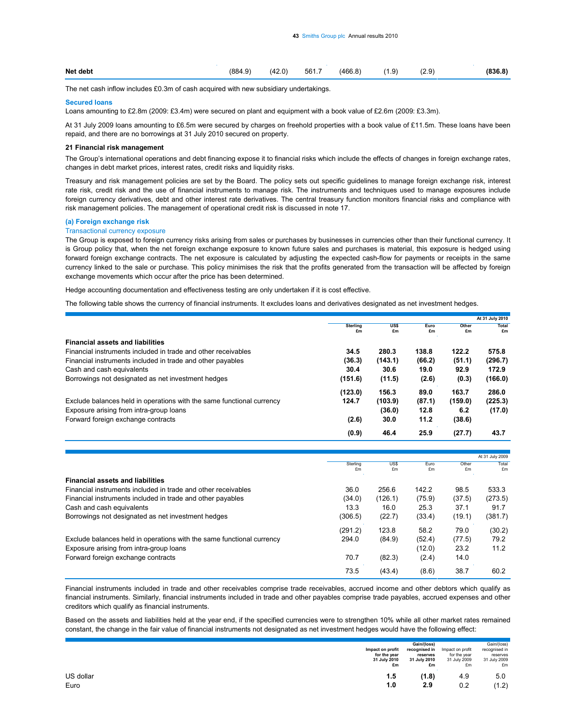| Net debt | (884.9) | (42.0) | 561.7 | (466.8) | (1.9) | (2.9) | (836.8) |
|----------|---------|--------|-------|---------|-------|-------|---------|

The net cash inflow includes £0.3m of cash acquired with new subsidiary undertakings.

## **Secured loans**

Loans amounting to £2.8m (2009: £3.4m) were secured on plant and equipment with a book value of £2.6m (2009: £3.3m).

At 31 July 2009 loans amounting to £6.5m were secured by charges on freehold properties with a book value of £11.5m. These loans have been repaid, and there are no borrowings at 31 July 2010 secured on property.

#### **21 Financial risk management**

The Group's international operations and debt financing expose it to financial risks which include the effects of changes in foreign exchange rates, changes in debt market prices, interest rates, credit risks and liquidity risks.

Treasury and risk management policies are set by the Board. The policy sets out specific guidelines to manage foreign exchange risk, interest rate risk, credit risk and the use of financial instruments to manage risk. The instruments and techniques used to manage exposures include foreign currency derivatives, debt and other interest rate derivatives. The central treasury function monitors financial risks and compliance with risk management policies. The management of operational credit risk is discussed in note 17.

### **(a) Foreign exchange risk**

## Transactional currency exposure

The Group is exposed to foreign currency risks arising from sales or purchases by businesses in currencies other than their functional currency. It is Group policy that, when the net foreign exchange exposure to known future sales and purchases is material, this exposure is hedged using forward foreign exchange contracts. The net exposure is calculated by adjusting the expected cash-flow for payments or receipts in the same currency linked to the sale or purchase. This policy minimises the risk that the profits generated from the transaction will be affected by foreign exchange movements which occur after the price has been determined.

Hedge accounting documentation and effectiveness testing are only undertaken if it is cost effective.

The following table shows the currency of financial instruments. It excludes loans and derivatives designated as net investment hedges.

|                                                                       |                |            |            |             | At 31 July 2010 |
|-----------------------------------------------------------------------|----------------|------------|------------|-------------|-----------------|
|                                                                       | Sterling<br>£m | US\$<br>£m | Euro<br>£m | Other<br>£m | Total<br>£m     |
| <b>Financial assets and liabilities</b>                               |                |            |            |             |                 |
| Financial instruments included in trade and other receivables         | 34.5           | 280.3      | 138.8      | 122.2       | 575.8           |
| Financial instruments included in trade and other payables            | (36.3)         | (143.1)    | (66.2)     | (51.1)      | (296.7)         |
| Cash and cash equivalents                                             | 30.4           | 30.6       | 19.0       | 92.9        | 172.9           |
| Borrowings not designated as net investment hedges                    | (151.6)        | (11.5)     | (2.6)      | (0.3)       | (166.0)         |
|                                                                       | (123.0)        | 156.3      | 89.0       | 163.7       | 286.0           |
| Exclude balances held in operations with the same functional currency | 124.7          | (103.9)    | (87.1)     | (159.0)     | (225.3)         |
| Exposure arising from intra-group loans                               |                | (36.0)     | 12.8       | 6.2         | (17.0)          |
| Forward foreign exchange contracts                                    | (2.6)          | 30.0       | 11.2       | (38.6)      |                 |
|                                                                       | (0.9)          | 46.4       | 25.9       | (27.7)      | 43.7            |

|                                                                       |          | At 31 July 2009 |        |        |         |  |
|-----------------------------------------------------------------------|----------|-----------------|--------|--------|---------|--|
|                                                                       | Sterling | US\$            | Euro   | Other  | Total   |  |
|                                                                       | £m       | £m              | £m     | £m     | £m      |  |
| <b>Financial assets and liabilities</b>                               |          |                 |        |        |         |  |
| Financial instruments included in trade and other receivables         | 36.0     | 256.6           | 142.2  | 98.5   | 533.3   |  |
| Financial instruments included in trade and other payables            | (34.0)   | (126.1)         | (75.9) | (37.5) | (273.5) |  |
| Cash and cash equivalents                                             | 13.3     | 16.0            | 25.3   | 37.1   | 91.7    |  |
| Borrowings not designated as net investment hedges                    | (306.5)  | (22.7)          | (33.4) | (19.1) | (381.7) |  |
|                                                                       | (291.2)  | 123.8           | 58.2   | 79.0   | (30.2)  |  |
| Exclude balances held in operations with the same functional currency | 294.0    | (84.9)          | (52.4) | (77.5) | 79.2    |  |
| Exposure arising from intra-group loans                               |          |                 | (12.0) | 23.2   | 11.2    |  |
| Forward foreign exchange contracts                                    | 70.7     | (82.3)          | (2.4)  | 14.0   |         |  |
|                                                                       | 73.5     | (43.4)          | (8.6)  | 38.7   | 60.2    |  |

Financial instruments included in trade and other receivables comprise trade receivables, accrued income and other debtors which qualify as financial instruments. Similarly, financial instruments included in trade and other payables comprise trade payables, accrued expenses and other creditors which qualify as financial instruments.

Based on the assets and liabilities held at the year end, if the specified currencies were to strengthen 10% while all other market rates remained constant, the change in the fair value of financial instruments not designated as net investment hedges would have the following effect:

|           | Impact on profit<br>for the year<br>31 July 2010<br>£m | Gain/(loss)<br>recognised in<br>reserves<br>31 July 2010<br>£m | Impact on profit<br>for the year<br>31 July 2009<br>£m | Gain/(loss)<br>recognised in<br>reserves<br>31 July 2009<br>£m |
|-----------|--------------------------------------------------------|----------------------------------------------------------------|--------------------------------------------------------|----------------------------------------------------------------|
| US dollar | 1.5                                                    | (1.8)                                                          | 4.9                                                    | 5.0                                                            |
| Euro      | 1.0                                                    | 2.9                                                            | 0.2                                                    | (1.2)                                                          |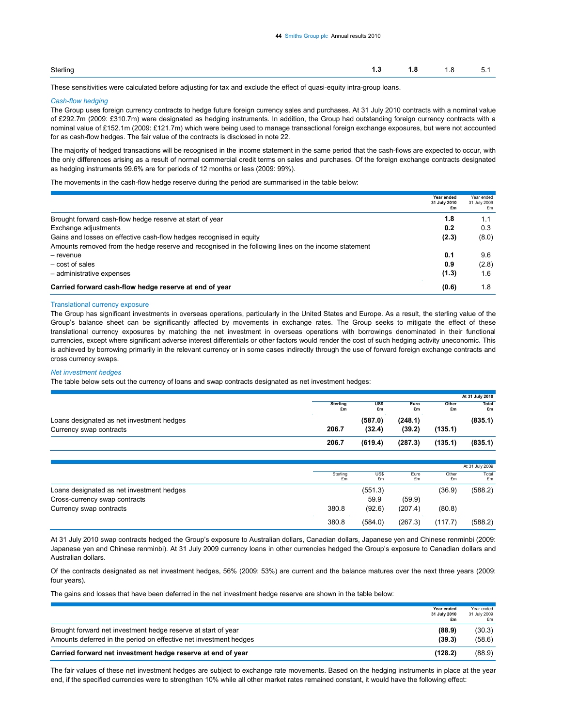| Sterling | <br>1.0<br>$\sim$ | 1.0 | $\sim$ $\sim$ |
|----------|-------------------|-----|---------------|
|          |                   |     |               |

These sensitivities were calculated before adjusting for tax and exclude the effect of quasi-equity intra-group loans.

#### *Cash-flow hedging*

The Group uses foreign currency contracts to hedge future foreign currency sales and purchases. At 31 July 2010 contracts with a nominal value of £292.7m (2009: £310.7m) were designated as hedging instruments. In addition, the Group had outstanding foreign currency contracts with a nominal value of £152.1m (2009: £121.7m) which were being used to manage transactional foreign exchange exposures, but were not accounted for as cash-flow hedges. The fair value of the contracts is disclosed in note 22.

The majority of hedged transactions will be recognised in the income statement in the same period that the cash-flows are expected to occur, with the only differences arising as a result of normal commercial credit terms on sales and purchases. Of the foreign exchange contracts designated as hedging instruments 99.6% are for periods of 12 months or less (2009: 99%).

The movements in the cash-flow hedge reserve during the period are summarised in the table below:

|                                                                                                      | Year ended<br>31 July 2010<br>£m | Year ended<br>31 July 2009<br>fm |
|------------------------------------------------------------------------------------------------------|----------------------------------|----------------------------------|
| Brought forward cash-flow hedge reserve at start of year                                             | 1.8                              | 1.1                              |
| Exchange adjustments                                                                                 | 0.2                              | 0.3                              |
| Gains and losses on effective cash-flow hedges recognised in equity                                  | (2.3)                            | (8.0)                            |
| Amounts removed from the hedge reserve and recognised in the following lines on the income statement |                                  |                                  |
| - revenue                                                                                            | 0.1                              | 9.6                              |
| - cost of sales                                                                                      | 0.9                              | (2.8)                            |
| - administrative expenses                                                                            | (1.3)                            | 1.6                              |
| Carried forward cash-flow hedge reserve at end of year                                               | (0.6)                            | 1.8                              |

#### Translational currency exposure

The Group has significant investments in overseas operations, particularly in the United States and Europe. As a result, the sterling value of the Group's balance sheet can be significantly affected by movements in exchange rates. The Group seeks to mitigate the effect of these translational currency exposures by matching the net investment in overseas operations with borrowings denominated in their functional currencies, except where significant adverse interest differentials or other factors would render the cost of such hedging activity uneconomic. This is achieved by borrowing primarily in the relevant currency or in some cases indirectly through the use of forward foreign exchange contracts and cross currency swaps.

#### *Net investment hedges*

The table below sets out the currency of loans and swap contracts designated as net investment hedges:

|                                                                      |                |                   |                   |             | At 31 July 2010 |
|----------------------------------------------------------------------|----------------|-------------------|-------------------|-------------|-----------------|
|                                                                      | Sterling<br>£m | <b>US\$</b><br>£m | Euro<br>£m        | Other<br>£m | Total<br>£m     |
| Loans designated as net investment hedges<br>Currency swap contracts | 206.7          | (587.0)<br>(32.4) | (248.1)<br>(39.2) | (135.1)     | (835.1)         |
|                                                                      | 206.7          | (619.4)           | (287.3)           | (135.1)     | (835.1)         |

|                                           |                |                   |            |             | At 31 July 2009 |
|-------------------------------------------|----------------|-------------------|------------|-------------|-----------------|
|                                           | Sterling<br>£m | <b>US\$</b><br>£m | Euro<br>£m | Other<br>£m | Total<br>£m     |
| Loans designated as net investment hedges |                | (551.3)           |            | (36.9)      | (588.2)         |
| Cross-currency swap contracts             |                | 59.9              | (59.9)     |             |                 |
| Currency swap contracts                   | 380.8          | (92.6)            | (207.4)    | (80.8)      |                 |
|                                           | 380.8          | (584.0)           | (267.3)    | (117.7)     | (588.2)         |

At 31 July 2010 swap contracts hedged the Group's exposure to Australian dollars, Canadian dollars, Japanese yen and Chinese renminbi (2009: Japanese yen and Chinese renminbi). At 31 July 2009 currency loans in other currencies hedged the Group's exposure to Canadian dollars and Australian dollars.

Of the contracts designated as net investment hedges, 56% (2009: 53%) are current and the balance matures over the next three years (2009: four years).

The gains and losses that have been deferred in the net investment hedge reserve are shown in the table below:

|                                                                                                                                    | Year ended<br>31 July 2010<br>£m | Year ended<br>31 July 2009<br>fm |
|------------------------------------------------------------------------------------------------------------------------------------|----------------------------------|----------------------------------|
| Brought forward net investment hedge reserve at start of year<br>Amounts deferred in the period on effective net investment hedges | (88.9)<br>(39.3)                 | (30.3)<br>(58.6)                 |
| Carried forward net investment hedge reserve at end of year                                                                        | (128.2)                          | (88.9)                           |

The fair values of these net investment hedges are subject to exchange rate movements. Based on the hedging instruments in place at the year end, if the specified currencies were to strengthen 10% while all other market rates remained constant, it would have the following effect: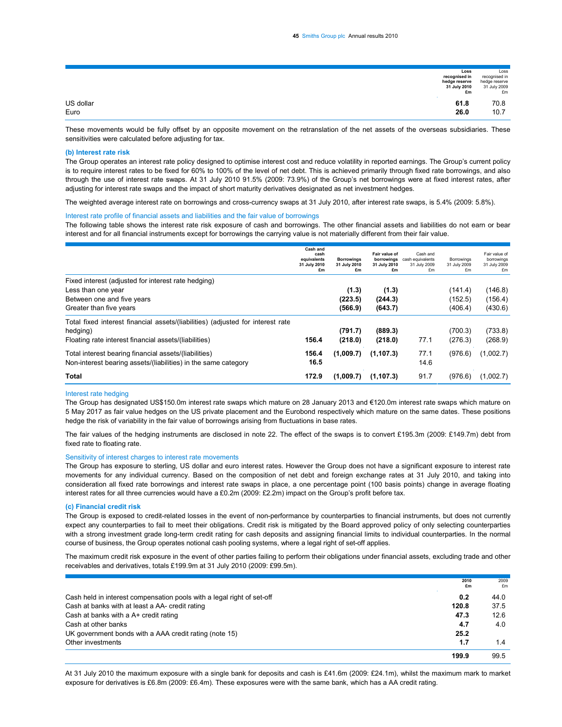| recognised in<br>hedge reserve<br>31 July 2010 | Loss<br>£m | Loss<br>recognised in<br>hedge reserve<br>31 July 2009<br>£m |
|------------------------------------------------|------------|--------------------------------------------------------------|
| US dollar                                      | 61.8       | 70.8                                                         |
| Euro                                           | 26.0       | 10.7                                                         |

These movements would be fully offset by an opposite movement on the retranslation of the net assets of the overseas subsidiaries. These sensitivities were calculated before adjusting for tax.

#### **(b) Interest rate risk**

The Group operates an interest rate policy designed to optimise interest cost and reduce volatility in reported earnings. The Group's current policy is to require interest rates to be fixed for 60% to 100% of the level of net debt. This is achieved primarily through fixed rate borrowings, and also through the use of interest rate swaps. At 31 July 2010 91.5% (2009: 73.9%) of the Group's net borrowings were at fixed interest rates, after adjusting for interest rate swaps and the impact of short maturity derivatives designated as net investment hedges.

The weighted average interest rate on borrowings and cross-currency swaps at 31 July 2010, after interest rate swaps, is 5.4% (2009: 5.8%).

### Interest rate profile of financial assets and liabilities and the fair value of borrowings

The following table shows the interest rate risk exposure of cash and borrowings. The other financial assets and liabilities do not earn or bear interest and for all financial instruments except for borrowings the carrying value is not materially different from their fair value.

|                                                                                                                                                      | Cash and<br>cash<br>equivalents<br>31 July 2010<br>£m | <b>Borrowings</b><br>31 July 2010<br>£m | Fair value of<br>borrowings<br>31 July 2010<br>£m | Cash and<br>cash equivalents<br>31 July 2009<br>£m | Borrowings<br>31 July 2009<br>£m | Fair value of<br>borrowings<br>31 July 2009<br>£m |
|------------------------------------------------------------------------------------------------------------------------------------------------------|-------------------------------------------------------|-----------------------------------------|---------------------------------------------------|----------------------------------------------------|----------------------------------|---------------------------------------------------|
| Fixed interest (adjusted for interest rate hedging)<br>Less than one year<br>Between one and five years<br>Greater than five years                   |                                                       | (1.3)<br>(223.5)<br>(566.9)             | (1.3)<br>(244.3)<br>(643.7)                       |                                                    | (141.4)<br>(152.5)<br>(406.4)    | (146.8)<br>(156.4)<br>(430.6)                     |
| Total fixed interest financial assets/(liabilities) (adjusted for interest rate<br>hedging)<br>Floating rate interest financial assets/(liabilities) | 156.4                                                 | (791.7)<br>(218.0)                      | (889.3)<br>(218.0)                                | 77.1                                               | (700.3)<br>(276.3)               | (733.8)<br>(268.9)                                |
| Total interest bearing financial assets/(liabilities)<br>Non-interest bearing assets/(liabilities) in the same category                              | 156.4<br>16.5                                         | (1,009.7)                               | (1, 107.3)                                        | 77.1<br>14.6                                       | (976.6)                          | (1,002.7)                                         |
| <b>Total</b>                                                                                                                                         | 172.9                                                 | (1,009.7)                               | (1, 107.3)                                        | 91.7                                               | (976.6)                          | (1,002.7)                                         |

#### Interest rate hedging

The Group has designated US\$150.0m interest rate swaps which mature on 28 January 2013 and €120.0m interest rate swaps which mature on 5 May 2017 as fair value hedges on the US private placement and the Eurobond respectively which mature on the same dates. These positions hedge the risk of variability in the fair value of borrowings arising from fluctuations in base rates.

The fair values of the hedging instruments are disclosed in note 22. The effect of the swaps is to convert £195.3m (2009: £149.7m) debt from fixed rate to floating rate.

#### Sensitivity of interest charges to interest rate movements

The Group has exposure to sterling, US dollar and euro interest rates. However the Group does not have a significant exposure to interest rate movements for any individual currency. Based on the composition of net debt and foreign exchange rates at 31 July 2010, and taking into consideration all fixed rate borrowings and interest rate swaps in place, a one percentage point (100 basis points) change in average floating interest rates for all three currencies would have a £0.2m (2009: £2.2m) impact on the Group's profit before tax.

## **(c) Financial credit risk**

The Group is exposed to credit-related losses in the event of non-performance by counterparties to financial instruments, but does not currently expect any counterparties to fail to meet their obligations. Credit risk is mitigated by the Board approved policy of only selecting counterparties with a strong investment grade long-term credit rating for cash deposits and assigning financial limits to individual counterparties. In the normal course of business, the Group operates notional cash pooling systems, where a legal right of set-off applies.

The maximum credit risk exposure in the event of other parties failing to perform their obligations under financial assets, excluding trade and other receivables and derivatives, totals £199.9m at 31 July 2010 (2009: £99.5m).

|                                                                        | 2010<br>£m | 2009<br>£m |
|------------------------------------------------------------------------|------------|------------|
| Cash held in interest compensation pools with a legal right of set-off | 0.2        | 44.0       |
| Cash at banks with at least a AA- credit rating                        | 120.8      | 37.5       |
| Cash at banks with a A+ credit rating                                  | 47.3       | 12.6       |
| Cash at other banks                                                    | 4.7        | 4.0        |
| UK government bonds with a AAA credit rating (note 15)                 | 25.2       |            |
| Other investments                                                      | 1.7        | 1.4        |
|                                                                        | 199.9      | 99.5       |

At 31 July 2010 the maximum exposure with a single bank for deposits and cash is £41.6m (2009: £24.1m), whilst the maximum mark to market exposure for derivatives is £6.8m (2009: £6.4m). These exposures were with the same bank, which has a AA credit rating.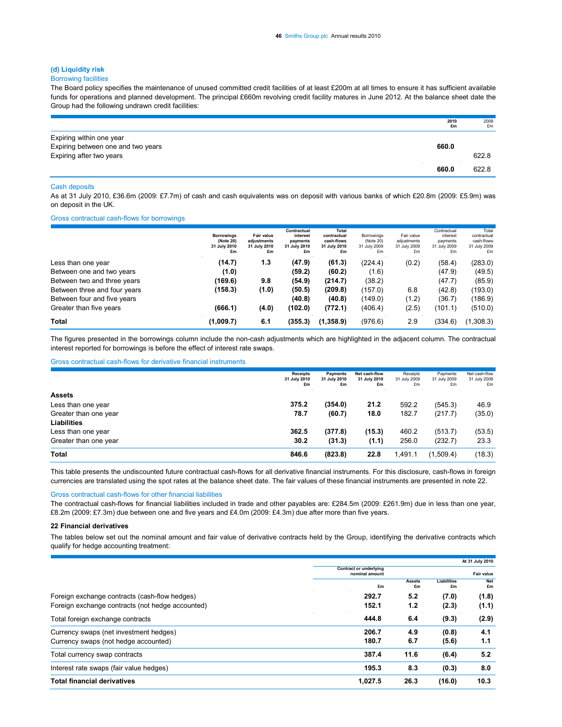## **(d) Liquidity risk**  Borrowing facilities

The Board policy specifies the maintenance of unused committed credit facilities of at least £200m at all times to ensure it has sufficient available funds for operations and planned development. The principal £660m revolving credit facility matures in June 2012. At the balance sheet date the Group had the following undrawn credit facilities:

|                                                                                            | 2010<br>£m | 2009<br>£m |
|--------------------------------------------------------------------------------------------|------------|------------|
| Expiring within one year<br>Expiring between one and two years<br>Expiring after two years | 660.0      | 622.8      |
|                                                                                            | 660.0      | 622.8      |

#### Cash deposits

As at 31 July 2010, £36.6m (2009: £7.7m) of cash and cash equivalents was on deposit with various banks of which £20.8m (2009: £5.9m) was on deposit in the UK.

#### Gross contractual cash-flows for borrowings

|                              | <b>Borrowings</b><br>(Note 20)<br>31 July 2010<br>£m | Fair value<br>adjustments<br>31 July 2010<br>£m | Contractual<br>interest<br>payments<br>31 July 2010<br>£m | Total<br>contractual<br>cash-flows<br>31 July 2010<br>£m | Borrowings<br>(Note 20)<br>31 July 2009<br>£m | Fair value<br>adjustments<br>31 July 2009<br>£m | Contractual<br>interest<br>payments<br>31 July 2009<br>£m | Total<br>contractual<br>cash-flows<br>31 July 2009<br>£m |
|------------------------------|------------------------------------------------------|-------------------------------------------------|-----------------------------------------------------------|----------------------------------------------------------|-----------------------------------------------|-------------------------------------------------|-----------------------------------------------------------|----------------------------------------------------------|
| Less than one year           | (14.7)                                               | 1.3                                             | (47.9)                                                    | (61.3)                                                   | (224.4)                                       | (0.2)                                           | (58.4)                                                    | (283.0)                                                  |
| Between one and two years    | (1.0)                                                |                                                 | (59.2)                                                    | (60.2)                                                   | (1.6)                                         |                                                 | (47.9)                                                    | (49.5)                                                   |
| Between two and three years  | (169.6)                                              | 9.8                                             | (54.9)                                                    | (214.7)                                                  | (38.2)                                        |                                                 | (47.7)                                                    | (85.9)                                                   |
| Between three and four years | (158.3)                                              | (1.0)                                           | (50.5)                                                    | (209.8)                                                  | (157.0)                                       | 6.8                                             | (42.8)                                                    | (193.0)                                                  |
| Between four and five years  |                                                      |                                                 | (40.8)                                                    | (40.8)                                                   | (149.0)                                       | (1.2)                                           | (36.7)                                                    | (186.9)                                                  |
| Greater than five years      | (666.1)                                              | (4.0)                                           | (102.0)                                                   | (772.1)                                                  | (406.4)                                       | (2.5)                                           | (101.1)                                                   | (510.0)                                                  |
| <b>Total</b>                 | (1,009.7)                                            | 6.1                                             | (355.3)                                                   | (1.358.9)                                                | (976.6)                                       | 2.9                                             | (334.6)                                                   | (1,308.3)                                                |

The figures presented in the borrowings column include the non-cash adjustments which are highlighted in the adjacent column. The contractual interest reported for borrowings is before the effect of interest rate swaps.

#### Gross contractual cash-flows for derivative financial instruments

|                       | <b>Receipts</b><br>31 July 2010<br>£m | Payments<br>31 July 2010<br>£m | Net cash-flow<br>31 July 2010<br>£m | Receipts<br>31 July 2009<br>£m | Payments<br>31 July 2009<br>£m | Net cash-flow<br>31 July 2009<br>£m |
|-----------------------|---------------------------------------|--------------------------------|-------------------------------------|--------------------------------|--------------------------------|-------------------------------------|
| <b>Assets</b>         |                                       |                                |                                     |                                |                                |                                     |
| Less than one year    | 375.2                                 | (354.0)                        | 21.2                                | 592.2                          | (545.3)                        | 46.9                                |
| Greater than one year | 78.7                                  | (60.7)                         | 18.0                                | 182.7                          | (217.7)                        | (35.0)                              |
| <b>Liabilities</b>    |                                       |                                |                                     |                                |                                |                                     |
| Less than one year    | 362.5                                 | (377.8)                        | (15.3)                              | 460.2                          | (513.7)                        | (53.5)                              |
| Greater than one year | 30.2                                  | (31.3)                         | (1.1)                               | 256.0                          | (232.7)                        | 23.3                                |
| <b>Total</b>          | 846.6                                 | (823.8)                        | 22.8                                | 1,491.1                        | (1,509.4)                      | (18.3)                              |

This table presents the undiscounted future contractual cash-flows for all derivative financial instruments. For this disclosure, cash-flows in foreign currencies are translated using the spot rates at the balance sheet date. The fair values of these financial instruments are presented in note 22.

#### Gross contractual cash-flows for other financial liabilities

The contractual cash-flows for financial liabilities included in trade and other payables are: £284.5m (2009: £261.9m) due in less than one year, £8.2m (2009: £7.3m) due between one and five years and £4.0m (2009: £4.3m) due after more than five years.

### **22 Financial derivatives**

The tables below set out the nominal amount and fair value of derivative contracts held by the Group, identifying the derivative contracts which qualify for hedge accounting treatment:

|                                                  |                                          |                     |                   | At 31 July 2010   |
|--------------------------------------------------|------------------------------------------|---------------------|-------------------|-------------------|
|                                                  | Contract or underlying<br>nominal amount |                     |                   | <b>Fair value</b> |
|                                                  | £m                                       | <b>Assets</b><br>£m | Liabilities<br>£m | <b>Net</b><br>£m  |
| Foreign exchange contracts (cash-flow hedges)    | 292.7                                    | 5.2                 | (7.0)             | (1.8)             |
| Foreign exchange contracts (not hedge accounted) | 152.1                                    | 1.2                 | (2.3)             | (1.1)             |
| Total foreign exchange contracts                 | 444.8                                    | 6.4                 | (9.3)             | (2.9)             |
| Currency swaps (net investment hedges)           | 206.7                                    | 4.9                 | (0.8)             | 4.1               |
| Currency swaps (not hedge accounted)             | 180.7                                    | 6.7                 | (5.6)             | 1.1               |
| Total currency swap contracts                    | 387.4                                    | 11.6                | (6.4)             | 5.2               |
| Interest rate swaps (fair value hedges)          | 195.3                                    | 8.3                 | (0.3)             | 8.0               |
| <b>Total financial derivatives</b>               | 1,027.5                                  | 26.3                | (16.0)            | 10.3              |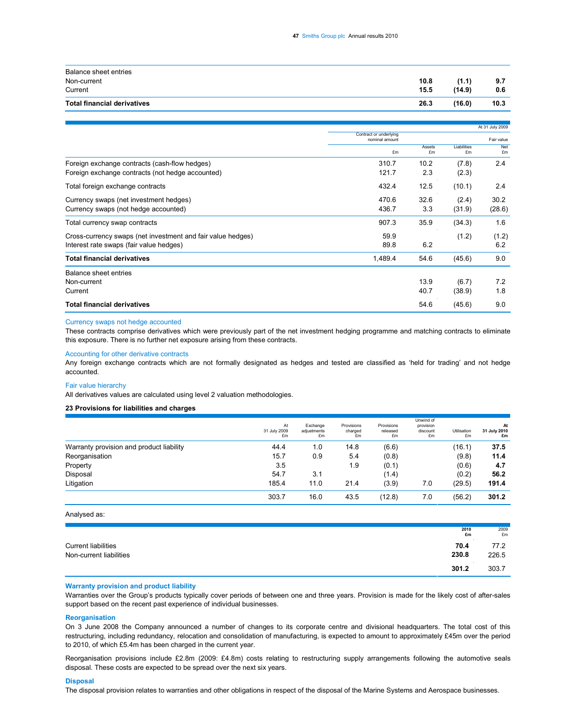| Balance sheet entries              |      |        |      |
|------------------------------------|------|--------|------|
| Non-current                        | 10.8 | (1.1)  | 9.7  |
| Current                            | 15.5 | (14.9) | 0.6  |
| <b>Total financial derivatives</b> | 26.3 | (16.0) | 10.3 |

|                                                             |                                          |              |                   | At 31 July 2009 |
|-------------------------------------------------------------|------------------------------------------|--------------|-------------------|-----------------|
|                                                             | Contract or underlying<br>nominal amount |              |                   | Fair value      |
|                                                             | £m                                       | Assets<br>£m | Liabilities<br>£m | Net<br>£m       |
| Foreign exchange contracts (cash-flow hedges)               | 310.7                                    | 10.2         | (7.8)             | 2.4             |
| Foreign exchange contracts (not hedge accounted)            | 121.7                                    | 2.3          | (2.3)             |                 |
| Total foreign exchange contracts                            | 432.4                                    | 12.5         | (10.1)            | 2.4             |
| Currency swaps (net investment hedges)                      | 470.6                                    | 32.6         | (2.4)             | 30.2            |
| Currency swaps (not hedge accounted)                        | 436.7                                    | 3.3          | (31.9)            | (28.6)          |
| Total currency swap contracts                               | 907.3                                    | 35.9         | (34.3)            | 1.6             |
| Cross-currency swaps (net investment and fair value hedges) | 59.9                                     |              | (1.2)             | (1.2)           |
| Interest rate swaps (fair value hedges)                     | 89.8                                     | 6.2          |                   | 6.2             |
| <b>Total financial derivatives</b>                          | 1,489.4                                  | 54.6         | (45.6)            | 9.0             |
| Balance sheet entries                                       |                                          |              |                   |                 |
| Non-current                                                 |                                          | 13.9         | (6.7)             | 7.2             |
| Current                                                     |                                          | 40.7         | (38.9)            | 1.8             |
| <b>Total financial derivatives</b>                          |                                          | 54.6         | (45.6)            | 9.0             |

#### Currency swaps not hedge accounted

These contracts comprise derivatives which were previously part of the net investment hedging programme and matching contracts to eliminate this exposure. There is no further net exposure arising from these contracts.

#### Accounting for other derivative contracts

Any foreign exchange contracts which are not formally designated as hedges and tested are classified as 'held for trading' and not hedge accounted.

#### Fair value hierarchy

All derivatives values are calculated using level 2 valuation methodologies.

## **23 Provisions for liabilities and charges**

|                                          | At<br>31 July 2009<br>£m | Exchange<br>adjustments<br>£m | Provisions<br>charged<br>£m | Provisions<br>released<br>£m | Unwind of<br>provision<br>discount<br>£m | Utilisation<br>£m | At<br>31 July 2010<br>£m |
|------------------------------------------|--------------------------|-------------------------------|-----------------------------|------------------------------|------------------------------------------|-------------------|--------------------------|
| Warranty provision and product liability | 44.4                     | 1.0                           | 14.8                        | (6.6)                        |                                          | (16.1)            | 37.5                     |
| Reorganisation                           | 15.7                     | 0.9                           | 5.4                         | (0.8)                        |                                          | (9.8)             | 11.4                     |
| Property                                 | 3.5                      |                               | 1.9                         | (0.1)                        |                                          | (0.6)             | 4.7                      |
| Disposal                                 | 54.7                     | 3.1                           |                             | (1.4)                        |                                          | (0.2)             | 56.2                     |
| Litigation                               | 185.4                    | 11.0                          | 21.4                        | (3.9)                        | 7.0                                      | (29.5)            | 191.4                    |
|                                          | 303.7                    | 16.0                          | 43.5                        | (12.8)                       | 7.0                                      | (56.2)            | 301.2                    |

### Analysed as:

|                            | 2010<br>£m | 2009<br>£m   |
|----------------------------|------------|--------------|
| <b>Current liabilities</b> | 70.4       | 77 2<br>11.Z |
| Non-current liabilities    | 230.8      | 226.5        |
|                            | 301.2      | 303.7        |

#### **Warranty provision and product liability**

Warranties over the Group's products typically cover periods of between one and three years. Provision is made for the likely cost of after-sales support based on the recent past experience of individual businesses.

#### **Reorganisation**

On 3 June 2008 the Company announced a number of changes to its corporate centre and divisional headquarters. The total cost of this restructuring, including redundancy, relocation and consolidation of manufacturing, is expected to amount to approximately £45m over the period to 2010, of which £5.4m has been charged in the current year.

Reorganisation provisions include £2.8m (2009: £4.8m) costs relating to restructuring supply arrangements following the automotive seals disposal. These costs are expected to be spread over the next six years.

## **Disposal**

The disposal provision relates to warranties and other obligations in respect of the disposal of the Marine Systems and Aerospace businesses.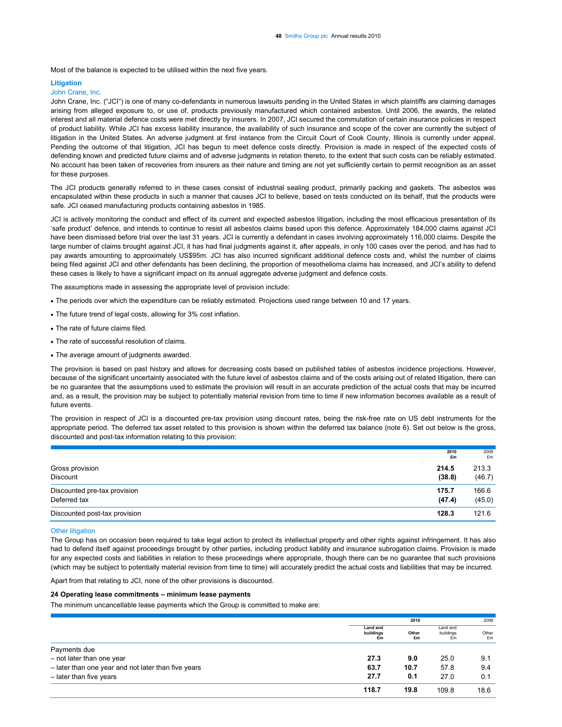Most of the balance is expected to be utilised within the next five years.

## **Litigation**

#### John Crane, Inc.

John Crane, Inc. ("JCI") is one of many co-defendants in numerous lawsuits pending in the United States in which plaintiffs are claiming damages arising from alleged exposure to, or use of, products previously manufactured which contained asbestos. Until 2006, the awards, the related interest and all material defence costs were met directly by insurers. In 2007, JCI secured the commutation of certain insurance policies in respect of product liability. While JCI has excess liability insurance, the availability of such insurance and scope of the cover are currently the subject of litigation in the United States. An adverse judgment at first instance from the Circuit Court of Cook County, Illinois is currently under appeal. Pending the outcome of that litigation, JCI has begun to meet defence costs directly. Provision is made in respect of the expected costs of defending known and predicted future claims and of adverse judgments in relation thereto, to the extent that such costs can be reliably estimated. No account has been taken of recoveries from insurers as their nature and timing are not yet sufficiently certain to permit recognition as an asset for these purposes.

The JCI products generally referred to in these cases consist of industrial sealing product, primarily packing and gaskets. The asbestos was encapsulated within these products in such a manner that causes JCI to believe, based on tests conducted on its behalf, that the products were safe. JCI ceased manufacturing products containing asbestos in 1985.

JCI is actively monitoring the conduct and effect of its current and expected asbestos litigation, including the most efficacious presentation of its 'safe product' defence, and intends to continue to resist all asbestos claims based upon this defence. Approximately 184,000 claims against JCI have been dismissed before trial over the last 31 years. JCI is currently a defendant in cases involving approximately 116,000 claims. Despite the large number of claims brought against JCI, it has had final judgments against it, after appeals, in only 100 cases over the period, and has had to pay awards amounting to approximately US\$95m. JCI has also incurred significant additional defence costs and, whilst the number of claims being filed against JCI and other defendants has been declining, the proportion of mesothelioma claims has increased, and JCI's ability to defend these cases is likely to have a significant impact on its annual aggregate adverse judgment and defence costs.

The assumptions made in assessing the appropriate level of provision include:

• The periods over which the expenditure can be reliably estimated. Projections used range between 10 and 17 years.

- The future trend of legal costs, allowing for 3% cost inflation.
- The rate of future claims filed.
- The rate of successful resolution of claims.
- The average amount of judgments awarded.

The provision is based on past history and allows for decreasing costs based on published tables of asbestos incidence projections. However, because of the significant uncertainty associated with the future level of asbestos claims and of the costs arising out of related litigation, there can be no guarantee that the assumptions used to estimate the provision will result in an accurate prediction of the actual costs that may be incurred and, as a result, the provision may be subject to potentially material revision from time to time if new information becomes available as a result of future events.

The provision in respect of JCI is a discounted pre-tax provision using discount rates, being the risk-free rate on US debt instruments for the appropriate period. The deferred tax asset related to this provision is shown within the deferred tax balance (note 6). Set out below is the gross, discounted and post-tax information relating to this provision:

|                               | 2010<br>£m | 2009<br>£m |
|-------------------------------|------------|------------|
| Gross provision               | 214.5      | 213.3      |
| Discount                      | (38.8)     | (46.7)     |
| Discounted pre-tax provision  | 175.7      | 166.6      |
| Deferred tax                  | (47.4)     | (45.0)     |
| Discounted post-tax provision | 128.3      | 121.6      |

#### Other litigation

The Group has on occasion been required to take legal action to protect its intellectual property and other rights against infringement. It has also had to defend itself against proceedings brought by other parties, including product liability and insurance subrogation claims. Provision is made for any expected costs and liabilities in relation to these proceedings where appropriate, though there can be no guarantee that such provisions (which may be subject to potentially material revision from time to time) will accurately predict the actual costs and liabilities that may be incurred.

Apart from that relating to JCI, none of the other provisions is discounted.

#### **24 Operating lease commitments – minimum lease payments**

The minimum uncancellable lease payments which the Group is committed to make are:

|                                                     |                                    | 2010        |                             | 2009        |
|-----------------------------------------------------|------------------------------------|-------------|-----------------------------|-------------|
|                                                     | <b>Land and</b><br>buildings<br>£m | Other<br>£m | Land and<br>buildings<br>£m | Other<br>£m |
| Payments due                                        |                                    |             |                             |             |
| - not later than one year                           | 27.3                               | 9.0         | 25.0                        | 9.1         |
| - later than one year and not later than five years | 63.7                               | 10.7        | 57.8                        | 9.4         |
| - later than five years                             | 27.7                               | 0.1         | 27.0                        | 0.1         |
|                                                     | 118.7                              | 19.8        | 109.8                       | 18.6        |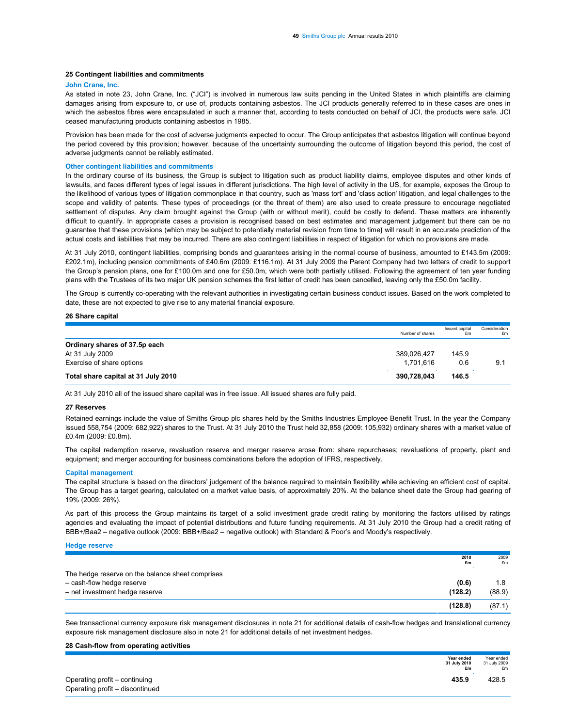#### **25 Contingent liabilities and commitments**

## **John Crane, Inc.**

As stated in note 23, John Crane, Inc. ("JCI") is involved in numerous law suits pending in the United States in which plaintiffs are claiming damages arising from exposure to, or use of, products containing asbestos. The JCI products generally referred to in these cases are ones in which the asbestos fibres were encapsulated in such a manner that, according to tests conducted on behalf of JCI, the products were safe. JCI ceased manufacturing products containing asbestos in 1985.

Provision has been made for the cost of adverse judgments expected to occur. The Group anticipates that asbestos litigation will continue beyond the period covered by this provision; however, because of the uncertainty surrounding the outcome of litigation beyond this period, the cost of adverse judgments cannot be reliably estimated.

#### **Other contingent liabilities and commitments**

In the ordinary course of its business, the Group is subject to litigation such as product liability claims, employee disputes and other kinds of lawsuits, and faces different types of legal issues in different jurisdictions. The high level of activity in the US, for example, exposes the Group to the likelihood of various types of litigation commonplace in that country, such as 'mass tort' and 'class action' litigation, and legal challenges to the scope and validity of patents. These types of proceedings (or the threat of them) are also used to create pressure to encourage negotiated settlement of disputes. Any claim brought against the Group (with or without merit), could be costly to defend. These matters are inherently difficult to quantify. In appropriate cases a provision is recognised based on best estimates and management judgement but there can be no guarantee that these provisions (which may be subject to potentially material revision from time to time**)** will result in an accurate prediction of the actual costs and liabilities that may be incurred. There are also contingent liabilities in respect of litigation for which no provisions are made.

At 31 July 2010, contingent liabilities, comprising bonds and guarantees arising in the normal course of business, amounted to £143.5m (2009: £202.1m), including pension commitments of £40.6m (2009: £116.1m). At 31 July 2009 the Parent Company had two letters of credit to support the Group's pension plans, one for £100.0m and one for £50.0m, which were both partially utilised. Following the agreement of ten year funding plans with the Trustees of its two major UK pension schemes the first letter of credit has been cancelled, leaving only the £50.0m facility.

The Group is currently co-operating with the relevant authorities in investigating certain business conduct issues. Based on the work completed to date, these are not expected to give rise to any material financial exposure.

#### **26 Share capital**

|                                     | Number of shares | Issued capital<br>£m | Consideration<br>£m |
|-------------------------------------|------------------|----------------------|---------------------|
| Ordinary shares of 37.5p each       |                  |                      |                     |
| At 31 July 2009                     | 389,026,427      | 145.9                |                     |
| Exercise of share options           | 1.701.616        | 0.6                  | 9.1                 |
| Total share capital at 31 July 2010 | 390,728,043      | 146.5                |                     |

At 31 July 2010 all of the issued share capital was in free issue. All issued shares are fully paid.

#### **27 Reserves**

Retained earnings include the value of Smiths Group plc shares held by the Smiths Industries Employee Benefit Trust. In the year the Company issued 558,754 (2009: 682,922) shares to the Trust. At 31 July 2010 the Trust held 32,858 (2009: 105,932) ordinary shares with a market value of £0.4m (2009: £0.8m).

The capital redemption reserve, revaluation reserve and merger reserve arose from: share repurchases; revaluations of property, plant and equipment; and merger accounting for business combinations before the adoption of IFRS, respectively.

#### **Capital management**

The capital structure is based on the directors' judgement of the balance required to maintain flexibility while achieving an efficient cost of capital. The Group has a target gearing, calculated on a market value basis, of approximately 20%. At the balance sheet date the Group had gearing of 19% (2009: 26%).

As part of this process the Group maintains its target of a solid investment grade credit rating by monitoring the factors utilised by ratings agencies and evaluating the impact of potential distributions and future funding requirements. At 31 July 2010 the Group had a credit rating of BBB+/Baa2 – negative outlook (2009: BBB+/Baa2 – negative outlook) with Standard & Poor's and Moody's respectively.

## **Hedge reserve**

|                                                  | 2010<br>£m | 2009<br>£m |
|--------------------------------------------------|------------|------------|
| The hedge reserve on the balance sheet comprises |            |            |
| - cash-flow hedge reserve                        | (0.6)      | 1.8        |
| - net investment hedge reserve                   | (128.2)    | (88.9)     |
|                                                  | (128.8)    | (87.1)     |

See transactional currency exposure risk management disclosures in note 21 for additional details of cash-flow hedges and translational currency exposure risk management disclosure also in note 21 for additional details of net investment hedges.

## **28 Cash-flow from operating activities**

|                                 | Year ended<br>31 July 2010<br>£m | Year ended<br>31 July 2009<br>£m |
|---------------------------------|----------------------------------|----------------------------------|
| Operating profit – continuing   | 435.9                            | 428.5                            |
| Operating profit – discontinued |                                  |                                  |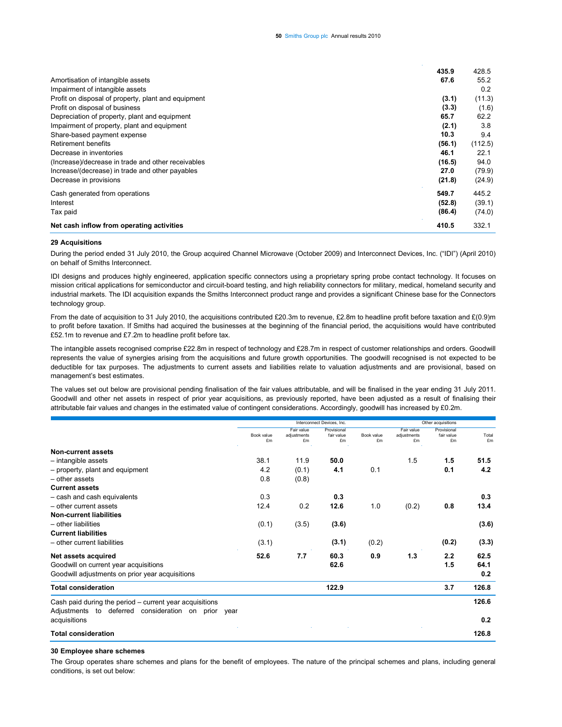|                                                     | 435.9  | 428.5   |
|-----------------------------------------------------|--------|---------|
| Amortisation of intangible assets                   | 67.6   | 55.2    |
| Impairment of intangible assets                     |        | 0.2     |
| Profit on disposal of property, plant and equipment | (3.1)  | (11.3)  |
| Profit on disposal of business                      | (3.3)  | (1.6)   |
| Depreciation of property, plant and equipment       | 65.7   | 62.2    |
| Impairment of property, plant and equipment         | (2.1)  | 3.8     |
| Share-based payment expense                         | 10.3   | 9.4     |
| Retirement benefits                                 | (56.1) | (112.5) |
| Decrease in inventories                             | 46.1   | 22.1    |
| (Increase)/decrease in trade and other receivables  | (16.5) | 94.0    |
| Increase/(decrease) in trade and other payables     | 27.0   | (79.9)  |
| Decrease in provisions                              | (21.8) | (24.9)  |
| Cash generated from operations                      | 549.7  | 445.2   |
| Interest                                            | (52.8) | (39.1)  |
| Tax paid                                            | (86.4) | (74.0)  |
| Net cash inflow from operating activities           | 410.5  | 332.1   |

#### **29 Acquisitions**

During the period ended 31 July 2010, the Group acquired Channel Microwave (October 2009) and Interconnect Devices, Inc. ("IDI") (April 2010) on behalf of Smiths Interconnect.

IDI designs and produces highly engineered, application specific connectors using a proprietary spring probe contact technology. It focuses on mission critical applications for semiconductor and circuit-board testing, and high reliability connectors for military, medical, homeland security and industrial markets. The IDI acquisition expands the Smiths Interconnect product range and provides a significant Chinese base for the Connectors technology group.

From the date of acquisition to 31 July 2010, the acquisitions contributed £20.3m to revenue, £2.8m to headline profit before taxation and £(0.9)m to profit before taxation. If Smiths had acquired the businesses at the beginning of the financial period, the acquisitions would have contributed £52.1m to revenue and £7.2m to headline profit before tax.

The intangible assets recognised comprise £22.8m in respect of technology and £28.7m in respect of customer relationships and orders. Goodwill represents the value of synergies arising from the acquisitions and future growth opportunities. The goodwill recognised is not expected to be deductible for tax purposes. The adjustments to current assets and liabilities relate to valuation adjustments and are provisional, based on management's best estimates.

The values set out below are provisional pending finalisation of the fair values attributable, and will be finalised in the year ending 31 July 2011. Goodwill and other net assets in respect of prior year acquisitions, as previously reported, have been adjusted as a result of finalising their attributable fair values and changes in the estimated value of contingent considerations. Accordingly, goodwill has increased by £0.2m.

|                                                                        | Interconnect Devices, Inc. |                                 |                                 |                  | Other acquisitions              |                                 |             |
|------------------------------------------------------------------------|----------------------------|---------------------------------|---------------------------------|------------------|---------------------------------|---------------------------------|-------------|
|                                                                        | Book value<br>£m           | Fair value<br>adiustments<br>£m | Provisional<br>fair value<br>£m | Book value<br>£m | Fair value<br>adiustments<br>£m | Provisional<br>fair value<br>£m | Total<br>£m |
| <b>Non-current assets</b>                                              |                            |                                 |                                 |                  |                                 |                                 |             |
| - intangible assets                                                    | 38.1                       | 11.9                            | 50.0                            |                  | 1.5                             | 1.5                             | 51.5        |
| - property, plant and equipment                                        | 4.2                        | (0.1)                           | 4.1                             | 0.1              |                                 | 0.1                             | 4.2         |
| - other assets                                                         | 0.8                        | (0.8)                           |                                 |                  |                                 |                                 |             |
| <b>Current assets</b>                                                  |                            |                                 |                                 |                  |                                 |                                 |             |
| - cash and cash equivalents                                            | 0.3                        |                                 | 0.3                             |                  |                                 |                                 | 0.3         |
| - other current assets                                                 | 12.4                       | 0.2                             | 12.6                            | 1.0              | (0.2)                           | 0.8                             | 13.4        |
| <b>Non-current liabilities</b>                                         |                            |                                 |                                 |                  |                                 |                                 |             |
| - other liabilities                                                    | (0.1)                      | (3.5)                           | (3.6)                           |                  |                                 |                                 | (3.6)       |
| <b>Current liabilities</b>                                             |                            |                                 |                                 |                  |                                 |                                 |             |
| - other current liabilities                                            | (3.1)                      |                                 | (3.1)                           | (0.2)            |                                 | (0.2)                           | (3.3)       |
| Net assets acquired                                                    | 52.6                       | 7.7                             | 60.3                            | 0.9              | 1.3                             | 2.2                             | 62.5        |
| Goodwill on current year acquisitions                                  |                            |                                 | 62.6                            |                  |                                 | 1.5                             | 64.1        |
| Goodwill adjustments on prior year acquisitions                        |                            |                                 |                                 |                  |                                 |                                 | 0.2         |
| <b>Total consideration</b>                                             |                            |                                 | 122.9                           |                  |                                 | 3.7                             | 126.8       |
| Cash paid during the period – current year acquisitions                |                            |                                 |                                 |                  |                                 |                                 | 126.6       |
| Adjustments to deferred consideration on prior<br>vear<br>acquisitions |                            |                                 |                                 |                  |                                 |                                 | 0.2         |
| <b>Total consideration</b>                                             |                            |                                 |                                 |                  |                                 |                                 | 126.8       |

#### **30 Employee share schemes**

The Group operates share schemes and plans for the benefit of employees. The nature of the principal schemes and plans, including general conditions, is set out below: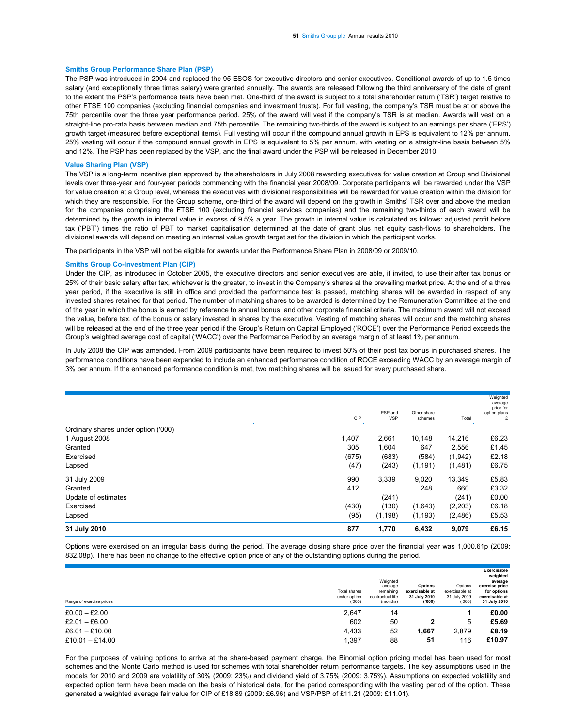#### **Smiths Group Performance Share Plan (PSP)**

The PSP was introduced in 2004 and replaced the 95 ESOS for executive directors and senior executives. Conditional awards of up to 1.5 times salary (and exceptionally three times salary) were granted annually. The awards are released following the third anniversary of the date of grant to the extent the PSP's performance tests have been met. One-third of the award is subject to a total shareholder return ('TSR') target relative to other FTSE 100 companies (excluding financial companies and investment trusts). For full vesting, the company's TSR must be at or above the 75th percentile over the three year performance period. 25% of the award will vest if the company's TSR is at median. Awards will vest on a straight-line pro-rata basis between median and 75th percentile. The remaining two-thirds of the award is subject to an earnings per share ('EPS') growth target (measured before exceptional items). Full vesting will occur if the compound annual growth in EPS is equivalent to 12% per annum. 25% vesting will occur if the compound annual growth in EPS is equivalent to 5% per annum, with vesting on a straight-line basis between 5% and 12%. The PSP has been replaced by the VSP, and the final award under the PSP will be released in December 2010.

#### **Value Sharing Plan (VSP)**

The VSP is a long-term incentive plan approved by the shareholders in July 2008 rewarding executives for value creation at Group and Divisional levels over three-year and four-year periods commencing with the financial year 2008/09. Corporate participants will be rewarded under the VSP for value creation at a Group level, whereas the executives with divisional responsibilities will be rewarded for value creation within the division for which they are responsible. For the Group scheme, one-third of the award will depend on the growth in Smiths' TSR over and above the median for the companies comprising the FTSE 100 (excluding financial services companies) and the remaining two-thirds of each award will be determined by the growth in internal value in excess of 9.5% a year. The growth in internal value is calculated as follows: adjusted profit before tax ('PBT') times the ratio of PBT to market capitalisation determined at the date of grant plus net equity cash-flows to shareholders. The divisional awards will depend on meeting an internal value growth target set for the division in which the participant works.

The participants in the VSP will not be eligible for awards under the Performance Share Plan in 2008/09 or 2009/10.

#### **Smiths Group Co-Investment Plan (CIP)**

Under the CIP, as introduced in October 2005, the executive directors and senior executives are able, if invited, to use their after tax bonus or 25% of their basic salary after tax, whichever is the greater, to invest in the Company's shares at the prevailing market price. At the end of a three year period, if the executive is still in office and provided the performance test is passed, matching shares will be awarded in respect of any invested shares retained for that period. The number of matching shares to be awarded is determined by the Remuneration Committee at the end of the year in which the bonus is earned by reference to annual bonus, and other corporate financial criteria. The maximum award will not exceed the value, before tax, of the bonus or salary invested in shares by the executive. Vesting of matching shares will occur and the matching shares will be released at the end of the three year period if the Group's Return on Capital Employed ('ROCE') over the Performance Period exceeds the Group's weighted average cost of capital ('WACC') over the Performance Period by an average margin of at least 1% per annum.

In July 2008 the CIP was amended. From 2009 participants have been required to invest 50% of their post tax bonus in purchased shares. The performance conditions have been expanded to include an enhanced performance condition of ROCE exceeding WACC by an average margin of 3% per annum. If the enhanced performance condition is met, two matching shares will be issued for every purchased share.

|                                     | CIP   | PSP and<br><b>VSP</b> | Other share<br>schemes | Total   | Weighted<br>average<br>price for<br>option plans<br>£ |
|-------------------------------------|-------|-----------------------|------------------------|---------|-------------------------------------------------------|
| Ordinary shares under option ('000) |       |                       |                        |         |                                                       |
| 1 August 2008                       | 1,407 | 2,661                 | 10,148                 | 14,216  | £6.23                                                 |
| Granted                             | 305   | 1,604                 | 647                    | 2,556   | £1.45                                                 |
| Exercised                           | (675) | (683)                 | (584)                  | (1,942) | £2.18                                                 |
| Lapsed                              | (47)  | (243)                 | (1, 191)               | (1,481) | £6.75                                                 |
| 31 July 2009                        | 990   | 3,339                 | 9,020                  | 13,349  | £5.83                                                 |
| Granted                             | 412   |                       | 248                    | 660     | £3.32                                                 |
| Update of estimates                 |       | (241)                 |                        | (241)   | £0.00                                                 |
| Exercised                           | (430) | (130)                 | (1,643)                | (2,203) | £6.18                                                 |
| Lapsed                              | (95)  | (1, 198)              | (1, 193)               | (2,486) | £5.53                                                 |
| 31 July 2010                        | 877   | 1,770                 | 6,432                  | 9,079   | £6.15                                                 |

Options were exercised on an irregular basis during the period. The average closing share price over the financial year was 1,000.61p (2009: 832.08p). There has been no change to the effective option price of any of the outstanding options during the period.

| Range of exercise prices | <b>Total shares</b><br>under option<br>(7000) | Weighted<br>average<br>remaining<br>contractual life<br>(months) | <b>Options</b><br>exercisable at<br>31 July 2010<br>(000)' | Options<br>exercisable at<br>31 July 2009<br>(000) | Exercisable<br>weighted<br>average<br>exercise price<br>for options<br>exercisable at<br>31 July 2010 |
|--------------------------|-----------------------------------------------|------------------------------------------------------------------|------------------------------------------------------------|----------------------------------------------------|-------------------------------------------------------------------------------------------------------|
| $£0.00 - £2.00$          | 2.647                                         | 14                                                               |                                                            |                                                    | £0.00                                                                                                 |
| £2.01 - £6.00            | 602                                           | 50                                                               |                                                            | 5                                                  | £5.69                                                                                                 |
| $£6.01 - £10.00$         | 4,433                                         | 52                                                               | 1,667                                                      | 2.879                                              | £8.19                                                                                                 |
| £10.01 - £14.00          | 1,397                                         | 88                                                               | 51                                                         | 116                                                | £10.97                                                                                                |

For the purposes of valuing options to arrive at the share-based payment charge, the Binomial option pricing model has been used for most schemes and the Monte Carlo method is used for schemes with total shareholder return performance targets. The key assumptions used in the models for 2010 and 2009 are volatility of 30% (2009: 23%) and dividend yield of 3.75% (2009: 3.75%). Assumptions on expected volatility and expected option term have been made on the basis of historical data, for the period corresponding with the vesting period of the option. These generated a weighted average fair value for CIP of £18.89 (2009: £6.96) and VSP/PSP of £11.21 (2009: £11.01).